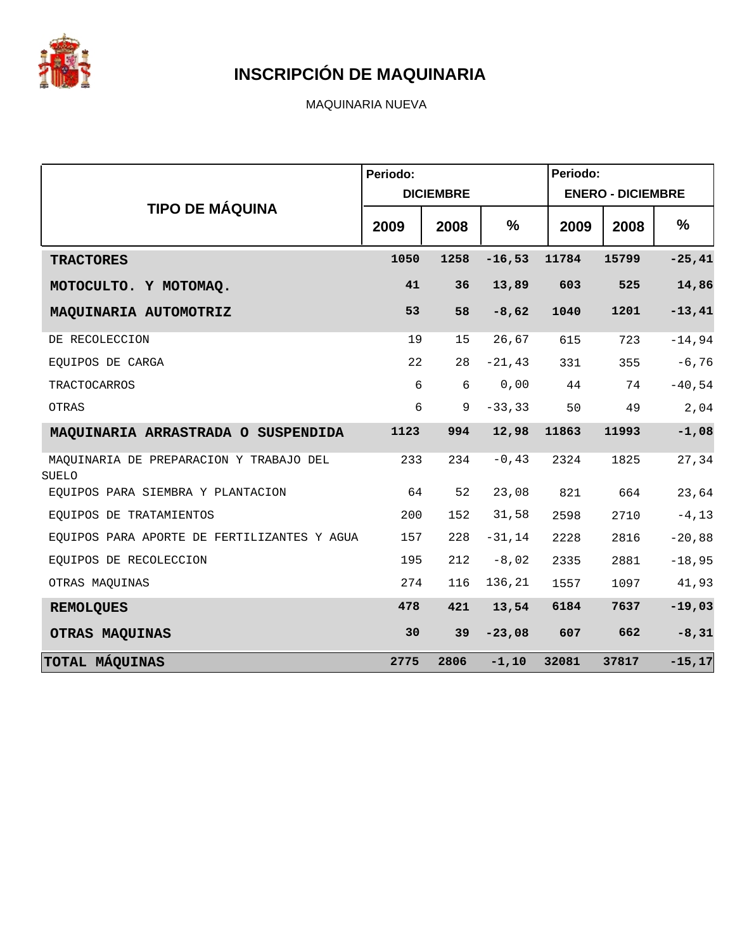

MAQUINARIA NUEVA

|                                                  | Periodo: |                  |           | Periodo: |                          |            |
|--------------------------------------------------|----------|------------------|-----------|----------|--------------------------|------------|
|                                                  |          | <b>DICIEMBRE</b> |           |          | <b>ENERO - DICIEMBRE</b> |            |
| <b>TIPO DE MÁQUINA</b>                           | 2009     | 2008             | %         | 2009     | 2008                     | %          |
| <b>TRACTORES</b>                                 | 1050     | 1258             | $-16,53$  | 11784    | 15799                    | $-25, 41$  |
| MOTOCULTO. Y MOTOMAQ.                            | 41       | 36               | 13,89     | 603      | 525                      | 14,86      |
| MAQUINARIA AUTOMOTRIZ                            | 53       | 58               | $-8,62$   | 1040     | 1201                     | $-13,41$   |
| DE RECOLECCION                                   | 19       | 15               | 26,67     | 615      | 723                      | $-14,94$   |
| EOUIPOS DE CARGA                                 | 22       | 28               | $-21, 43$ | 331      | 355                      | $-6,76$    |
| <b>TRACTOCARROS</b>                              | 6        | 6                | 0,00      | 44       | 74                       | $-40,54$   |
| OTRAS                                            | 6        | 9                | $-33, 33$ | 50       | 49                       | $2$ , $04$ |
| MAQUINARIA ARRASTRADA O SUSPENDIDA               | 1123     | 994              | 12,98     | 11863    | 11993                    | $-1,08$    |
| MAQUINARIA DE PREPARACION Y TRABAJO DEL<br>SUELO | 233      | 234              | $-0, 43$  | 2324     | 1825                     | 27,34      |
| EQUIPOS PARA SIEMBRA Y PLANTACION                | 64       | 52               | 23,08     | 821      | 664                      | 23,64      |
| EOUIPOS DE TRATAMIENTOS                          | 200      | 152              | 31,58     | 2598     | 2710                     | $-4, 13$   |
| EQUIPOS PARA APORTE DE FERTILIZANTES Y AGUA      | 157      | 228              | $-31,14$  | 2228     | 2816                     | $-20,88$   |
| EQUIPOS DE RECOLECCION                           | 195      | 212              | $-8,02$   | 2335     | 2881                     | $-18,95$   |
| OTRAS MAQUINAS                                   | 274      | 116              | 136,21    | 1557     | 1097                     | 41,93      |
| <b>REMOLQUES</b>                                 | 478      | 421              | 13,54     | 6184     | 7637                     | $-19,03$   |
| OTRAS MAQUINAS                                   | 30       | 39               | $-23,08$  | 607      | 662                      | $-8, 31$   |
| TOTAL MÁQUINAS                                   | 2775     | 2806             | $-1, 10$  | 32081    | 37817                    | $-15, 17$  |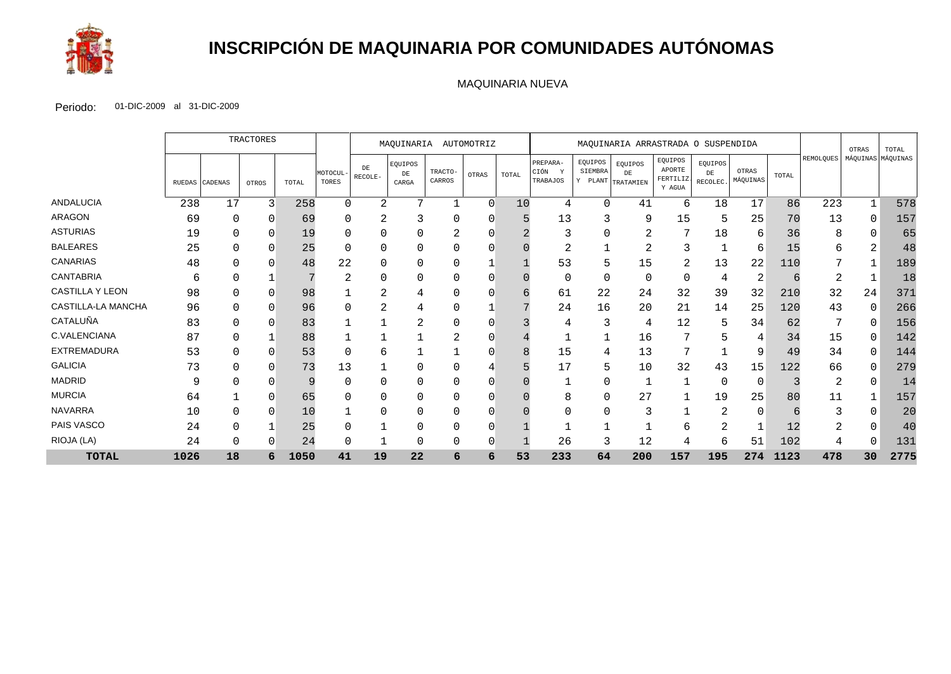

# **INSCRIPCIÓN DE MAQUINARIA POR COMUNIDADES AUTÓNOMAS**

#### MAQUINARIA NUEVA

|                        |        | TRACTORES      |       |       | MAOUINARIA<br>AUTOMOTRIZ |                       |                        | MAQUINARIA ARRASTRADA O SUSPENDIDA |        |       |                                          |                                         |               |                                         | OTRAS                     | TOTAL             |       |                  |                   |      |
|------------------------|--------|----------------|-------|-------|--------------------------|-----------------------|------------------------|------------------------------------|--------|-------|------------------------------------------|-----------------------------------------|---------------|-----------------------------------------|---------------------------|-------------------|-------|------------------|-------------------|------|
|                        | RUEDAS | <b>CADENAS</b> | OTROS | TOTAL | MOTOCUL<br>TORES         | ${\rm DE}$<br>RECOLE- | EQUIPOS<br>DE<br>CARGA | TRACTO-<br>CARROS                  | OTRAS  | TOTAL | PREPARA-<br>CIÓN<br><b>V</b><br>TRABAJOS | EQUIPOS<br>SIEMBRA<br>Y PLANT TRATAMIEN | EQUIPOS<br>DE | EQUIPOS<br>APORTE<br>FERTILIZ<br>Y AGUA | EQUIPOS<br>DE<br>RECOLEC. | OTRAS<br>MÁQUINAS | TOTAL | <b>REMOLQUES</b> | MÁQUINAS MÁQUINAS |      |
| ANDALUCIA              | 238    | 17             | 3     | 258   | $\Omega$                 | $\overline{a}$        | $\mathbf{r}$           |                                    | $\cap$ | 10    | 4                                        | $\Omega$                                | 41            | 6                                       | 18                        | 17                | 86    | 223              |                   | 578  |
| <b>ARAGON</b>          | 69     | 0              | 0     | 69    | 0                        | $\overline{2}$        |                        | 0                                  |        |       | 13                                       | 3                                       | 9             | 15                                      | 5                         | 25                | 70    | 13               | 0                 | 157  |
| <b>ASTURIAS</b>        | 19     | 0              | 0     | 19    |                          |                       |                        |                                    |        |       | 3                                        | 0                                       | 2             |                                         | 18                        | 6                 | 36    | 8                | 0                 | 65   |
| <b>BALEARES</b>        | 25     |                |       | 25    |                          |                       |                        |                                    |        |       | 2                                        |                                         | ∠             |                                         |                           | 6                 | 15    | 6                | ⌒                 | 48   |
| <b>CANARIAS</b>        | 48     |                |       | 48    | 22                       |                       | 0                      |                                    |        |       | 53                                       | 5                                       | 15            | 2                                       | 13                        | 22                | 110   |                  |                   | 189  |
| <b>CANTABRIA</b>       | 6      | 0              |       | 7     | 2                        |                       |                        | 0                                  |        |       | $\mathbf 0$                              | 0                                       | $\Omega$      | $\Omega$                                | $\overline{4}$            |                   | 6     | 2                |                   | 18   |
| <b>CASTILLA Y LEON</b> | 98     |                |       | 98    |                          | ⌒<br>∠                |                        |                                    |        |       | 61                                       | 22                                      | 24            | 32                                      | 39                        | 32                | 210   | 32               | 24                | 371  |
| CASTILLA-LA MANCHA     | 96     | 0              | 0     | 96    |                          | 2                     | 4                      |                                    |        |       | 24                                       | 16                                      | 20            | 21                                      | 14                        | 25                | 120   | 43               | 0                 | 266  |
| CATALUÑA               | 83     | 0              | 0     | 83    |                          |                       | 2                      | 0                                  |        |       | 4                                        | 3                                       | 4             | 12                                      | 5                         | 34                | 62    | 7                | 0                 | 156  |
| C.VALENCIANA           | 87     |                |       | 88    |                          |                       |                        |                                    |        |       |                                          |                                         | 16            |                                         |                           | 4                 | 34    | 15               | 0                 | 142  |
| <b>EXTREMADURA</b>     | 53     | 0              | 0     | 53    |                          | 6                     |                        |                                    |        |       | 15                                       | 4                                       | 13            |                                         |                           | 9                 | 49    | 34               | 0                 | 144  |
| <b>GALICIA</b>         | 73     | <sup>0</sup>   |       | 73    | 13                       |                       |                        |                                    |        |       | 17                                       | 5                                       | 10            | 32                                      | 43                        | 15                | 122   | 66               | O                 | 279  |
| <b>MADRID</b>          | 9      |                |       | 9     |                          |                       |                        |                                    |        |       |                                          |                                         |               |                                         | 0                         | $\overline{0}$    |       | 2                | 0                 | 14   |
| <b>MURCIA</b>          | 64     |                |       | 65    |                          |                       |                        |                                    |        |       | 8                                        | 0                                       | 27            |                                         | 19                        | 25                | 80    | 11               |                   | 157  |
| <b>NAVARRA</b>         | 10     | 0              |       | 10    |                          |                       |                        |                                    |        |       |                                          | 0                                       | 3             |                                         | $\mathcal{D}$             | $\Omega$          |       | 3                | O                 | 20   |
| PAIS VASCO             | 24     | 0              |       | 25    |                          |                       |                        |                                    |        |       |                                          |                                         |               | 6                                       | 2                         |                   | 12    | 2                | 0                 | 40   |
| RIOJA (LA)             | 24     | 0              |       | 24    |                          |                       |                        |                                    |        |       | 26                                       | 3                                       | 12            | 4                                       | 6                         | 51                | 102   |                  |                   | 131  |
| <b>TOTAL</b>           | 1026   | 18             | 6     | 1050  | 41                       | 19                    | 22                     | 6                                  | 6      | 53    | 233                                      | 64                                      | 200           | 157                                     | 195                       | 274               | 1123  | 478              | 30                | 2775 |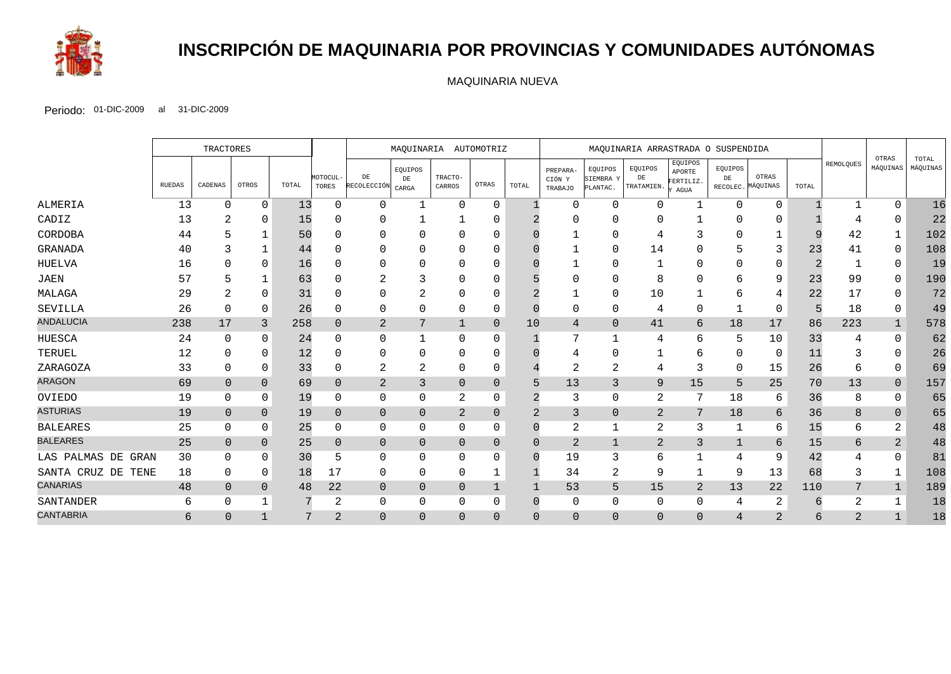

# **INSCRIPCIÓN DE MAQUINARIA POR PROVINCIAS Y COMUNIDADES AUTÓNOMAS**

MAQUINARIA NUEVA

|                    |               | <b>TRACTORES</b> |              |       | MAQUINARIA AUTOMOTRIZ |                         |                       |                   | MAQUINARIA ARRASTRADA O SUSPENDIDA |          |                               |                                  |                             |                                        |               |                            |       |                |                   |                   |
|--------------------|---------------|------------------|--------------|-------|-----------------------|-------------------------|-----------------------|-------------------|------------------------------------|----------|-------------------------------|----------------------------------|-----------------------------|----------------------------------------|---------------|----------------------------|-------|----------------|-------------------|-------------------|
|                    | <b>RUEDAS</b> | CADENAS          | OTROS        | TOTAL | MOTOCUL-<br>TORES     | DE<br>RECOLECCIÓN CARGA | EQUIPOS<br>${\rm DE}$ | TRACTO-<br>CARROS | OTRAS                              | TOTAL    | PREPARA-<br>CIÓN Y<br>TRABAJO | EQUIPOS<br>SIEMBRA Y<br>PLANTAC. | EQUIPOS<br>DE<br>TRATAMIEN. | EQUIPOS<br>APORTE<br>FERTILIZ.<br>AGUA | EQUIPOS<br>DE | OTRAS<br>RECOLEC. MÁQUINAS | TOTAL | REMOLQUES      | OTRAS<br>MÁQUINAS | TOTAL<br>MÁQUINAS |
| ALMERIA            | 13            | 0                | $\Omega$     | 13    | 0                     | $\Omega$                | -1                    | $\Omega$          | $\Omega$                           |          | $\Omega$                      | $\Omega$                         | 0                           | 1                                      | $\Omega$      | ∩                          |       |                | $\Omega$          | 16                |
| CADIZ              | 13            |                  | $\Omega$     | 15    |                       | 0                       |                       |                   |                                    |          |                               |                                  |                             |                                        |               |                            |       |                |                   | 22                |
| CORDOBA            | 44            |                  |              | 50    |                       | ∩                       |                       | ∩                 |                                    |          |                               |                                  |                             |                                        |               |                            |       | 42             |                   | 102               |
| GRANADA            | 40            |                  |              | 44    |                       | 0                       |                       | O                 |                                    |          |                               | $\Omega$                         | 14                          | $\Omega$                               |               | 3                          | 23    | 41             | 0                 | 108               |
| HUELVA             | 16            |                  | $\Omega$     | 16    |                       | 0                       |                       |                   |                                    |          |                               |                                  |                             | $\Omega$                               |               | $\Omega$                   |       |                | $\Omega$          | 19                |
| <b>JAEN</b>        | 57            |                  |              | 63    |                       | 2                       |                       | 0                 |                                    |          |                               |                                  | 8                           | $\Omega$                               |               | 9                          | 23    | 99             | $\Omega$          | 190               |
| MALAGA             | 29            |                  | $\Omega$     | 31    |                       | 0                       | ⌒                     | O                 |                                    |          |                               | $\Omega$                         | 10                          |                                        |               | 4                          | 22    | 17             | 0                 | 72                |
| SEVILLA            | 26            | U                | $\Omega$     | 26    | ∩                     | 0                       | ∩                     | 0                 | 0                                  |          | $\Omega$                      | $\Omega$                         | 4                           | $\Omega$                               |               | 0                          |       | 18             | 0                 | 49                |
| <b>ANDALUCIA</b>   | 238           | 17               | 3            | 258   | $\mathbf{0}$          | $\mathbf{2}$            | 7                     |                   | $\overline{0}$                     | 10       | 4                             | $\overline{0}$                   | 41                          | 6                                      | 18            | 17                         | 86    | 223            |                   | 578               |
| <b>HUESCA</b>      | 24            | $\Omega$         | $\Omega$     | 24    |                       | 0                       |                       | 0                 | 0                                  |          | 7                             |                                  | 4                           | 6                                      |               | 10                         | 33    |                | $\Omega$          | 62                |
| TERUEL             | 12            |                  | $\Omega$     | 12    |                       | $\Omega$                |                       | ∩                 |                                    |          |                               |                                  |                             | 6                                      |               | $\Omega$                   | 11    |                |                   | 26                |
| ZARAGOZA           | 33            | 0                | $\Omega$     | 33    |                       | $\overline{2}$          | $\overline{2}$        | 0                 | 0                                  |          | $\overline{2}$                | 2                                |                             | 3                                      | ∩             | 15                         | 26    |                | 0                 | 69                |
| <b>ARAGON</b>      | 69            | $\Omega$         | $\Omega$     | 69    | $\Omega$              | $\sqrt{2}$              | 3                     | $\Omega$          | $\overline{0}$                     | 5        | 13                            | 3                                | 9                           | 15                                     | 5             | 25                         | 70    | 13             | $\overline{0}$    | 157               |
| OVIEDO             | 19            | O                | 0            | 19    | $\Omega$              | 0                       | $\Omega$              | 2                 | 0                                  |          | 3                             | $\Omega$                         | 2                           | 7                                      | 18            | 6                          | 36    | 8              | $\Omega$          | 65                |
| <b>ASTURIAS</b>    | 19            | $\overline{0}$   | $\Omega$     | 19    | $\Omega$              | $\mathbf 0$             | $\mathbf{0}$          | $\overline{2}$    | $\Omega$                           | 2        | 3                             | $\overline{0}$                   | $\mathbf{2}$                | 7                                      | 18            | 6                          | 36    | 8              | $\Omega$          | 65                |
| <b>BALEARES</b>    | 25            |                  | 0            | 25    | $\Omega$              | 0                       | 0                     | 0                 | 0                                  |          | $\overline{a}$                |                                  | $\overline{2}$              | 3                                      |               | 6                          | 15    | 6              | $\overline{2}$    | 48                |
| <b>BALEARES</b>    | 25            | $\overline{0}$   | $\mathbf{0}$ | 25    | $\mathbf{0}$          | $\overline{0}$          | $\mathbf{0}$          | 0                 | $\overline{0}$                     | $\Omega$ | 2                             | $\mathbf{1}$                     | 2                           | 3                                      |               | 6                          | 15    | 6              | 2                 | 48                |
| LAS PALMAS DE GRAN | 30            | O                | $\Omega$     | 30    |                       | $\mathbf{0}$            | $\Omega$              | $\Omega$          | 0                                  |          | 19                            | 3                                | 6                           | 1                                      |               | 9                          | 42    |                | $\Omega$          | 81                |
| SANTA CRUZ DE TENE | 18            | 0                | $\Omega$     | 18    | 17                    | 0                       | $\Omega$              | 0                 |                                    |          | 34                            | 2                                | 9                           | 1                                      | 9             | 13                         | 68    | 3              |                   | 108               |
| <b>CANARIAS</b>    | 48            | $\Omega$         | $\Omega$     | 48    | 22                    | $\overline{0}$          | $\mathbf{0}$          | $\Omega$          |                                    |          | 53                            | 5                                | 15                          | 2                                      | 13            | 22                         | 110   | 7              |                   | 189               |
| SANTANDER          | 6             | 0                |              |       | 2                     | 0                       | 0                     | 0                 | 0                                  |          | 0                             | $\Omega$                         | 0                           | 0                                      | 4             | 2                          | 6     | $\overline{2}$ |                   | 18                |
| <b>CANTABRIA</b>   | 6             | $\Omega$         |              |       | 2                     | $\mathbf 0$             | $\Omega$              | $\Omega$          | $\Omega$                           | $\Omega$ | $\mathbf 0$                   | $\overline{0}$                   | $\overline{0}$              | $\Omega$                               | 4             | 2                          | 6     | $\overline{2}$ |                   | 18                |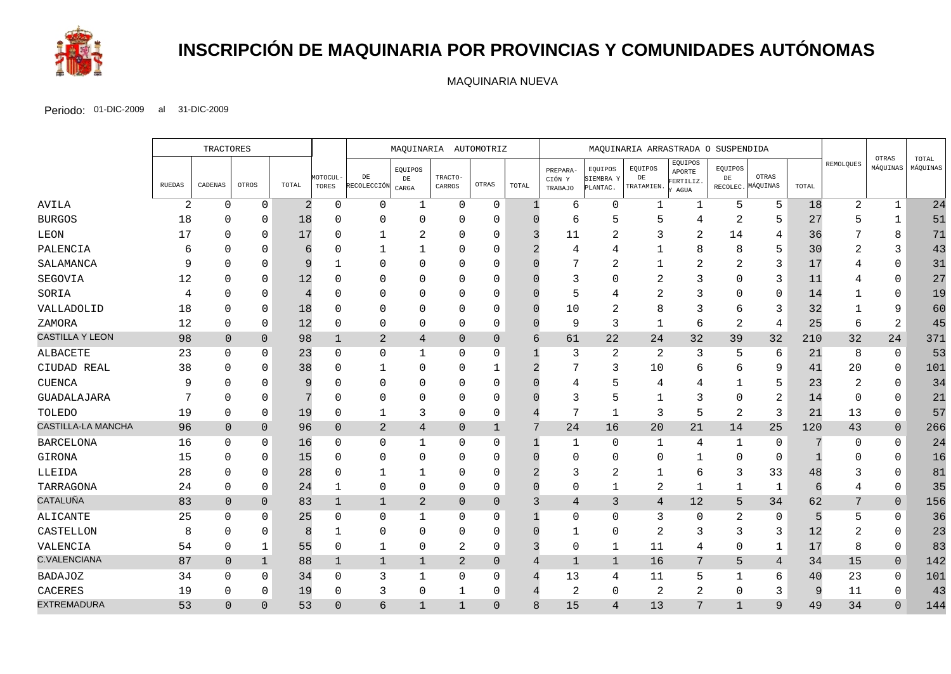

# **INSCRIPCIÓN DE MAQUINARIA POR PROVINCIAS Y COMUNIDADES AUTÓNOMAS**

MAQUINARIA NUEVA

|                     |               | <b>TRACTORES</b> |                |       |                   | MAQUINARIA AUTOMOTRIZ    |                               |                   | MAQUINARIA ARRASTRADA O SUSPENDIDA |              |                               |                                  |                             |                                        |               | OTRAS                      |       |                |                |                   |
|---------------------|---------------|------------------|----------------|-------|-------------------|--------------------------|-------------------------------|-------------------|------------------------------------|--------------|-------------------------------|----------------------------------|-----------------------------|----------------------------------------|---------------|----------------------------|-------|----------------|----------------|-------------------|
|                     | <b>RUEDAS</b> | CADENAS          | OTROS          | TOTAL | MOTOCUL-<br>TORES | $\rm{DE}$<br>RECOLECCIÓN | EQUIPOS<br>$\rm{DE}$<br>CARGA | TRACTO-<br>CARROS | OTRAS                              | TOTAL        | PREPARA-<br>CIÓN Y<br>TRABAJO | EQUIPOS<br>SIEMBRA Y<br>PLANTAC. | EQUIPOS<br>DE<br>TRATAMIEN. | EQUIPOS<br>APORTE<br>FERTILIZ.<br>AGUA | EQUIPOS<br>DE | OTRAS<br>RECOLEC. MÁQUINAS | TOTAL | REMOLQUES      | MÁQUINAS       | TOTAL<br>MÁQUINAS |
| AVILA               | 2             | $\Omega$         | $\mathbf 0$    | 2     | $\mathbf 0$       | $\mathsf{O}$             | 1                             | 0                 | $\mathbf 0$                        | -1           | 6                             | $\mathbf 0$                      | $\mathbf{1}$                | 1                                      | 5             | 5                          | 18    | 2              | $\mathbf{1}$   | 24                |
| <b>BURGOS</b>       | 18            | <sup>0</sup>     | $\Omega$       | 18    |                   | $\Omega$                 | $\Omega$                      | $\Omega$          | $\Omega$                           |              | 6                             | 5                                | 5                           | 4                                      | 2             | .5                         | 27    | 5              | 1              | 51                |
| LEON                | 17            | $\Omega$         | $\Omega$       | 17    |                   | 1                        | $\overline{2}$                | $\Omega$          | $\Omega$                           |              | 11                            | $\overline{2}$                   |                             | $\overline{2}$                         | 14            | 4                          | 36    |                | 8              | 71                |
| PALENCIA            | 6             |                  | $\Omega$       | 6     |                   |                          |                               | $\Omega$          | 0                                  |              |                               |                                  |                             | 8                                      | 8             | 5                          | 30    | 2              | 3              | 43                |
| SALAMANCA           | 9             | U                | $\Omega$       | 9     |                   | $\Omega$                 | $\Omega$                      | $\Omega$          | $\Omega$                           |              |                               | $\overline{2}$                   |                             | 2                                      | 2             | 3                          | 17    |                | $\Omega$       | 31                |
| SEGOVIA             | 12            | $\Omega$         | $\Omega$       | 12    |                   | $\Omega$                 | $\Omega$                      | $\Omega$          | $\Omega$                           |              | ς                             | $\Omega$                         | 2                           | 3                                      | $\Omega$      | 3                          | 11    |                | $\Omega$       | 27                |
| SORIA               | 4             | $\Omega$         | $\mathbf 0$    | 4     |                   | 0                        | $\Omega$                      | $\Omega$          | $\Omega$                           |              | 5                             | 4                                |                             | 3                                      | $\Omega$      | $\Omega$                   | 14    |                | $\Omega$       | 19                |
| VALLADOLID          | 18            | 0                | $\Omega$       | 18    |                   | 0                        | $\Omega$                      | $\Omega$          | $\Omega$                           |              | 10                            | $\overline{2}$                   | 8                           | 3                                      | 6             | 3                          | 32    |                | 9              | 60                |
| ZAMORA              | 12            | $\Omega$         | $\Omega$       | 12    |                   | $\mathbf 0$              | $\Omega$                      | $\Omega$          | $\Omega$                           |              | 9                             | $\overline{3}$                   | 1                           | 6                                      | 2             | 4                          | 25    | 6              | 2              | 45                |
| CASTILLA Y LEON     | 98            | $\overline{0}$   | $\overline{0}$ | 98    | 1                 | $\sqrt{2}$               | 4                             | $\overline{0}$    | $\overline{0}$                     | 6            | 61                            | 22                               | 24                          | 32                                     | 39            | 32                         | 210   | 32             | 24             | 371               |
| ALBACETE            | 23            | $\Omega$         | $\Omega$       | 23    | <sup>0</sup>      | 0                        | $\mathbf 1$                   | $\Omega$          | $\Omega$                           |              | 3                             | $\overline{2}$                   | 2                           | 3                                      | 5             | 6                          | 21    | 8              | 0              | 53                |
| CIUDAD REAL         | 38            | 0                | $\Omega$       | 38    |                   | $\mathbf{1}$             | $\Omega$                      | $\Omega$          | 1                                  |              | 7                             | 3                                | 10                          | 6                                      | 6             | 9                          | 41    | 20             | 0              | 101               |
| <b>CUENCA</b>       | 9             | <sup>0</sup>     | $\Omega$       | 9     |                   | 0                        | $\Omega$                      | $\Omega$          | $\Omega$                           |              |                               |                                  |                             | 4                                      |               | 5                          | 23    | $\overline{2}$ | $\Omega$       | 34                |
| GUADALAJARA         | 7             | <sup>0</sup>     | $\Omega$       |       |                   | 0                        | O                             | $\Omega$          | $\Omega$                           |              | 3                             | 5                                |                             | 3                                      | $\Omega$      | 2                          | 14    | $\Omega$       | 0              | 21                |
| TOLEDO              | 19            | 0                | $\Omega$       | 19    |                   | 1                        | 3                             | $\Omega$          | 0                                  |              | 7                             | $\mathbf{1}$                     | 3                           | 5                                      | 2             | 3                          | 21    | 13             | $\Omega$       | 57                |
| CASTILLA-LA MANCHA  | 96            | $\Omega$         | $\Omega$       | 96    | $\Omega$          | $\overline{2}$           | 4                             | $\overline{0}$    | $\mathbf{1}$                       | 7            | 24                            | 16                               | 20                          | 21                                     | 14            | 25                         | 120   | 43             | $\overline{0}$ | 266               |
| <b>BARCELONA</b>    | 16            | $\Omega$         | $\mathbf{0}$   | 16    |                   | 0                        | 1                             | $\Omega$          | 0                                  |              | $\mathbf{1}$                  | $\mathbf 0$                      | $\mathbf{1}$                | 4                                      | 1             | 0                          |       |                | $\Omega$       | 24                |
| GIRONA              | 15            | 0                | $\Omega$       | 15    |                   | $\mathbf 0$              | $\Omega$                      | $\Omega$          | $\Omega$                           |              | $\Omega$                      | $\Omega$                         | ∩                           |                                        | $\Omega$      | $\Omega$                   |       |                | $\Omega$       | 16                |
| LLEIDA              | 28            | <sup>0</sup>     | $\Omega$       | 28    |                   | $\mathbf{1}$             | 1                             | $\Omega$          | $\Omega$                           |              | 3                             | $\overline{2}$                   |                             | 6                                      | 3             | 33                         | 48    |                | $\Omega$       | 81                |
| TARRAGONA           | 24            | $\Omega$         | $\mathbf 0$    | 24    |                   | $\mathsf 0$              | $\mathbf 0$                   | $\Omega$          | $\mathbf 0$                        |              | $\mathbf 0$                   | $\mathbf{1}$                     | 2                           | $\mathbf 1$                            | 1             | $\mathbf{1}$               | 6     |                | $\mathbf 0$    | 35                |
| CATALUÑA            | 83            | $\mathbf{0}$     | $\Omega$       | 83    | 1                 | $\mathbf{1}$             | 2                             | $\overline{0}$    | $\overline{0}$                     | 3            | 4                             | 3                                | 4                           | $12$                                   | 5             | 34                         | 62    | 7              | $\overline{0}$ | 156               |
| ALICANTE            | 25            | $\Omega$         | $\Omega$       | 25    | $\cap$            | $\mathbf 0$              | $\mathbf{1}$                  | $\Omega$          | $\Omega$                           |              | $\mathbf 0$                   | $\Omega$                         | 3                           | 0                                      | 2             | $\Omega$                   |       | 5              | $\Omega$       | 36                |
| CASTELLON           | 8             | $\Omega$         | $\Omega$       | 8     |                   | $\mathbf 0$              | $\Omega$                      | $\Omega$          | $\Omega$                           |              | 1                             | $\mathbf 0$                      | $\overline{2}$              | 3                                      | 3             | 3                          | 12    | $\overline{2}$ | 0              | 23                |
| VALENCIA            | 54            | 0                | 1              | 55    | $\mathbf 0$       | $\mathbf 1$              | 0                             | $\overline{2}$    | 0                                  |              | 0                             | $\mathbf{1}$                     | 11                          | 4                                      | 0             | 1                          | 17    | 8              | 0              | 83                |
| <b>C.VALENCIANA</b> | 87            | $\overline{0}$   | $\mathbf 1$    | 88    | 1                 | $\mathbf{1}$             | $\mathbf 1$                   | 2                 | $\overline{0}$                     |              | $\mathbf{1}$                  | $\mathbf{1}$                     | 16                          | 7                                      | 5             | 4                          | 34    | 15             | $\mathbf 0$    | 142               |
| <b>BADAJOZ</b>      | 34            | $\Omega$         | $\Omega$       | 34    | $\Omega$          | 3                        | $\mathbf{1}$                  | $\Omega$          | $\Omega$                           |              | 13                            | 4                                | 11                          | 5                                      |               | 6                          | 40    | 23             | $\Omega$       | 101               |
| CACERES             | 19            | 0                | $\Omega$       | 19    | <sup>0</sup>      | 3                        | 0                             | 1                 | 0                                  |              | 2                             | $\mathbf 0$                      | 2                           | 2                                      | 0             | 3                          | 9     | 11             | 0              | 43                |
| <b>EXTREMADURA</b>  | 53            | $\Omega$         | $\Omega$       | 53    | $\Omega$          | 6                        | $\mathbf{1}$                  | $\mathbf 1$       | $\Omega$                           | $\mathsf{B}$ | 15                            | $\overline{4}$                   | 13                          | 7                                      |               | $\mathsf{Q}$               | 49    | 34             | $\Omega$       | 144               |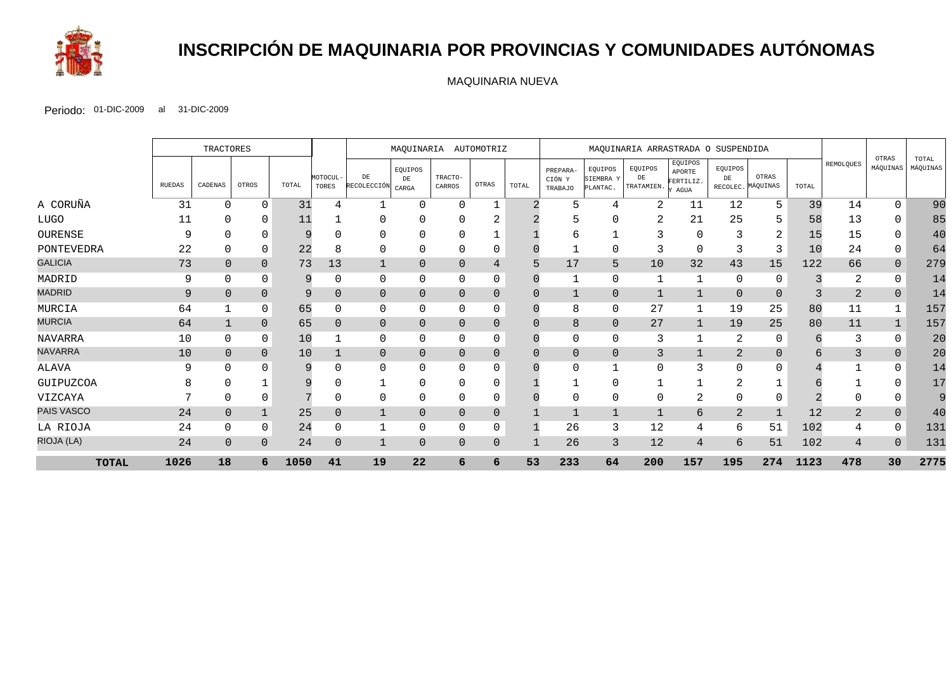

# **INSCRIPCIÓN DE MAQUINARIA POR PROVINCIAS Y COMUNIDADES AUTÓNOMAS**

MAQUINARIA NUEVA

|                   |                | TRACTORES      |                |       |                   | MAOUINARIA AUTOMOTRIZ    |                              |                   | MAQUINARIA ARRASTRADA O SUSPENDIDA |       |                               |                                  |                             |                                        |                           |                   |       |           |                   |                   |
|-------------------|----------------|----------------|----------------|-------|-------------------|--------------------------|------------------------------|-------------------|------------------------------------|-------|-------------------------------|----------------------------------|-----------------------------|----------------------------------------|---------------------------|-------------------|-------|-----------|-------------------|-------------------|
|                   | RUEDAS         | CADENAS        | OTROS          | TOTAL | MOTOCUL-<br>TORES | $\rm{DE}$<br>RECOLECCIÓN | EQUIPOS<br>DE<br>$\rm CARGA$ | TRACTO-<br>CARROS | OTRAS                              | TOTAL | PREPARA-<br>CIÓN Y<br>TRABAJO | EQUIPOS<br>SIEMBRA Y<br>PLANTAC. | EQUIPOS<br>DE<br>TRATAMIEN. | EQUIPOS<br>APORTE<br>FERTILIZ.<br>AGUA | EQUIPOS<br>DE<br>RECOLEC. | OTRAS<br>MÁQUINAS | TOTAL | REMOLQUES | OTRAS<br>MÁQUINAS | TOTAL<br>MÁQUINAS |
| A CORUÑA          | 31             | $\Omega$       | 0              | 31    |                   |                          | $\Omega$                     | $\Omega$          |                                    |       | 5                             | 4                                | 2                           | 11                                     | 12                        | 5                 | 39    | 14        | $\Omega$          | 90                |
| <b>LUGO</b>       | 11             |                |                | 11    |                   | $\Omega$                 |                              |                   | 4                                  |       |                               |                                  |                             | 21                                     | 25                        | כ                 | 58    | 13        |                   | 85                |
| OURENSE           | 9              |                |                | 9     |                   | $\Omega$                 | <sup>0</sup>                 | <sup>0</sup>      |                                    |       | 6                             |                                  |                             | 0                                      |                           | 2                 | 15    | 15        |                   | 40                |
| PONTEVEDRA        | 22             |                | 0              | 22    |                   | 0                        | $\Omega$                     | 0                 | 0                                  |       |                               | $\Omega$                         |                             | $\Omega$                               |                           | 3                 | 10    | 24        | 0                 | 64                |
| <b>GALICIA</b>    | 73             |                | $\overline{0}$ | 73    | 13                | $\mathbf 1$              | $\Omega$                     | $\Omega$          | 4                                  | 5     | 17                            | 5                                | 10                          | 32                                     | 43                        | 15                | 122   | 66        | $\overline{0}$    | 279               |
| MADRID            | 9              | $\Omega$       |                | 9     |                   | 0                        | $\Omega$                     | $\Omega$          | 0                                  |       |                               | $\mathbf 0$                      |                             |                                        | $\Omega$                  |                   |       | 2         |                   | 14                |
| <b>MADRID</b>     | $\overline{9}$ | $\overline{0}$ | $\Omega$       | 9     | 0                 | $\overline{0}$           | $\overline{0}$               | $\overline{0}$    | $\overline{0}$                     |       | $\mathbf{1}$                  | $\overline{0}$                   |                             | 1                                      | $\mathbf{0}$              |                   |       | 2         | $\overline{0}$    | 14                |
| MURCIA            | 64             |                | 0              | 65    |                   | 0                        | 0                            | $\Omega$          | 0                                  |       | 8                             | $\mathbf 0$                      | 27                          |                                        | 19                        | 25                | 80    | 11        |                   | 157               |
| <b>MURCIA</b>     | 64             |                | $\Omega$       | 65    |                   | $\overline{0}$           | $\Omega$                     | $\Omega$          | $\overline{0}$                     |       | 8                             | $\mathbf{0}$                     | 27                          |                                        | 19                        | 25                | 80    | 11        |                   | 157               |
| <b>NAVARRA</b>    | 10             | 0              | $\mathbf 0$    | 10    |                   | 0                        | 0                            | 0                 | 0                                  |       | 0                             | $\mathbf 0$                      | 3                           |                                        | 2                         | 0                 |       | 3         | $\Omega$          | 20                |
| <b>NAVARRA</b>    | 10             | $\overline{0}$ | $\overline{0}$ | 10    |                   | $\overline{0}$           | $\Omega$                     | $\Omega$          | 0                                  |       | $\overline{0}$                | $\overline{0}$                   | 3                           |                                        | $\overline{2}$            |                   | h     | 3         | $\overline{0}$    | 20                |
| ALAVA             | q              |                |                | 9     |                   | $\Omega$                 | <sup>0</sup>                 | <sup>0</sup>      | 0                                  |       | $\Omega$                      |                                  |                             | 3                                      | $\cap$                    |                   |       |           |                   | 14                |
| GUIPUZCOA         |                |                |                | 9     |                   | -1                       | $\Omega$                     | $\Omega$          | $\Omega$                           |       |                               | $\mathbf 0$                      |                             |                                        | $\sim$                    |                   |       |           |                   | 17                |
| VIZCAYA           |                |                |                |       |                   | 0                        | $\Omega$                     | $\Omega$          |                                    |       | 0                             | 0                                |                             | 2                                      |                           |                   |       |           |                   |                   |
| <b>PAIS VASCO</b> | 24             | $\Omega$       |                | 25    |                   | $\mathbf{1}$             | $\Omega$                     | $\Omega$          | 0                                  |       |                               |                                  |                             | 6                                      | 2                         |                   | 12    | 2         |                   | 40                |
| LA RIOJA          | 24             | $\Omega$       | 0              | 24    |                   | 1                        | $\Omega$                     | $\Omega$          | 0                                  |       | 26                            | 3                                | 12                          | 4                                      | 6                         | 51                | 102   |           | $\Omega$          | 131               |
| RIOJA (LA)        | 24             | $\Omega$       | $\Omega$       | 24    | $\Omega$          | $\mathbf{1}$             | $\Omega$                     | $\Omega$          | $\overline{0}$                     |       | 26                            | 3                                | 12                          | 4                                      | 6                         | 51                | 102   | 4         | $\Omega$          | 131               |
| <b>TOTAL</b>      | 1026           | 18             |                | 1050  | 41                | 19                       | 22                           | 6                 | 6                                  | 53    | 233                           | 64                               | 200                         | 157                                    | 195                       | 274               | 1123  | 478       | 30                | 2775              |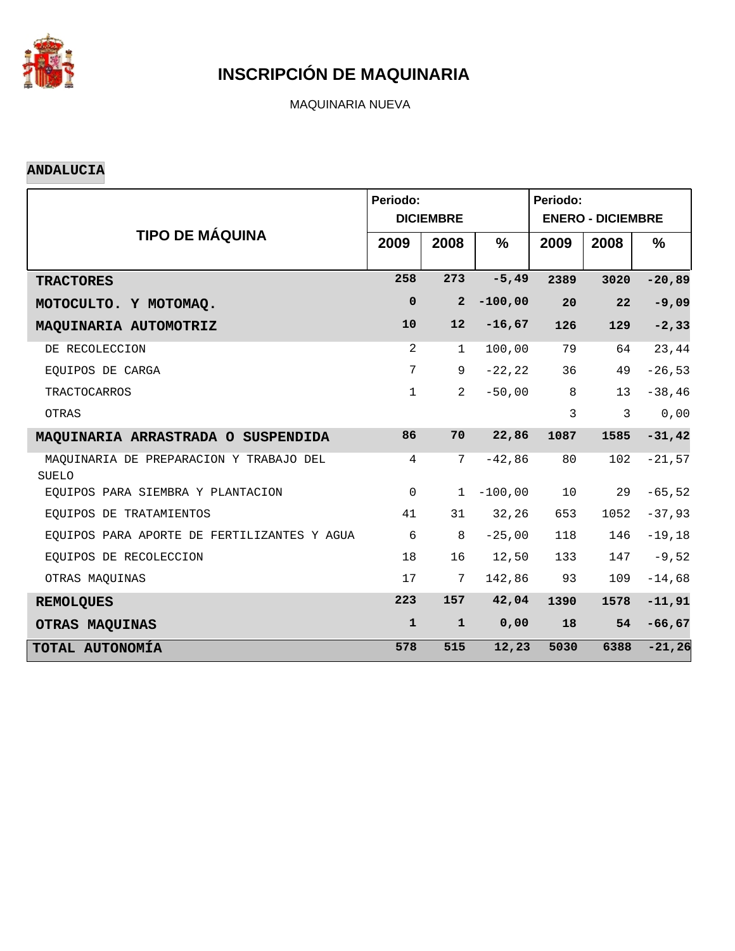

MAQUINARIA NUEVA

#### **ANDALUCIA**

|                                                  | Periodo:       | <b>DICIEMBRE</b> | Periodo:<br><b>ENERO - DICIEMBRE</b> |      |               |               |
|--------------------------------------------------|----------------|------------------|--------------------------------------|------|---------------|---------------|
| <b>TIPO DE MÁQUINA</b>                           | 2009           | 2008             | $\frac{0}{0}$                        | 2009 | 2008          | $\frac{9}{6}$ |
| <b>TRACTORES</b>                                 | 258            | 273              | $-5, 49$                             | 2389 | 3020          | $-20,89$      |
| MOTOCULTO. Y MOTOMAQ.                            | $\mathbf 0$    | $\overline{2}$   | $-100,00$                            | 20   | 22            | $-9,09$       |
| MAQUINARIA AUTOMOTRIZ                            | 10             | 12               | $-16,67$                             | 126  | 129           | $-2, 33$      |
| DE RECOLECCION                                   | 2              | $\mathbf 1$      | 100,00                               | 79   | 64            | 23,44         |
| EOUIPOS DE CARGA                                 | 7              | 9                | $-22, 22$                            | 36   | 49            | $-26,53$      |
| <b>TRACTOCARROS</b>                              | $\mathbf{1}$   | $\overline{a}$   | $-50,00$                             | 8    | 13            | $-38, 46$     |
| OTRAS                                            |                |                  |                                      | 3    | $\mathcal{E}$ | 0,00          |
| MAQUINARIA ARRASTRADA O SUSPENDIDA               | 86             | 70               | 22,86                                | 1087 | 1585          | $-31,42$      |
| MAQUINARIA DE PREPARACION Y TRABAJO DEL<br>SUELO | $\overline{4}$ | 7                | $-42,86$                             | 80   | 102           | $-21,57$      |
| EOUIPOS PARA SIEMBRA Y PLANTACION                | $\mathbf 0$    | $\mathbf{1}$     | $-100,00$                            | 10   | 29            | $-65, 52$     |
| EQUIPOS DE TRATAMIENTOS                          | 41             | 31               | 32, 26                               | 653  | 1052          | $-37,93$      |
| EQUIPOS PARA APORTE DE FERTILIZANTES Y AGUA      | 6              | 8                | $-25,00$                             | 118  | 146           | $-19,18$      |
| EQUIPOS DE RECOLECCION                           | 18             | 16               | 12,50                                | 133  | 147           | $-9,52$       |
| OTRAS MAQUINAS                                   | 17             | 7                | 142,86                               | 93   | 109           | $-14,68$      |
| <b>REMOLQUES</b>                                 | 223            | 157              | 42,04                                | 1390 | 1578          | $-11,91$      |
| OTRAS MAQUINAS                                   | $\mathbf{1}$   | $\mathbf{1}$     | 0,00                                 | 18   | 54            | $-66,67$      |
| TOTAL AUTONOMÍA                                  | 578            | 515              | 12,23                                | 5030 | 6388          | $-21, 26$     |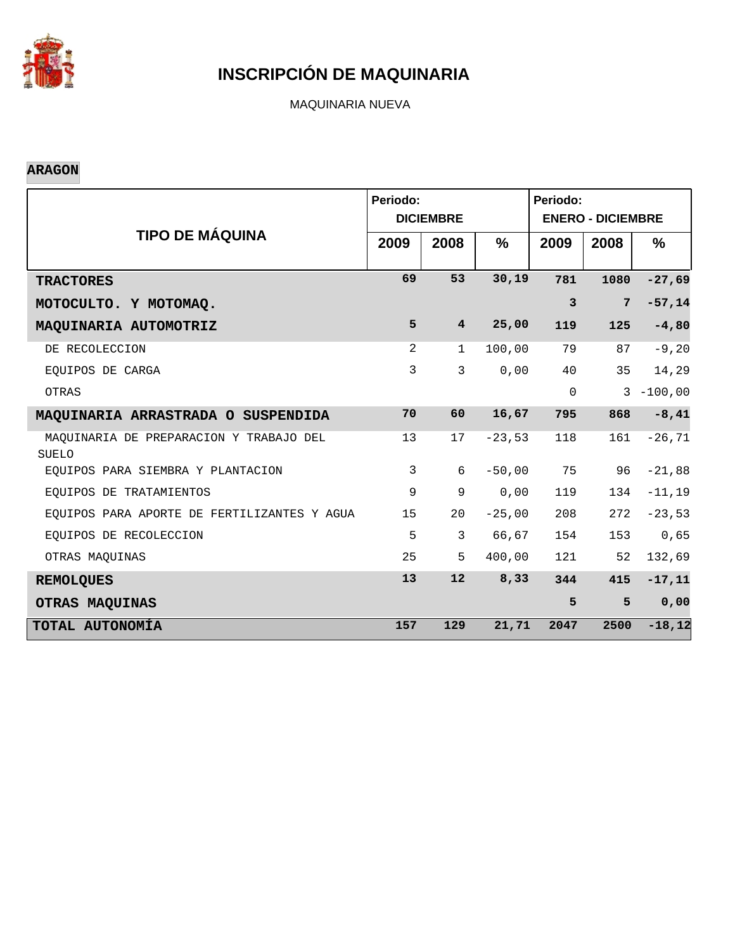

MAQUINARIA NUEVA

#### **ARAGON**

|                                                  | Periodo:       | <b>DICIEMBRE</b> |          | Periodo:<br><b>ENERO - DICIEMBRE</b> |                 |              |  |
|--------------------------------------------------|----------------|------------------|----------|--------------------------------------|-----------------|--------------|--|
| <b>TIPO DE MÁQUINA</b>                           | 2009           | 2008             | %        | 2009                                 | 2008            | $\%$         |  |
| <b>TRACTORES</b>                                 | 69             | 53               | 30,19    | 781                                  | 1080            | $-27,69$     |  |
| MOTOCULTO. Y MOTOMAQ.                            |                |                  |          | $\overline{3}$                       | $7\phantom{.0}$ | $-57,14$     |  |
| MAQUINARIA AUTOMOTRIZ                            | 5              | $\overline{4}$   | 25,00    | 119                                  | 125             | $-4,80$      |  |
| DE RECOLECCION                                   | 2              | $\mathbf{1}$     | 100,00   | 79                                   | 87              | $-9, 20$     |  |
| EOUIPOS DE CARGA                                 | 3              | 3                | 0,00     | 40                                   | 35              | 14,29        |  |
| OTRAS                                            |                |                  |          | $\mathsf{O}$                         |                 | $3 - 100,00$ |  |
| MAQUINARIA ARRASTRADA O SUSPENDIDA               | 70             | 60               | 16,67    | 795                                  | 868             | $-8,41$      |  |
| MAQUINARIA DE PREPARACION Y TRABAJO DEL<br>SUELO | 13             | 17               | $-23,53$ | 118                                  | 161             | $-26, 71$    |  |
| EQUIPOS PARA SIEMBRA Y PLANTACION                | $\overline{3}$ | 6                | $-50,00$ | 75                                   | 96              | $-21,88$     |  |
| EQUIPOS DE TRATAMIENTOS                          | 9              | 9                | 0,00     | 119                                  | 134             | $-11, 19$    |  |
| EQUIPOS PARA APORTE DE FERTILIZANTES Y AGUA      | 15             | 20               | $-25,00$ | 208                                  | 272             | $-23,53$     |  |
| EQUIPOS DE RECOLECCION                           | 5              | 3                | 66,67    | 154                                  | 153             | 0,65         |  |
| OTRAS MAQUINAS                                   | 25             | 5                | 400,00   | 121                                  | 52              | 132,69       |  |
| <b>REMOLQUES</b>                                 | 13             | 12               | 8,33     | 344                                  | 415             | $-17,11$     |  |
| OTRAS MAQUINAS                                   |                |                  |          | 5                                    | 5               | 0,00         |  |
| TOTAL AUTONOMÍA                                  | 157            | 129              | 21,71    | 2047                                 | 2500            | $-18, 12$    |  |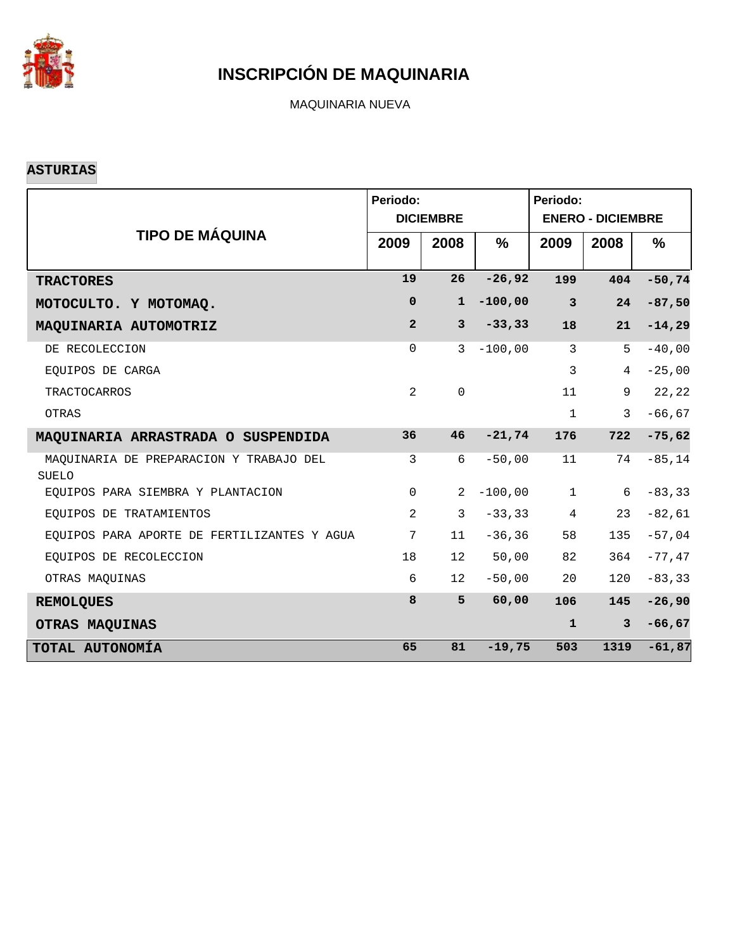

MAQUINARIA NUEVA

#### **ASTURIAS**

|                                                         | Periodo:       | <b>DICIEMBRE</b> |               | Periodo:<br><b>ENERO - DICIEMBRE</b> |                |               |  |
|---------------------------------------------------------|----------------|------------------|---------------|--------------------------------------|----------------|---------------|--|
| <b>TIPO DE MÁQUINA</b>                                  | 2009           | 2008             | $\frac{9}{6}$ | 2009                                 | 2008           | $\frac{9}{6}$ |  |
| <b>TRACTORES</b>                                        | 19             | 26               | $-26,92$      | 199                                  | 404            | $-50,74$      |  |
| MOTOCULTO. Y MOTOMAQ.                                   | $\mathbf 0$    | $\mathbf{1}$     | $-100,00$     | $\overline{\mathbf{3}}$              | 24             | $-87,50$      |  |
| MAQUINARIA AUTOMOTRIZ                                   | $\overline{2}$ | $\mathbf{3}$     | $-33, 33$     | 18                                   | 21             | $-14,29$      |  |
| DE RECOLECCION                                          | $\Omega$       | $\mathcal{E}$    | $-100,00$     | 3                                    | 5              | $-40,00$      |  |
| EQUIPOS DE CARGA                                        |                |                  |               | $\mathbf{3}$                         | 4              | $-25,00$      |  |
| <b>TRACTOCARROS</b>                                     | 2              | $\Omega$         |               | 11                                   | 9              | 22,22         |  |
| OTRAS                                                   |                |                  |               | $\mathbf{1}$                         | 3              | $-66, 67$     |  |
| MAQUINARIA ARRASTRADA O SUSPENDIDA                      | 36             | 46               | $-21,74$      | 176                                  | 722            | $-75,62$      |  |
| MAQUINARIA DE PREPARACION Y TRABAJO DEL<br><b>SUELO</b> | 3              | 6                | $-50,00$      | 11                                   | 74             | $-85, 14$     |  |
| EQUIPOS PARA SIEMBRA Y PLANTACION                       | $\mathsf{O}$   | 2                | $-100,00$     | $\mathbf{1}$                         | 6              | $-83, 33$     |  |
| EQUIPOS DE TRATAMIENTOS                                 | 2              | 3                | $-33, 33$     | $\overline{4}$                       | 23             | $-82,61$      |  |
| EOUIPOS PARA APORTE DE FERTILIZANTES Y AGUA             | 7              | 11               | $-36, 36$     | 58                                   | 135            | $-57,04$      |  |
| EOUIPOS DE RECOLECCION                                  | 18             | 12 <sup>°</sup>  | 50,00         | 82                                   | 364            | $-77,47$      |  |
| OTRAS MAOUINAS                                          | 6              | 12               | $-50,00$      | 20                                   | 120            | $-83, 33$     |  |
| <b>REMOLQUES</b>                                        | 8              | 5                | 60,00         | 106                                  | 145            | $-26,90$      |  |
| OTRAS MAQUINAS                                          |                |                  |               | $\mathbf{1}$                         | $\overline{3}$ | $-66,67$      |  |
| TOTAL AUTONOMÍA                                         | 65             | 81               | $-19,75$      | 503                                  | 1319           | $-61,87$      |  |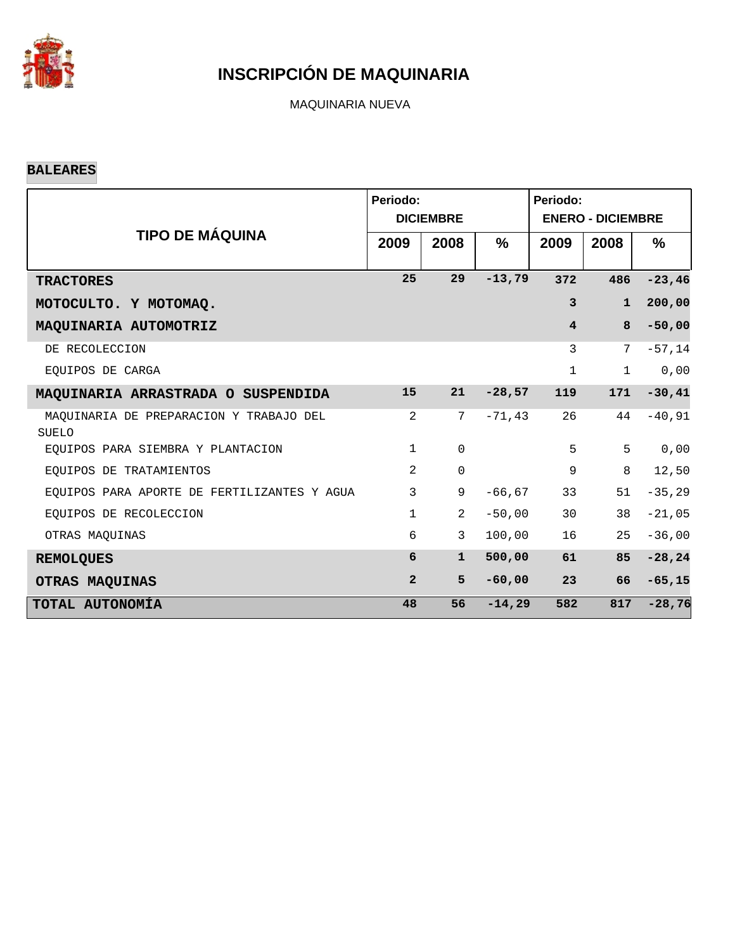

MAQUINARIA NUEVA

#### **BALEARES**

|                                                         | Periodo:       | <b>DICIEMBRE</b> |               | Periodo:<br><b>ENERO - DICIEMBRE</b> |             |           |  |
|---------------------------------------------------------|----------------|------------------|---------------|--------------------------------------|-------------|-----------|--|
| <b>TIPO DE MÁQUINA</b>                                  | 2009           | 2008             | $\frac{9}{6}$ | 2009                                 | 2008        | $\%$      |  |
| <b>TRACTORES</b>                                        | 25             | 29               | $-13,79$      | 372                                  | 486         | $-23, 46$ |  |
| MOTOCULTO. Y MOTOMAQ.                                   |                |                  |               | $\overline{3}$                       | $\mathbf 1$ | 200,00    |  |
| MAQUINARIA AUTOMOTRIZ                                   |                |                  |               | $\overline{\mathbf{4}}$              | 8           | $-50,00$  |  |
| DE RECOLECCION                                          |                |                  |               | 3                                    | 7           | $-57,14$  |  |
| EOUIPOS DE CARGA                                        |                |                  |               | $\mathbf 1$                          | $\mathbf 1$ | 0,00      |  |
| MAQUINARIA ARRASTRADA O SUSPENDIDA                      | 15             | 21               | $-28,57$      | 119                                  | 171         | $-30,41$  |  |
| MAOUINARIA DE PREPARACION Y TRABAJO DEL<br><b>SUELO</b> | 2              | 7                | $-71, 43$     | 26                                   | 44          | $-40, 91$ |  |
| EOUIPOS PARA SIEMBRA Y PLANTACION                       | $\mathbf{1}$   | $\mathbf 0$      |               | 5                                    | 5           | 0,00      |  |
| EOUIPOS DE TRATAMIENTOS                                 | 2              | $\mathbf 0$      |               | 9                                    | 8           | 12,50     |  |
| EQUIPOS PARA APORTE DE FERTILIZANTES Y AGUA             | 3              | 9                | $-66, 67$     | 33                                   | 51          | $-35, 29$ |  |
| EQUIPOS DE RECOLECCION                                  | $\mathbf{1}$   | $\overline{2}$   | $-50,00$      | 30                                   | 38          | $-21,05$  |  |
| OTRAS MAQUINAS                                          | 6              | 3                | 100,00        | 16                                   | 25          | $-36,00$  |  |
| <b>REMOLQUES</b>                                        | 6              | $\mathbf{1}$     | 500,00        | 61                                   | 85          | $-28, 24$ |  |
| OTRAS MAQUINAS                                          | $\overline{2}$ | 5                | $-60,00$      | 23                                   | 66          | $-65, 15$ |  |
| TOTAL AUTONOMÍA                                         | 48             | 56               | $-14,29$      | 582                                  | 817         | $-28,76$  |  |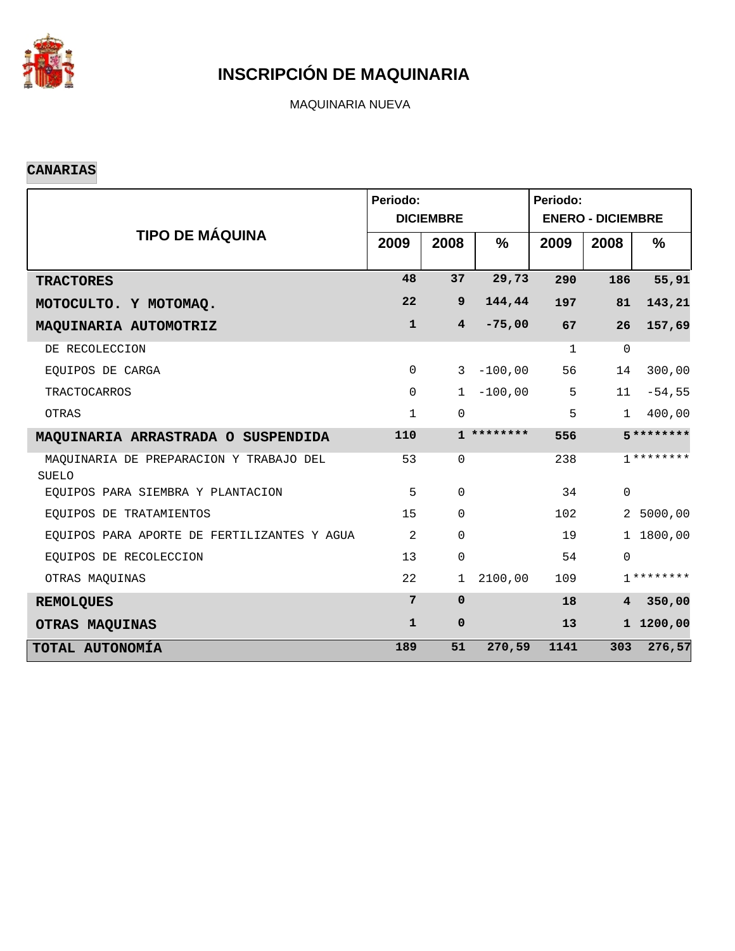

MAQUINARIA NUEVA

#### **CANARIAS**

|                                                  | Periodo:     | <b>DICIEMBRE</b> |               | Periodo:<br><b>ENERO - DICIEMBRE</b> |                |               |  |
|--------------------------------------------------|--------------|------------------|---------------|--------------------------------------|----------------|---------------|--|
| <b>TIPO DE MÁQUINA</b>                           | 2009         | 2008             | $\frac{0}{0}$ | 2009                                 | 2008           | $\frac{9}{6}$ |  |
| <b>TRACTORES</b>                                 | 48           | 37               | 29,73         | 290                                  | 186            | 55,91         |  |
| MOTOCULTO. Y MOTOMAQ.                            | 22           | 9                | 144,44        | 197                                  | 81             | 143,21        |  |
| MAQUINARIA AUTOMOTRIZ                            | $\mathbf{1}$ | $\overline{4}$   | $-75,00$      | 67                                   | 26             | 157,69        |  |
| DE RECOLECCION                                   |              |                  |               | $\mathbf{1}$                         | $\mathbf 0$    |               |  |
| EQUIPOS DE CARGA                                 | $\mathsf{O}$ | $\mathbf{3}$     | $-100,00$     | 56                                   | 14             | 300,00        |  |
| <b>TRACTOCARROS</b>                              | $\Omega$     | $\mathbf{1}$     | $-100,00$     | 5                                    | 11             | $-54,55$      |  |
| OTRAS                                            | $\mathbf{1}$ | $\mathbf 0$      |               | 5                                    | $\mathbf{1}$   | 400,00        |  |
| MAQUINARIA ARRASTRADA O SUSPENDIDA               | 110          |                  | $1**********$ | 556                                  |                | $5*********$  |  |
| MAQUINARIA DE PREPARACION Y TRABAJO DEL<br>SUELO | 53           | $\Omega$         |               | 238                                  |                | $7*******$    |  |
| EOUIPOS PARA SIEMBRA Y PLANTACION                | 5            | $\Omega$         |               | 34                                   | $\mathbf 0$    |               |  |
| EQUIPOS DE TRATAMIENTOS                          | 15           | $\mathbf 0$      |               | 102                                  |                | 2 5000,00     |  |
| EQUIPOS PARA APORTE DE FERTILIZANTES Y AGUA      | 2            | $\Omega$         |               | 19                                   |                | 1 1800,00     |  |
| EQUIPOS DE RECOLECCION                           | 13           | $\mathbf 0$      |               | 54                                   | $\Omega$       |               |  |
| OTRAS MAQUINAS                                   | 22           | 1                | 2100,00       | 109                                  |                | $7*******$    |  |
| <b>REMOLQUES</b>                                 | 7            | $\Omega$         |               | 18                                   | $\overline{4}$ | 350,00        |  |
| OTRAS MAQUINAS                                   | $\mathbf{1}$ | $\mathbf 0$      |               | 13                                   |                | 1 1200,00     |  |
| TOTAL AUTONOMÍA                                  | 189          | 51               | 270,59        | 1141                                 | 303            | 276,57        |  |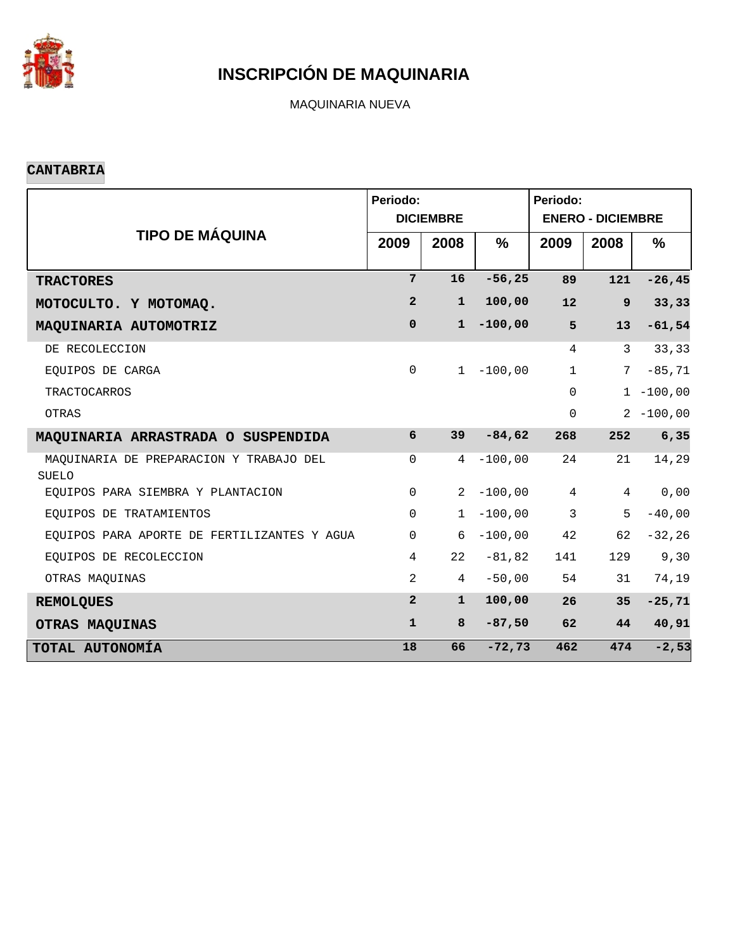

MAQUINARIA NUEVA

#### **CANTABRIA**

|                                                  | Periodo:       | <b>DICIEMBRE</b> |               | Periodo:<br><b>ENERO - DICIEMBRE</b> |              |               |  |
|--------------------------------------------------|----------------|------------------|---------------|--------------------------------------|--------------|---------------|--|
| <b>TIPO DE MÁQUINA</b>                           | 2009           | 2008             | $\frac{0}{0}$ | 2009                                 | 2008         | $\frac{9}{6}$ |  |
| <b>TRACTORES</b>                                 | $7\phantom{.}$ | 16               | $-56, 25$     | 89                                   | 121          | $-26, 45$     |  |
| MOTOCULTO. Y MOTOMAQ.                            | $\overline{2}$ | $\mathbf{1}$     | 100,00        | 12                                   | 9            | 33,33         |  |
| MAQUINARIA AUTOMOTRIZ                            | $\mathbf 0$    | $\mathbf{1}$     | $-100,00$     | 5                                    | 13           | $-61,54$      |  |
| DE RECOLECCION                                   |                |                  |               | 4                                    | $\mathbf{3}$ | 33,33         |  |
| EQUIPOS DE CARGA                                 | $\mathbf 0$    | 1                | $-100,00$     | $\mathbf{1}$                         | 7            | $-85, 71$     |  |
| <b>TRACTOCARROS</b>                              |                |                  |               | $\Omega$                             |              | $1 - 100,00$  |  |
| OTRAS                                            |                |                  |               | $\mathbf 0$                          |              | $2 - 100,00$  |  |
| MAQUINARIA ARRASTRADA O SUSPENDIDA               | 6              | 39 <sup>°</sup>  | $-84,62$      | 268                                  | 252          | 6, 35         |  |
| MAQUINARIA DE PREPARACION Y TRABAJO DEL<br>SUELO | $\mathbf 0$    | $\overline{4}$   | $-100,00$     | 24                                   | 21           | 14,29         |  |
| EOUIPOS PARA SIEMBRA Y PLANTACION                | $\Omega$       | 2                | $-100,00$     | $4\overline{ }$                      | 4            | 0,00          |  |
| EQUIPOS DE TRATAMIENTOS                          | $\Omega$       | $\mathbf{1}$     | $-100,00$     | $\mathbf{3}$                         | 5            | $-40,00$      |  |
| EQUIPOS PARA APORTE DE FERTILIZANTES Y AGUA      | $\Omega$       | 6                | $-100,00$     | 42                                   | 62           | $-32,26$      |  |
| EQUIPOS DE RECOLECCION                           | $\overline{4}$ | 22               | $-81,82$      | 141                                  | 129          | 9,30          |  |
| OTRAS MAQUINAS                                   | 2              | $\overline{4}$   | $-50,00$      | 54                                   | 31           | 74,19         |  |
| <b>REMOLQUES</b>                                 | $\overline{2}$ | $\mathbf{1}$     | 100,00        | 26                                   | 35           | $-25,71$      |  |
| OTRAS MAQUINAS                                   | $\mathbf{1}$   | 8                | $-87,50$      | 62                                   | 44           | 40,91         |  |
| TOTAL AUTONOMÍA                                  | 18             | 66               | $-72,73$      | 462                                  | 474          | $-2,53$       |  |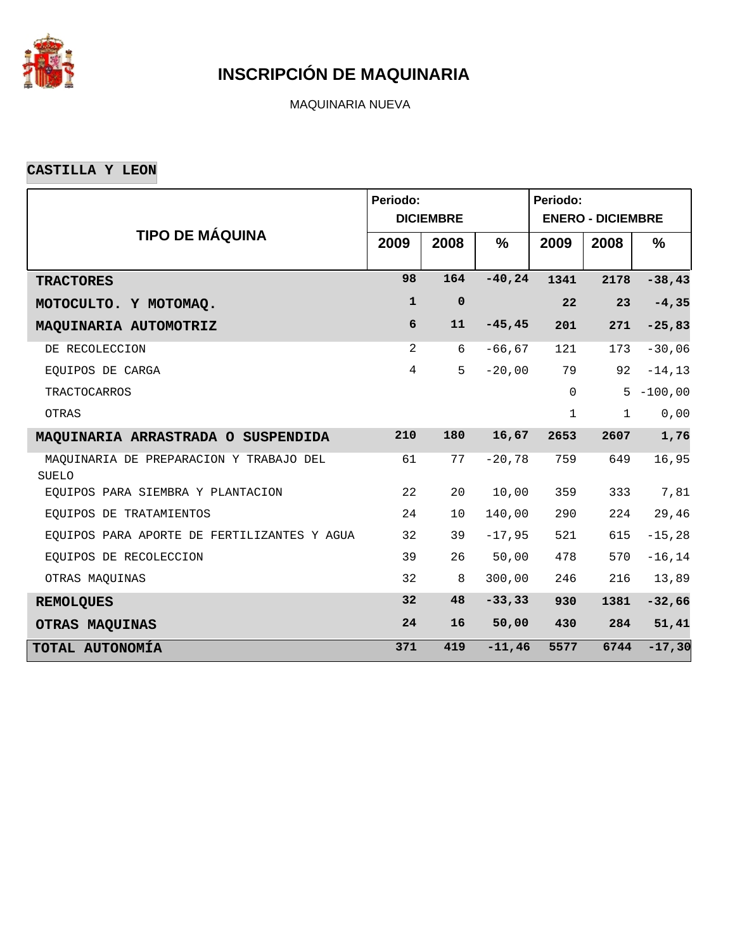

MAQUINARIA NUEVA

**CASTILLA Y LEON**

|                                                  | Periodo:       |                  |               | Periodo:     |                          |               |
|--------------------------------------------------|----------------|------------------|---------------|--------------|--------------------------|---------------|
|                                                  |                | <b>DICIEMBRE</b> |               |              | <b>ENERO - DICIEMBRE</b> |               |
| <b>TIPO DE MÁQUINA</b>                           | 2009           | 2008             | $\frac{9}{6}$ | 2009         | 2008                     | $\frac{9}{6}$ |
| <b>TRACTORES</b>                                 | 98             | 164              | $-40, 24$     | 1341         | 2178                     | $-38,43$      |
| MOTOCULTO. Y MOTOMAQ.                            | $\mathbf{1}$   | $\mathbf 0$      |               | 22           | 23                       | $-4, 35$      |
| MAQUINARIA AUTOMOTRIZ                            | 6              | 11               | $-45, 45$     | 201          | 271                      | $-25,83$      |
| DE RECOLECCION                                   | 2              | 6                | $-66, 67$     | 121          | 173                      | $-30,06$      |
| EQUIPOS DE CARGA                                 | $\overline{4}$ | 5                | $-20,00$      | 79           | 92                       | $-14, 13$     |
| <b>TRACTOCARROS</b>                              |                |                  |               | $\mathbf 0$  | 5                        | $-100,00$     |
| OTRAS                                            |                |                  |               | $\mathbf{1}$ | $\mathbf{1}$             | 0,00          |
| MAQUINARIA ARRASTRADA O SUSPENDIDA               | 210            | 180              | 16,67         | 2653         | 2607                     | 1,76          |
| MAQUINARIA DE PREPARACION Y TRABAJO DEL<br>SUELO | 61             | 77               | $-20,78$      | 759          | 649                      | 16,95         |
| EQUIPOS PARA SIEMBRA Y PLANTACION                | 22             | 20               | 10,00         | 359          | 333                      | 7,81          |
| EQUIPOS DE TRATAMIENTOS                          | 24             | 10 <sup>°</sup>  | 140,00        | 290          | 224                      | 29,46         |
| EQUIPOS PARA APORTE DE FERTILIZANTES Y AGUA      | 32             | 39               | $-17,95$      | 521          | 615                      | $-15, 28$     |
| EQUIPOS DE RECOLECCION                           | 39             | 26               | 50,00         | 478          | 570                      | $-16, 14$     |
| OTRAS MAQUINAS                                   | 32             | 8                | 300,00        | 246          | 216                      | 13,89         |
| <b>REMOLQUES</b>                                 | 32             | 48               | $-33, 33$     | 930          | 1381                     | $-32,66$      |
| OTRAS MAQUINAS                                   | 24             | 16               | 50,00         | 430          | 284                      | 51,41         |
| TOTAL AUTONOMÍA                                  | 371            | 419              | $-11,46$      | 5577         | 6744                     | $-17,30$      |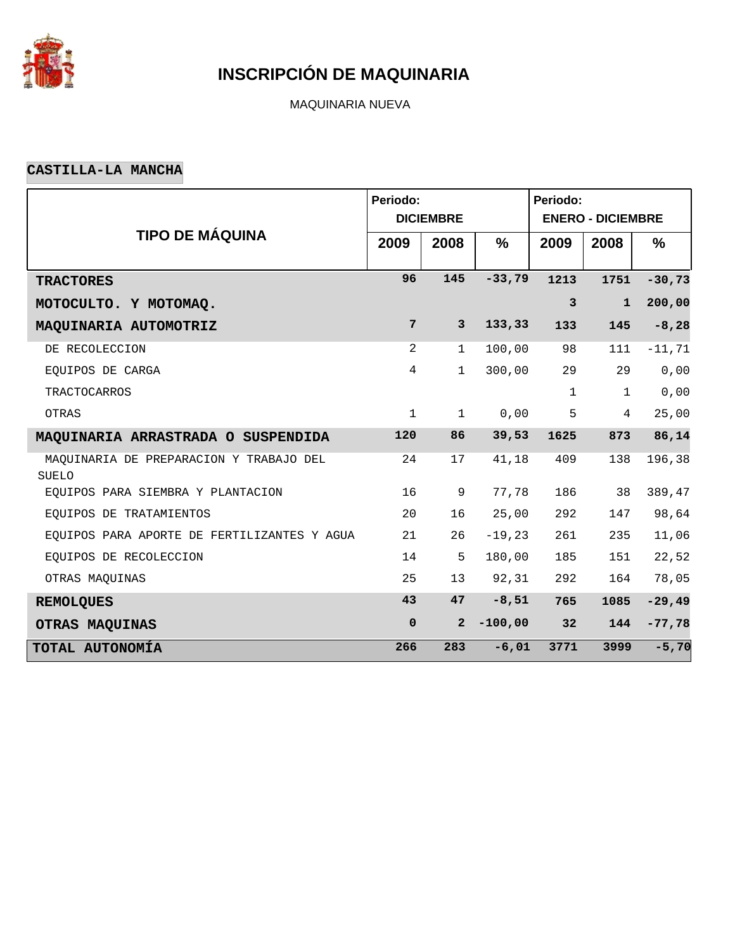

MAQUINARIA NUEVA

#### **CASTILLA-LA MANCHA**

|                                                         | Periodo:       |                  |               | Periodo:     |                          |               |
|---------------------------------------------------------|----------------|------------------|---------------|--------------|--------------------------|---------------|
|                                                         |                | <b>DICIEMBRE</b> |               |              | <b>ENERO - DICIEMBRE</b> |               |
| <b>TIPO DE MÁQUINA</b>                                  | 2009           | 2008             | $\frac{9}{6}$ | 2009         | 2008                     | $\frac{9}{6}$ |
| <b>TRACTORES</b>                                        | 96             | 145              | $-33,79$      | 1213         | 1751                     | $-30,73$      |
| MOTOCULTO. Y MOTOMAQ.                                   |                |                  |               | $\mathbf{3}$ | $\mathbf{1}$             | 200,00        |
| MAQUINARIA AUTOMOTRIZ                                   | $7\phantom{.}$ | $\mathbf{3}$     | 133,33        | 133          | 145                      | $-8, 28$      |
| DE RECOLECCION                                          | 2              | $\mathbf{1}$     | 100,00        | 98           | 111                      | $-11, 71$     |
| EQUIPOS DE CARGA                                        | $\overline{4}$ | $\mathbf{1}$     | 300,00        | 29           | 29                       | 0,00          |
| <b>TRACTOCARROS</b>                                     |                |                  |               | $\mathbf{1}$ | $\mathbf{1}$             | 0,00          |
| OTRAS                                                   | $\mathbf{1}$   | $\mathbf{1}$     | 0,00          | 5            | $\overline{4}$           | 25,00         |
| MAQUINARIA ARRASTRADA O SUSPENDIDA                      | 120            | 86               | 39,53         | 1625         | 873                      | 86,14         |
| MAQUINARIA DE PREPARACION Y TRABAJO DEL<br><b>SUELO</b> | 24             | 17               | 41,18         | 409          | 138                      | 196,38        |
| EOUIPOS PARA SIEMBRA Y PLANTACION                       | 16             | 9                | 77,78         | 186          | 38                       | 389,47        |
| EQUIPOS DE TRATAMIENTOS                                 | 20             | 16               | 25,00         | 292          | 147                      | 98,64         |
| EQUIPOS PARA APORTE DE FERTILIZANTES Y AGUA             | 21             | 26               | $-19,23$      | 261          | 235                      | 11,06         |
| EQUIPOS DE RECOLECCION                                  | 14             | 5                | 180,00        | 185          | 151                      | 22,52         |
| OTRAS MAQUINAS                                          | 25             | 13               | 92,31         | 292          | 164                      | 78,05         |
| <b>REMOLQUES</b>                                        | 43             | 47               | $-8,51$       | 765          | 1085                     | $-29,49$      |
| OTRAS MAQUINAS                                          | $\pmb{0}$      | $\overline{2}$   | $-100,00$     | 32           | 144                      | $-77,78$      |
| TOTAL AUTONOMÍA                                         | 266            | 283              | $-6,01$       | 3771         | 3999                     | $-5,70$       |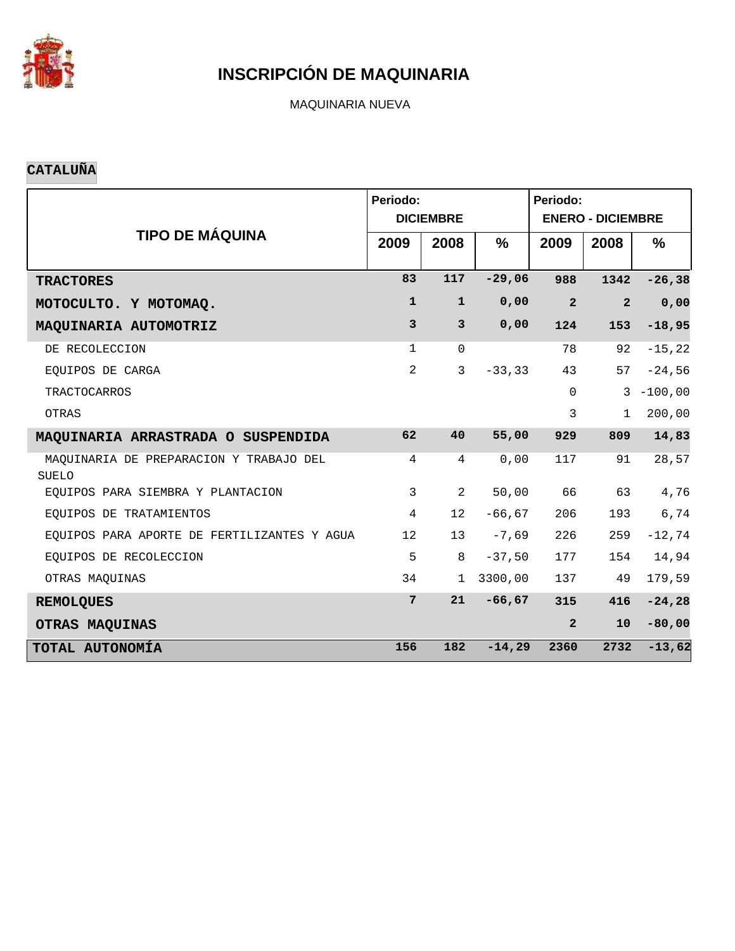

MAQUINARIA NUEVA

#### **CATALUÑA**

|                                                         | Periodo:       | <b>DICIEMBRE</b> |               | Periodo:<br><b>ENERO - DICIEMBRE</b> |                |              |  |  |
|---------------------------------------------------------|----------------|------------------|---------------|--------------------------------------|----------------|--------------|--|--|
| <b>TIPO DE MÁQUINA</b>                                  | 2009           | 2008             | $\frac{9}{6}$ | 2009                                 | 2008           | $\%$         |  |  |
| <b>TRACTORES</b>                                        | 83             | 117              | $-29,06$      | 988                                  | 1342           | $-26, 38$    |  |  |
| MOTOCULTO. Y MOTOMAQ.                                   | $\mathbf{1}$   | $\mathbf{1}$     | 0,00          | $\overline{2}$                       | $\overline{2}$ | 0,00         |  |  |
| MAQUINARIA AUTOMOTRIZ                                   | $\mathbf{3}$   | $\mathbf{3}$     | 0,00          | 124                                  | 153            | $-18,95$     |  |  |
| DE RECOLECCION                                          | $\mathbf 1$    | $\Omega$         |               | 78                                   | 92             | $-15, 22$    |  |  |
| EQUIPOS DE CARGA                                        | $\overline{a}$ | $\mathbf{3}$     | $-33, 33$     | 43                                   | 57             | $-24,56$     |  |  |
| <b>TRACTOCARROS</b>                                     |                |                  |               | $\Omega$                             |                | $3 - 100,00$ |  |  |
| OTRAS                                                   |                |                  |               | 3                                    | $\mathbf{1}$   | 200,00       |  |  |
| MAQUINARIA ARRASTRADA O SUSPENDIDA                      | 62             | 40               | 55,00         | 929                                  | 809            | 14,83        |  |  |
| MAQUINARIA DE PREPARACION Y TRABAJO DEL<br><b>SUELO</b> | 4              | 4                | 0,00          | 117                                  | 91             | 28,57        |  |  |
| EOUIPOS PARA SIEMBRA Y PLANTACION                       | $\mathbf{3}$   | $\overline{a}$   | 50,00         | 66                                   | 63             | 4,76         |  |  |
| EQUIPOS DE TRATAMIENTOS                                 | 4              | 12               | $-66,67$      | 206                                  | 193            | 6,74         |  |  |
| EQUIPOS PARA APORTE DE FERTILIZANTES Y AGUA             | 12             | 13               | $-7,69$       | 226                                  | 259            | $-12,74$     |  |  |
| EQUIPOS DE RECOLECCION                                  | 5              | 8                | $-37,50$      | 177                                  | 154            | 14,94        |  |  |
| OTRAS MAQUINAS                                          | 34             | $\mathbf{1}$     | 3300,00       | 137                                  | 49             | 179,59       |  |  |
| <b>REMOLQUES</b>                                        | $7\phantom{.}$ | 21               | $-66, 67$     | 315                                  | 416            | $-24, 28$    |  |  |
| OTRAS MAQUINAS                                          |                |                  |               | $\overline{2}$                       | 10             | $-80,00$     |  |  |
| TOTAL AUTONOMÍA                                         | 156            | 182              | $-14,29$      | 2360                                 | 2732           | $-13,62$     |  |  |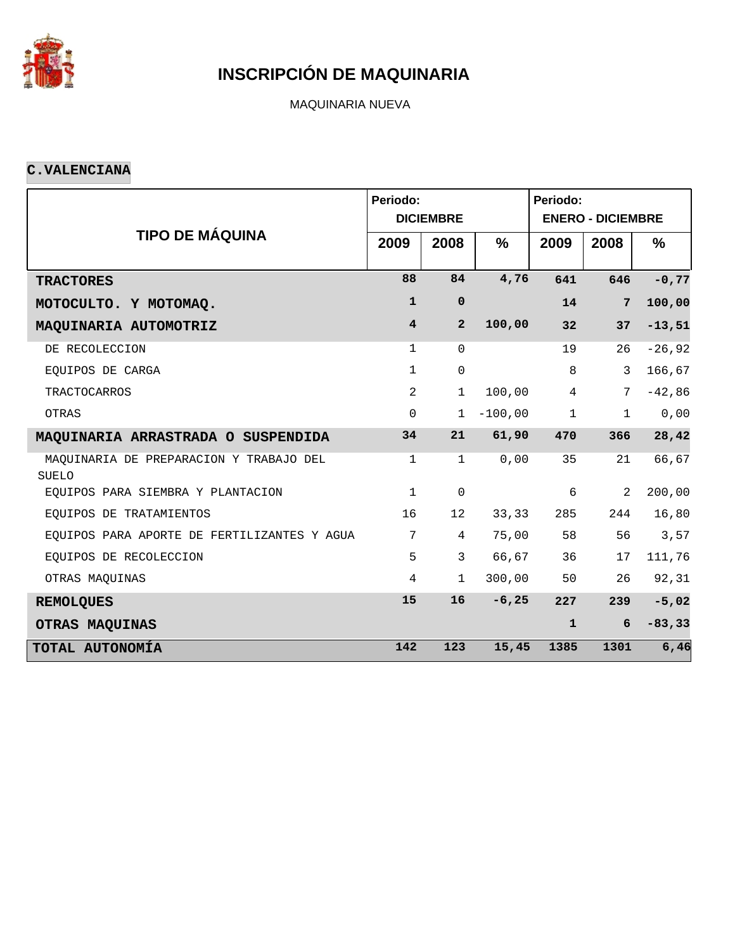

MAQUINARIA NUEVA

#### **C.VALENCIANA**

|                                                         | Periodo:                | <b>DICIEMBRE</b> |               | Periodo:<br><b>ENERO - DICIEMBRE</b> |              |               |  |  |
|---------------------------------------------------------|-------------------------|------------------|---------------|--------------------------------------|--------------|---------------|--|--|
| <b>TIPO DE MÁQUINA</b>                                  | 2009                    | 2008             | $\frac{0}{0}$ | 2009                                 | 2008         | $\frac{9}{6}$ |  |  |
| <b>TRACTORES</b>                                        | 88                      | 84               | 4,76          | 641                                  | 646          | $-0,77$       |  |  |
| MOTOCULTO. Y MOTOMAQ.                                   | $\mathbf{1}$            | $\mathbf 0$      |               | 14                                   | 7            | 100,00        |  |  |
| MAQUINARIA AUTOMOTRIZ                                   | $\overline{\mathbf{4}}$ | $\overline{a}$   | 100,00        | 32                                   | 37           | $-13,51$      |  |  |
| DE RECOLECCION                                          | $\mathbf{1}$            | $\Omega$         |               | 19                                   | 26           | $-26,92$      |  |  |
| EQUIPOS DE CARGA                                        | $\mathbf{1}$            | $\mathbf 0$      |               | 8                                    | 3            | 166,67        |  |  |
| <b>TRACTOCARROS</b>                                     | 2                       | $\mathbf{1}$     | 100,00        | $\overline{4}$                       | 7            | $-42,86$      |  |  |
| OTRAS                                                   | $\Omega$                | $\mathbf{1}$     | $-100,00$     | $\mathbf{1}$                         | $\mathbf{1}$ | 0,00          |  |  |
| MAQUINARIA ARRASTRADA O SUSPENDIDA                      | 34                      | 21               | 61,90         | 470                                  | 366          | 28,42         |  |  |
| MAQUINARIA DE PREPARACION Y TRABAJO DEL<br><b>SUELO</b> | $\mathbf{1}$            | $\mathbf{1}$     | 0,00          | 35                                   | 21           | 66,67         |  |  |
| EQUIPOS PARA SIEMBRA Y PLANTACION                       | $\mathbf{1}$            | $\mathsf{O}$     |               | 6                                    | 2            | 200,00        |  |  |
| EQUIPOS DE TRATAMIENTOS                                 | 16                      | 12               | 33,33         | 285                                  | 244          | 16,80         |  |  |
| EQUIPOS PARA APORTE DE FERTILIZANTES Y AGUA             | 7                       | 4                | 75,00         | 58                                   | 56           | 3,57          |  |  |
| EQUIPOS DE RECOLECCION                                  | 5                       | 3                | 66,67         | 36                                   | 17           | 111,76        |  |  |
| OTRAS MAQUINAS                                          | $\overline{4}$          | $\mathbf{1}$     | 300,00        | 50                                   | 26           | 92,31         |  |  |
| <b>REMOLQUES</b>                                        | 15                      | 16               | $-6, 25$      | 227                                  | 239          | $-5,02$       |  |  |
| OTRAS MAQUINAS                                          |                         |                  |               | $\mathbf{1}$                         | 6            | $-83, 33$     |  |  |
| TOTAL AUTONOMÍA                                         | 142                     | 123              | 15,45         | 1385                                 | 1301         | 6,46          |  |  |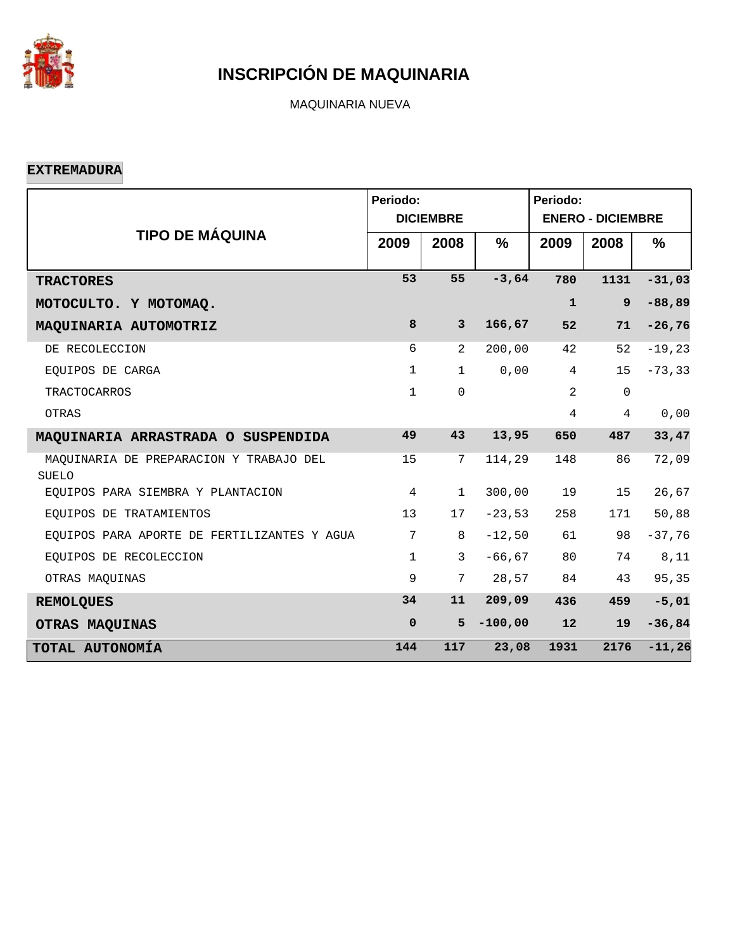

MAQUINARIA NUEVA

**EXTREMADURA**

|                                                         | Periodo:       | <b>DICIEMBRE</b> |               | Periodo:<br><b>ENERO - DICIEMBRE</b> |                |               |  |  |
|---------------------------------------------------------|----------------|------------------|---------------|--------------------------------------|----------------|---------------|--|--|
| <b>TIPO DE MÁQUINA</b>                                  | 2009           | 2008             | $\frac{9}{6}$ | 2009                                 | 2008           | $\frac{9}{6}$ |  |  |
| <b>TRACTORES</b>                                        | 53             | 55               | $-3,64$       | 780                                  | 1131           | $-31,03$      |  |  |
| MOTOCULTO. Y MOTOMAQ.                                   |                |                  |               | $\mathbf{1}$                         | 9              | $-88, 89$     |  |  |
| MAQUINARIA AUTOMOTRIZ                                   | 8              | $\mathbf{3}$     | 166,67        | 52                                   | 71             | $-26,76$      |  |  |
| DE RECOLECCION                                          | 6              | 2                | 200,00        | 42                                   | 52             | $-19,23$      |  |  |
| EQUIPOS DE CARGA                                        | $\mathbf{1}$   | $\mathbf{1}$     | 0,00          | $\overline{4}$                       | 15             | $-73, 33$     |  |  |
| <b>TRACTOCARROS</b>                                     | $\mathbf{1}$   | $\mathbf 0$      |               | 2                                    | $\mathbf 0$    |               |  |  |
| OTRAS                                                   |                |                  |               | $\overline{4}$                       | $\overline{4}$ | 0,00          |  |  |
| MAQUINARIA ARRASTRADA O SUSPENDIDA                      | 49             | 43               | 13,95         | 650                                  | 487            | 33,47         |  |  |
| MAQUINARIA DE PREPARACION Y TRABAJO DEL<br><b>SUELO</b> | 15             | $7\phantom{.0}$  | 114,29        | 148                                  | 86             | 72,09         |  |  |
| EOUIPOS PARA SIEMBRA Y PLANTACION                       | $\overline{4}$ | $\mathbf 1$      | 300,00        | 19                                   | 15             | 26,67         |  |  |
| EQUIPOS DE TRATAMIENTOS                                 | 13             | 17               | $-23,53$      | 258                                  | 171            | 50,88         |  |  |
| EQUIPOS PARA APORTE DE FERTILIZANTES Y AGUA             | 7              | 8                | $-12,50$      | 61                                   | 98             | $-37,76$      |  |  |
| EQUIPOS DE RECOLECCION                                  | $\mathbf{1}$   | $\mathbf{3}$     | $-66, 67$     | 80                                   | 74             | 8,11          |  |  |
| OTRAS MAQUINAS                                          | 9              | 7                | 28,57         | 84                                   | 43             | 95,35         |  |  |
| <b>REMOLQUES</b>                                        | 34             | 11               | 209,09        | 436                                  | 459            | $-5,01$       |  |  |
| OTRAS MAQUINAS                                          | $\mathbf 0$    | 5                | $-100,00$     | 12                                   | 19             | $-36,84$      |  |  |
| TOTAL AUTONOMÍA                                         | 144            | 117              | 23,08         | 1931                                 | 2176           | $-11,26$      |  |  |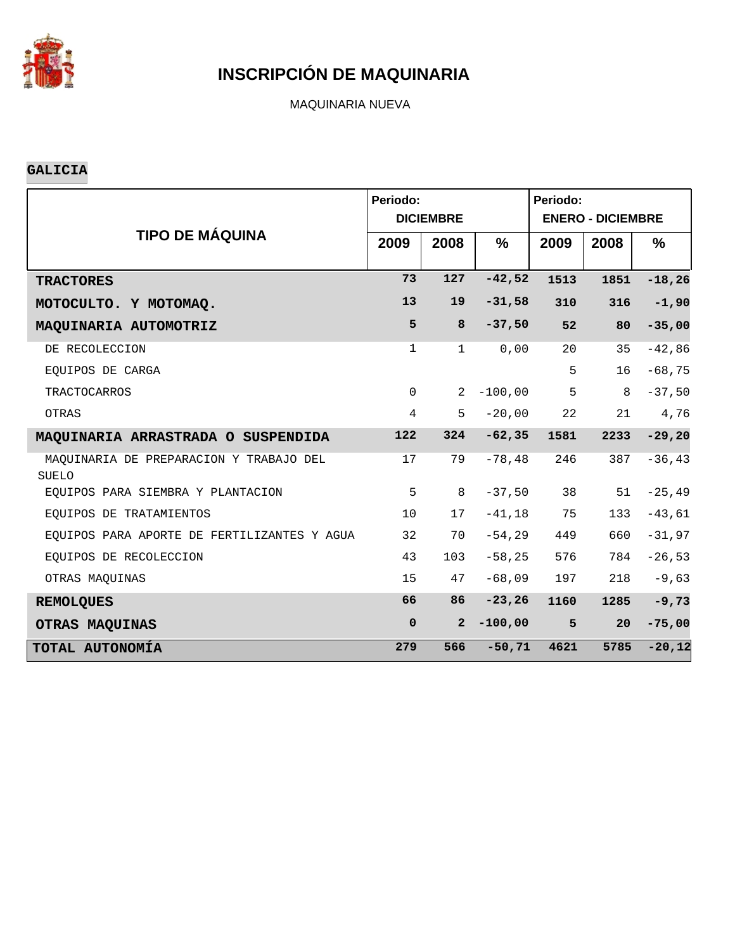

MAQUINARIA NUEVA

#### **GALICIA**

|                                                  | Periodo:       | <b>DICIEMBRE</b> |               | Periodo:<br><b>ENERO - DICIEMBRE</b> |      |               |  |  |
|--------------------------------------------------|----------------|------------------|---------------|--------------------------------------|------|---------------|--|--|
| <b>TIPO DE MÁQUINA</b>                           | 2009           | 2008             | $\frac{9}{6}$ | 2009                                 | 2008 | $\frac{9}{6}$ |  |  |
| <b>TRACTORES</b>                                 | 73             | 127              | $-42,52$      | 1513                                 | 1851 | $-18, 26$     |  |  |
| MOTOCULTO. Y MOTOMAQ.                            | 13             | 19               | $-31,58$      | 310                                  | 316  | $-1,90$       |  |  |
| MAQUINARIA AUTOMOTRIZ                            | 5              | 8                | $-37,50$      | 52                                   | 80   | $-35,00$      |  |  |
| DE RECOLECCION                                   | $\mathbf{1}$   | $\mathbf{1}$     | 0,00          | 20                                   | 35   | $-42,86$      |  |  |
| EQUIPOS DE CARGA                                 |                |                  |               | 5                                    | 16   | $-68,75$      |  |  |
| <b>TRACTOCARROS</b>                              | $\Omega$       | $\overline{2}$   | $-100,00$     | 5                                    | 8    | $-37,50$      |  |  |
| OTRAS                                            | $\overline{4}$ | 5                | $-20,00$      | 22                                   | 21   | 4,76          |  |  |
| MAQUINARIA ARRASTRADA O SUSPENDIDA               | 122            | 324              | $-62, 35$     | 1581                                 | 2233 | $-29, 20$     |  |  |
| MAQUINARIA DE PREPARACION Y TRABAJO DEL<br>SUELO | 17             | 79               | $-78,48$      | 246                                  | 387  | $-36, 43$     |  |  |
| EOUIPOS PARA SIEMBRA Y PLANTACION                | 5              | 8                | $-37,50$      | 38                                   | 51   | $-25, 49$     |  |  |
| EQUIPOS DE TRATAMIENTOS                          | 10             | 17               | $-41, 18$     | 75                                   | 133  | $-43,61$      |  |  |
| EOUIPOS PARA APORTE DE FERTILIZANTES Y AGUA      | 32             | 70               | $-54, 29$     | 449                                  | 660  | $-31,97$      |  |  |
| EQUIPOS DE RECOLECCION                           | 43             | 103              | $-58, 25$     | 576                                  | 784  | $-26,53$      |  |  |
| OTRAS MAQUINAS                                   | 15             | 47               | $-68,09$      | 197                                  | 218  | $-9,63$       |  |  |
| <b>REMOLQUES</b>                                 | 66             | 86               | $-23, 26$     | 1160                                 | 1285 | $-9,73$       |  |  |
| OTRAS MAQUINAS                                   | $\mathbf 0$    | $\overline{2}$   | $-100,00$     | 5                                    | 20   | $-75,00$      |  |  |
| TOTAL AUTONOMÍA                                  | 279            | 566              | $-50, 71$     | 4621                                 | 5785 | $-20,12$      |  |  |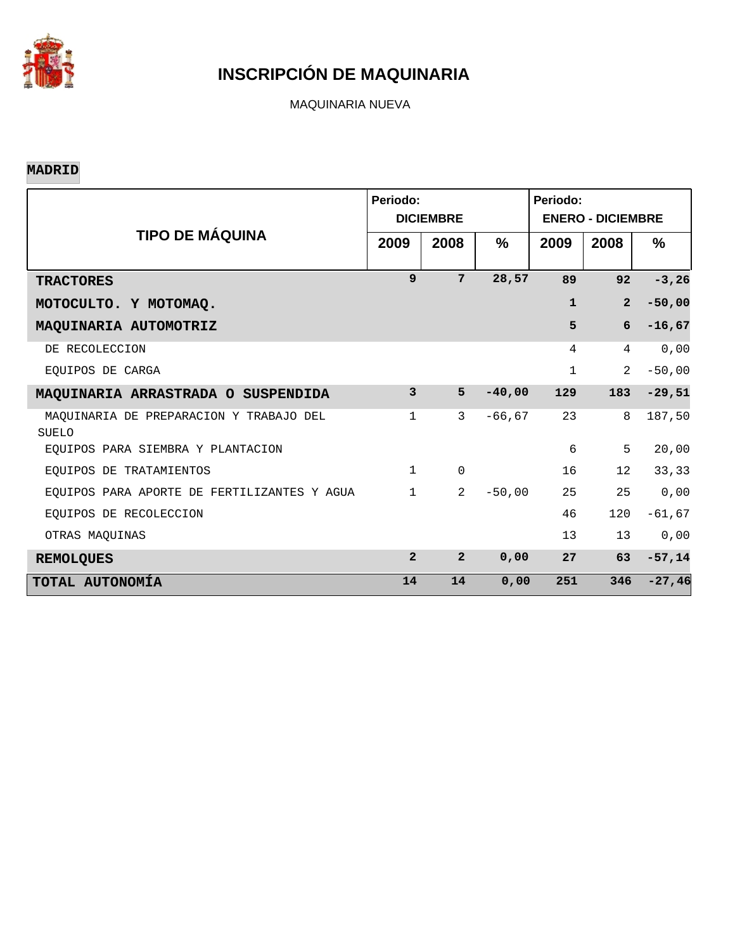

MAQUINARIA NUEVA

#### **MADRID**

|                                                         | Periodo:       | <b>DICIEMBRE</b> |           | Periodo:<br><b>ENERO - DICIEMBRE</b> |                 |               |  |  |
|---------------------------------------------------------|----------------|------------------|-----------|--------------------------------------|-----------------|---------------|--|--|
| <b>TIPO DE MÁQUINA</b>                                  | 2009           | 2008             | %         | 2009                                 | 2008            | $\frac{0}{0}$ |  |  |
| <b>TRACTORES</b>                                        | 9              | 7                | 28,57     | 89                                   | 92              | $-3, 26$      |  |  |
| MOTOCULTO. Y MOTOMAQ.                                   |                |                  |           | $\mathbf{1}$                         | $\overline{a}$  | $-50,00$      |  |  |
| MAQUINARIA AUTOMOTRIZ                                   |                |                  |           | 5                                    | 6               | $-16,67$      |  |  |
| DE RECOLECCION                                          |                |                  |           | 4                                    | 4               | 0,00          |  |  |
| EOUIPOS DE CARGA                                        |                |                  |           | $\mathbf{1}$                         | 2               | $-50,00$      |  |  |
| MAQUINARIA ARRASTRADA O SUSPENDIDA                      | 3              | 5                | $-40,00$  | 129                                  | 183             | $-29,51$      |  |  |
| MAQUINARIA DE PREPARACION Y TRABAJO DEL<br><b>SUELO</b> | 1              | 3                | $-66, 67$ | 23                                   | 8               | 187,50        |  |  |
| EOUIPOS PARA SIEMBRA Y PLANTACION                       |                |                  |           | 6                                    | 5               | 20,00         |  |  |
| EOUIPOS DE TRATAMIENTOS                                 | $\mathbf{1}$   | $\Omega$         |           | 16                                   | 12 <sup>°</sup> | 33,33         |  |  |
| EQUIPOS PARA APORTE DE FERTILIZANTES Y AGUA             | $\mathbf{1}$   | $\overline{a}$   | $-50,00$  | 25                                   | 25              | 0,00          |  |  |
| EOUIPOS DE RECOLECCION                                  |                |                  |           | 46                                   | 120             | $-61, 67$     |  |  |
| OTRAS MAOUINAS                                          |                |                  |           | 13                                   | 13              | 0,00          |  |  |
| <b>REMOLQUES</b>                                        | $\overline{a}$ | $\overline{2}$   | 0,00      | 27                                   | 63              | $-57,14$      |  |  |
| TOTAL AUTONOMÍA                                         | 14             | 14               | 0,00      | 251                                  | 346             | $-27,46$      |  |  |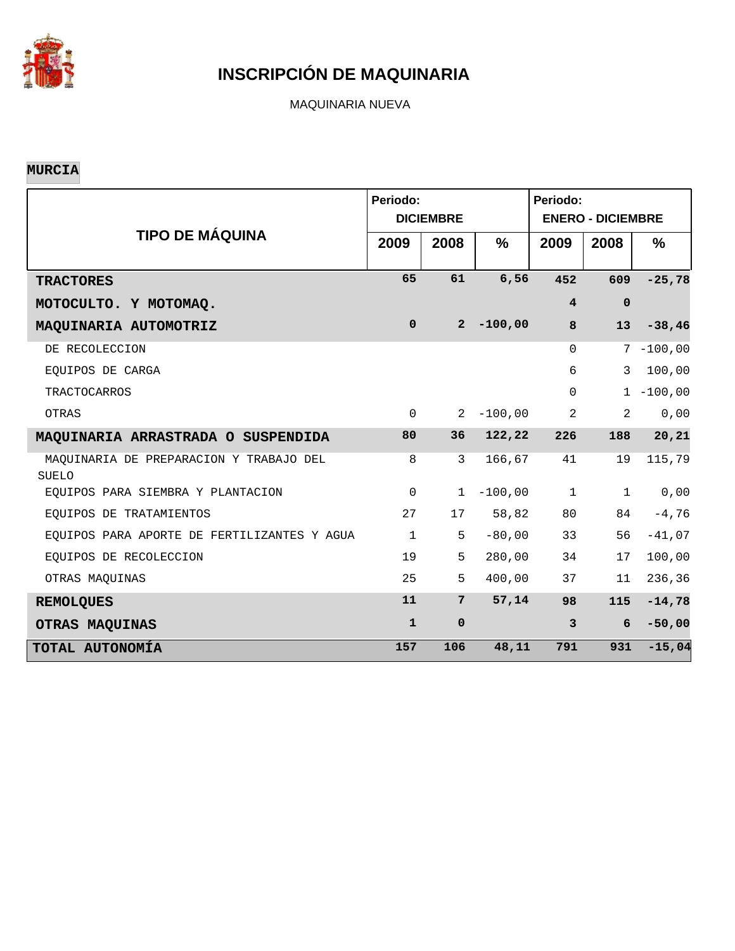

MAQUINARIA NUEVA

#### **MURCIA**

|                                                         | Periodo:     | <b>DICIEMBRE</b> |               | Periodo:<br><b>ENERO - DICIEMBRE</b> |              |               |  |  |
|---------------------------------------------------------|--------------|------------------|---------------|--------------------------------------|--------------|---------------|--|--|
| <b>TIPO DE MÁQUINA</b>                                  | 2009         | 2008             | $\frac{0}{0}$ | 2009                                 | 2008         | $\frac{9}{6}$ |  |  |
| <b>TRACTORES</b>                                        | 65           | 61               | 6,56          | 452                                  | 609          | $-25,78$      |  |  |
| MOTOCULTO. Y MOTOMAQ.                                   |              |                  |               | $\overline{\mathbf{4}}$              | $\mathbf 0$  |               |  |  |
| MAQUINARIA AUTOMOTRIZ                                   | $\mathbf 0$  | $2^{\circ}$      | $-100,00$     | 8                                    | 13           | $-38,46$      |  |  |
| DE RECOLECCION                                          |              |                  |               | $\Omega$                             |              | $7 - 100,00$  |  |  |
| EQUIPOS DE CARGA                                        |              |                  |               | 6                                    | 3            | 100,00        |  |  |
| <b>TRACTOCARROS</b>                                     |              |                  |               | $\Omega$                             |              | $1 - 100,00$  |  |  |
| OTRAS                                                   | $\Omega$     | $\overline{2}$   | $-100,00$     | 2                                    | 2            | 0,00          |  |  |
| MAQUINARIA ARRASTRADA O SUSPENDIDA                      | 80           | 36               | 122,22        | 226                                  | 188          | 20,21         |  |  |
| MAQUINARIA DE PREPARACION Y TRABAJO DEL<br><b>SUELO</b> | 8            | $\overline{3}$   | 166,67        | 41                                   | 19           | 115,79        |  |  |
| EQUIPOS PARA SIEMBRA Y PLANTACION                       | $\mathbf 0$  | $\mathbf{1}$     | $-100,00$     | $\mathbf{1}$                         | $\mathbf{1}$ | 0,00          |  |  |
| EOUIPOS DE TRATAMIENTOS                                 | 27           | 17               | 58,82         | 80                                   | 84           | $-4,76$       |  |  |
| EQUIPOS PARA APORTE DE FERTILIZANTES Y AGUA             | $\mathbf 1$  | 5                | $-80,00$      | 33                                   | 56           | $-41,07$      |  |  |
| EQUIPOS DE RECOLECCION                                  | 19           | 5                | 280,00        | 34                                   | 17           | 100,00        |  |  |
| OTRAS MAQUINAS                                          | 25           | 5                | 400,00        | 37                                   | 11           | 236,36        |  |  |
| <b>REMOLQUES</b>                                        | 11           | $7\phantom{.}$   | 57,14         | 98                                   | 115          | $-14,78$      |  |  |
| OTRAS MAQUINAS                                          | $\mathbf{1}$ | $\mathbf 0$      |               | $\mathbf{3}$                         | 6            | $-50,00$      |  |  |
| TOTAL AUTONOMÍA                                         | 157          | 106              | 48,11         | 791                                  | 931          | $-15,04$      |  |  |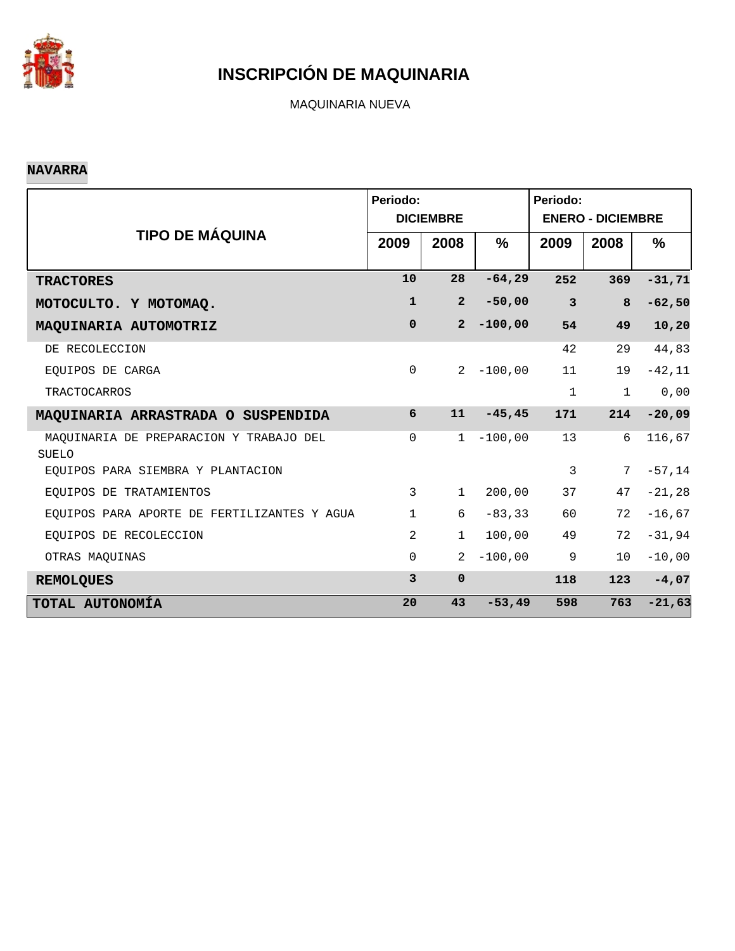

MAQUINARIA NUEVA

#### **NAVARRA**

|                                                  | Periodo:       | <b>DICIEMBRE</b> |           | Periodo:<br><b>ENERO - DICIEMBRE</b> |              |           |  |  |
|--------------------------------------------------|----------------|------------------|-----------|--------------------------------------|--------------|-----------|--|--|
| <b>TIPO DE MÁQUINA</b>                           | 2009           | 2008             | %         | 2009                                 | 2008         | $\%$      |  |  |
| <b>TRACTORES</b>                                 | 10             | 28               | $-64,29$  | 252                                  | 369          | $-31, 71$ |  |  |
| MOTOCULTO. Y MOTOMAQ.                            | $\mathbf 1$    | $\overline{2}$   | $-50,00$  | $\overline{\mathbf{3}}$              | 8            | $-62,50$  |  |  |
| MAQUINARIA AUTOMOTRIZ                            | $\mathbf 0$    | $\overline{2}$   | $-100,00$ | 54                                   | 49           | 10,20     |  |  |
| DE RECOLECCION                                   |                |                  |           | 42                                   | 29           | 44,83     |  |  |
| EOUIPOS DE CARGA                                 | $\mathsf{O}$   | $\overline{2}$   | $-100,00$ | 11                                   | 19           | $-42,11$  |  |  |
| <b>TRACTOCARROS</b>                              |                |                  |           | $\mathbf{1}$                         | $\mathbf{1}$ | 0,00      |  |  |
| MAQUINARIA ARRASTRADA O SUSPENDIDA               | 6              | 11               | $-45, 45$ | 171                                  | 214          | $-20,09$  |  |  |
| MAQUINARIA DE PREPARACION Y TRABAJO DEL<br>SUELO | $\mathbf 0$    | 1                | $-100,00$ | 13                                   | 6            | 116,67    |  |  |
| EQUIPOS PARA SIEMBRA Y PLANTACION                |                |                  |           | 3                                    | 7            | $-57, 14$ |  |  |
| EQUIPOS DE TRATAMIENTOS                          | 3              | $\mathbf{1}$     | 200,00    | 37                                   | 47           | $-21, 28$ |  |  |
| EQUIPOS PARA APORTE DE FERTILIZANTES Y AGUA      | $\mathbf{1}$   | 6                | $-83, 33$ | 60                                   | 72           | $-16,67$  |  |  |
| EOUIPOS DE RECOLECCION                           | $\overline{2}$ | 1                | 100,00    | 49                                   | 72           | $-31,94$  |  |  |
| OTRAS MAQUINAS                                   | $\Omega$       | $\overline{2}$   | $-100,00$ | 9                                    | 10           | $-10,00$  |  |  |
| <b>REMOLQUES</b>                                 | $\overline{3}$ | $\mathbf 0$      |           | 118                                  | 123          | $-4,07$   |  |  |
| TOTAL AUTONOMÍA                                  | 20             | 43               | $-53, 49$ | 598                                  | 763          | $-21,63$  |  |  |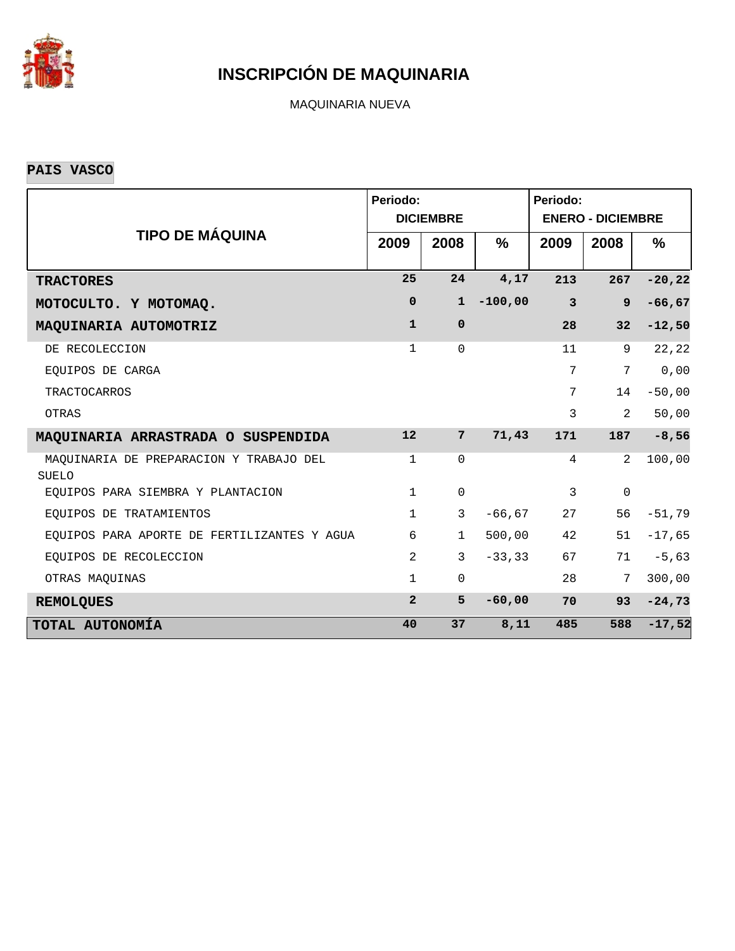

MAQUINARIA NUEVA

**PAIS VASCO**

|                                                         | Periodo:       | <b>DICIEMBRE</b> |               | Periodo:<br><b>ENERO - DICIEMBRE</b> |                |           |  |  |
|---------------------------------------------------------|----------------|------------------|---------------|--------------------------------------|----------------|-----------|--|--|
| <b>TIPO DE MÁQUINA</b>                                  | 2009           | 2008             | $\frac{9}{6}$ | 2009                                 | 2008           | ℅         |  |  |
| <b>TRACTORES</b>                                        | 25             | 24               | 4,17          | 213                                  | 267            | $-20, 22$ |  |  |
| MOTOCULTO. Y MOTOMAQ.                                   | $\mathbf 0$    | $\mathbf{1}$     | $-100,00$     | $\overline{\mathbf{3}}$              | $\overline{9}$ | $-66, 67$ |  |  |
| MAQUINARIA AUTOMOTRIZ                                   | $\mathbf{1}$   | $\mathbf 0$      |               | 28                                   | 32             | $-12,50$  |  |  |
| DE RECOLECCION                                          | $\mathbf{1}$   | $\Omega$         |               | 11                                   | 9              | 22,22     |  |  |
| EQUIPOS DE CARGA                                        |                |                  |               | 7                                    | 7              | 0,00      |  |  |
| <b>TRACTOCARROS</b>                                     |                |                  |               | 7                                    | 14             | $-50,00$  |  |  |
| OTRAS                                                   |                |                  |               | 3                                    | $\overline{2}$ | 50,00     |  |  |
| MAQUINARIA ARRASTRADA O SUSPENDIDA                      | 12             | $7^{\circ}$      | 71,43         | 171                                  | 187            | $-8,56$   |  |  |
| MAQUINARIA DE PREPARACION Y TRABAJO DEL<br><b>SUELO</b> | $\mathbf{1}$   | $\mathbf 0$      |               | 4                                    | 2              | 100,00    |  |  |
| EQUIPOS PARA SIEMBRA Y PLANTACION                       | $\mathbf{1}$   | $\mathsf{O}$     |               | $\mathbf{3}$                         | $\mathbf 0$    |           |  |  |
| EOUIPOS DE TRATAMIENTOS                                 | $\mathbf{1}$   | $\mathbf{3}$     | $-66, 67$     | 27                                   | 56             | $-51,79$  |  |  |
| EQUIPOS PARA APORTE DE FERTILIZANTES Y AGUA             | 6              | $\mathbf 1$      | 500,00        | 42                                   | 51             | $-17,65$  |  |  |
| EQUIPOS DE RECOLECCION                                  | $\overline{2}$ | $\mathbf{3}$     | $-33, 33$     | 67                                   | 71             | $-5,63$   |  |  |
| OTRAS MAQUINAS                                          | $\mathbf{1}$   | $\mathbf 0$      |               | 28                                   | 7              | 300,00    |  |  |
| <b>REMOLQUES</b>                                        | $\overline{2}$ | 5                | $-60,00$      | 70                                   | 93             | $-24,73$  |  |  |
| TOTAL AUTONOMÍA                                         | 40             | 37               | 8,11          | 485                                  | 588            | $-17,52$  |  |  |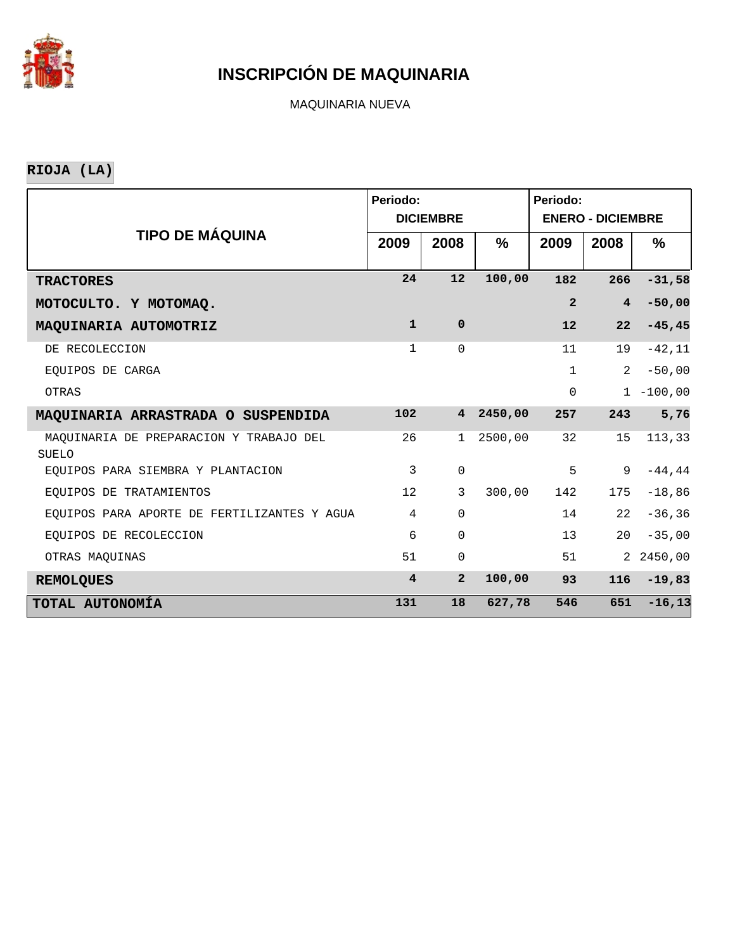

MAQUINARIA NUEVA

**RIOJA (LA)**

|                                                         | Periodo:                | <b>DICIEMBRE</b> |               | Periodo:<br><b>ENERO - DICIEMBRE</b> |                |              |  |  |
|---------------------------------------------------------|-------------------------|------------------|---------------|--------------------------------------|----------------|--------------|--|--|
| <b>TIPO DE MÁQUINA</b>                                  | 2009                    | 2008             | $\frac{9}{6}$ | 2009                                 | 2008           | %            |  |  |
| <b>TRACTORES</b>                                        | 24                      | 12               | 100,00        | 182                                  | 266            | $-31,58$     |  |  |
| MOTOCULTO. Y MOTOMAQ.                                   |                         |                  |               | $\overline{a}$                       | $\overline{4}$ | $-50,00$     |  |  |
| MAQUINARIA AUTOMOTRIZ                                   | $\mathbf{1}$            | $\mathbf 0$      |               | 12                                   | 22             | $-45, 45$    |  |  |
| DE RECOLECCION                                          | 1                       | $\Omega$         |               | 11                                   | 19             | $-42,11$     |  |  |
| EOUIPOS DE CARGA                                        |                         |                  |               | $\mathbf{1}$                         | 2              | $-50,00$     |  |  |
| OTRAS                                                   |                         |                  |               | $\mathsf{O}\xspace$                  |                | $1 - 100,00$ |  |  |
| MAQUINARIA ARRASTRADA O SUSPENDIDA                      | 102                     | $4^{\circ}$      | 2450,00       | 257                                  | 243            | 5,76         |  |  |
| MAQUINARIA DE PREPARACION Y TRABAJO DEL<br><b>SUELO</b> | 26                      | 1                | 2500,00       | 32                                   | 15             | 113,33       |  |  |
| EOUIPOS PARA SIEMBRA Y PLANTACION                       | 3                       | $\mathbf 0$      |               | 5                                    | 9              | $-44, 44$    |  |  |
| EQUIPOS DE TRATAMIENTOS                                 | 12                      | 3                | 300,00        | 142                                  | 175            | $-18,86$     |  |  |
| EQUIPOS PARA APORTE DE FERTILIZANTES Y AGUA             | $\overline{4}$          | $\Omega$         |               | 14                                   | 22             | $-36, 36$    |  |  |
| EQUIPOS DE RECOLECCION                                  | 6                       | $\Omega$         |               | 13                                   | 20             | $-35,00$     |  |  |
| OTRAS MAQUINAS                                          | 51                      | $\mathbf 0$      |               | 51                                   |                | 2 2450,00    |  |  |
| <b>REMOLQUES</b>                                        | $\overline{\mathbf{4}}$ | $\overline{2}$   | 100,00        | 93                                   | 116            | $-19,83$     |  |  |
| TOTAL AUTONOMÍA                                         | 131                     | 18               | 627,78        | 546                                  | 651            | $-16, 13$    |  |  |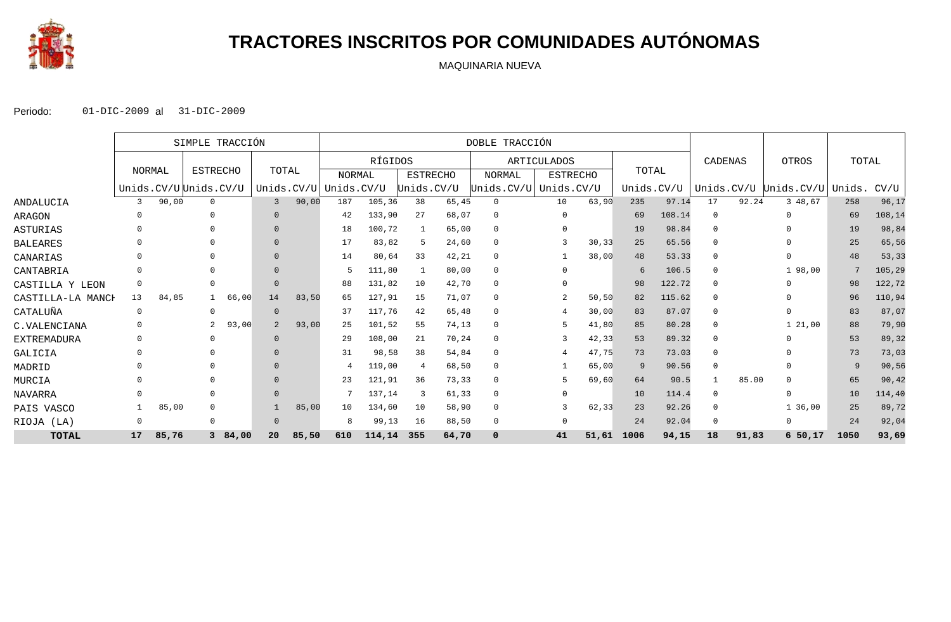

## **TRACTORES INSCRITOS POR COMUNIDADES AUTÓNOMAS**

MAQUINARIA NUEVA

|                    |              |       | SIMPLE TRACCIÓN       |        |                |               | DOBLE TRACCIÓN |         |                |                 |               |             |                 |       |            |        |                |       |                       |        |        |
|--------------------|--------------|-------|-----------------------|--------|----------------|---------------|----------------|---------|----------------|-----------------|---------------|-------------|-----------------|-------|------------|--------|----------------|-------|-----------------------|--------|--------|
|                    |              |       |                       |        |                |               |                | RÍGIDOS |                |                 |               | ARTICULADOS |                 |       |            |        | CADENAS        |       | OTROS                 | TOTAL  |        |
|                    | NORMAL       |       | <b>ESTRECHO</b>       |        | TOTAL          |               | <b>NORMAL</b>  |         |                | <b>ESTRECHO</b> | <b>NORMAL</b> |             | <b>ESTRECHO</b> |       | TOTAL      |        |                |       |                       |        |        |
|                    |              |       | Unids.CV/UUUnids.CV/U |        |                | Unids. $CV/U$ | Unids.CV/U     |         | Unids.CV/U     |                 | Unids.CV/U    |             | Unids.CV/U      |       | Unids.CV/U |        |                |       | Unids.CV/U Unids.CV/U | Unids. | CV/U   |
| ANDALUCIA          | 3            | 90,00 | $\mathbf{0}$          |        |                | 90,00         | 187            | 105,36  | 38             | 65,45           | $\mathbf{0}$  |             | 10              | 63,90 | 235        | 97.14  | 17             | 92.24 | 3 48,67               | 258    | 96,17  |
| ARAGON             | $\Omega$     |       | $\Omega$              |        |                |               | 42             | 133,90  | 27             | 68,07           | 0             |             | $\Omega$        |       | 69         | 108.14 | $\Omega$       |       | $\Omega$              | 69     | 108,14 |
| ASTURIAS           |              |       |                       |        |                |               | 18             | 100,72  |                | 65,00           | $\Omega$      |             | $\Omega$        |       | 19         | 98.84  | - ೧            |       |                       | 19     | 98,84  |
| <b>BALEARES</b>    | <sup>0</sup> |       |                       |        |                |               | 17             | 83,82   | 5              | 24,60           | $\mathbf 0$   |             |                 | 30,33 | 25         | 65.56  | $\Omega$       |       |                       | 25     | 65,56  |
| CANARIAS           | 0            |       |                       |        |                |               | 14             | 80,64   | 33             | 42,21           | 0             |             |                 | 38,00 | 48         | 53.33  | - 0            |       | $\Omega$              | 48     | 53, 33 |
| CANTABRIA          | 0            |       |                       |        |                |               |                | 111,80  |                | 80,00           | $\Omega$      |             | $\Omega$        |       | 6          | 106.5  | $\Omega$       |       | 1 98,00               | 7      | 105,29 |
| CASTILLA Y LEON    | 0            |       | $\Omega$              |        | $\Omega$       |               | 88             | 131,82  | 10             | 42,70           | $\mathbf 0$   |             | $\Omega$        |       | 98         | 122.72 | $\Omega$       |       | $\cap$                | 98     | 122,72 |
| CASTILLA-LA MANCH  | 13           | 84,85 |                       | 66,00  | 14             | 83,50         | 65             | 127,91  | 15             | 71,07           | $\mathbf 0$   |             | 2               | 50,50 | 82         | 115.62 | - 0            |       |                       | 96     | 110,94 |
| CATALUÑA           | $\mathbf 0$  |       | $\Omega$              |        |                |               | -37            | 117,76  | 42             | 65,48           | $\Omega$      |             |                 | 30,00 | 83         | 87.07  | $\Omega$       |       |                       | 83     | 87,07  |
| C.VALENCIANA       | 0            |       |                       | 93,00  | $\overline{a}$ | 93,00         | 25             | 101,52  | 55             | 74,13           | $\Omega$      |             | .5              | 41,80 | 85         | 80.28  | $\Omega$       |       | 1, 21, 00             | 88     | 79,90  |
| <b>EXTREMADURA</b> | 0            |       | $\Omega$              |        | $\Omega$       |               | 29             | 108,00  | 21             | 70,24           | 0             |             |                 | 42,33 | 53         | 89.32  | $\Omega$       |       |                       | 53     | 89,32  |
| GALICIA            | $\Omega$     |       |                       |        |                |               | 31             | 98,58   | 38             | 54,84           | $\mathbf 0$   |             |                 | 47.75 | 73         | 73.03  | $\Omega$       |       |                       | 73     | 73,03  |
| MADRID             | <sup>0</sup> |       |                       |        |                |               |                | 119,00  | $\overline{4}$ | 68,50           | 0             |             |                 | 65,00 | 9          | 90.56  | $\overline{0}$ |       | $\cap$                | 9      | 90,56  |
| MURCIA             | <sup>0</sup> |       | $\Omega$              |        |                |               | 23             | 121,91  | 36             | 73,33           | 0             |             |                 | 69,60 | 64         | 90.5   |                | 85.00 |                       | 65     | 90, 42 |
| NAVARRA            |              |       | $\Omega$              |        |                |               |                | 137,14  | 3              | 61,33           | $\mathbf 0$   |             | $\Omega$        |       | 10         | 114.4  | $\Omega$       |       | $\cap$                | 10     | 114,40 |
| PAIS VASCO         |              | 85,00 | $\Omega$              |        |                | 85,00         | 10             | 134,60  | 10             | 58,90           | $\mathbf 0$   |             |                 | 62,33 | 23         | 92.26  | $\overline{0}$ |       | 1 36,00               | 25     | 89,72  |
| RIOJA (LA)         | 0            |       | $\Omega$              |        | O              |               | 8              | 99,13   | 16             | 88,50           | $\mathbf 0$   |             | $\Omega$        |       | 24         | 92.04  | $\Omega$       |       | $\Omega$              | 24     | 92,04  |
| <b>TOTAL</b>       | 17           | 85,76 |                       | 384,00 | 20             | 85,50         | 610            | 114,14  | 355            | 64,70           | $\mathbf 0$   |             | 41              | 51,61 | 1006       | 94,15  | 18             | 91,83 | 650,17                | 1050   | 93,69  |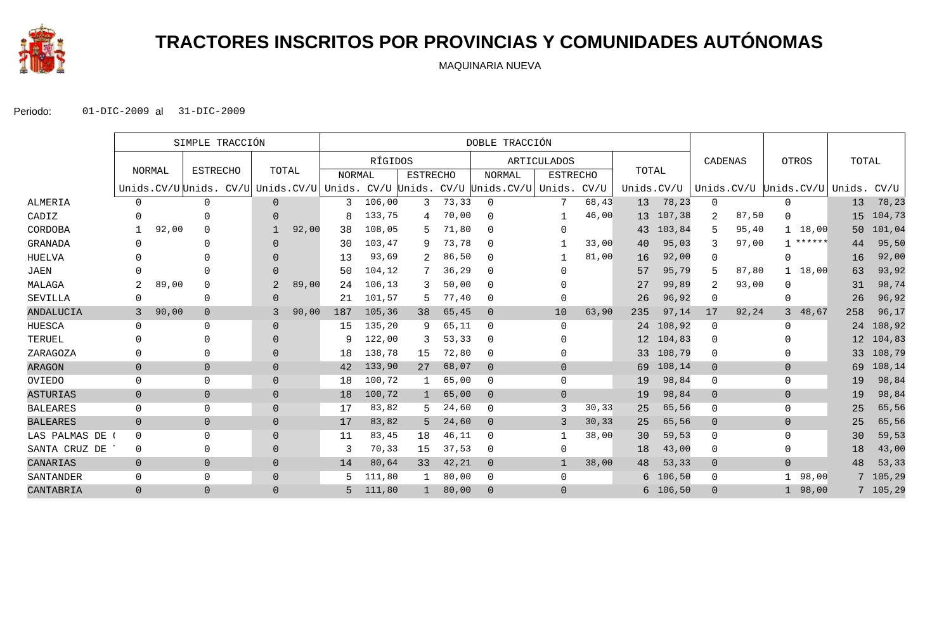

# **TRACTORES INSCRITOS POR PROVINCIAS Y COMUNIDADES AUTÓNOMAS**

MAQUINARIA NUEVA

|                 |                |       | SIMPLE TRACCIÓN        |                |            | DOBLE TRACCIÓN |         |                 |       |                             |                    |        |            |           |                |       |                        |        |          |
|-----------------|----------------|-------|------------------------|----------------|------------|----------------|---------|-----------------|-------|-----------------------------|--------------------|--------|------------|-----------|----------------|-------|------------------------|--------|----------|
|                 |                |       |                        |                |            |                | RÍGIDOS |                 |       |                             | <b>ARTICULADOS</b> |        |            |           | CADENAS        |       | OTROS                  | TOTAL  |          |
|                 | NORMAL         |       | <b>ESTRECHO</b>        | TOTAL          |            | <b>NORMAL</b>  |         | <b>ESTRECHO</b> |       | <b>NORMAL</b>               | <b>ESTRECHO</b>    |        | TOTAL      |           |                |       |                        |        |          |
|                 |                |       | Unids.CV/U Unids. CV/U |                | Unids.CV/U | Unids.         |         |                 |       | CV/U Unids. CV/U Unids.CV/U | Unids.             | CV/U   | Unids.CV/U |           |                |       | Unids.CV/U Unids.CV/U  | Unids. | CV/U     |
| <b>ALMERIA</b>  | $\Omega$       |       | $\Omega$               | $\Omega$       |            | 3              | 106,00  | 3               | 73,33 | $\mathbf{0}$                | 7                  | 68,43  | 13         | 78,23     | $\mathbf{0}$   |       | 0                      | 13     | 78,23    |
| CADIZ           |                |       | $\Omega$               | $\Omega$       |            | 8              | 133,75  | 4               | 70,00 | $\Omega$                    |                    | 46,00  | 13         | 107,38    | 2              | 87,50 | $\Omega$               | 15     | 104,73   |
| CORDOBA         |                | 92,00 | $\Omega$               |                | 92,00      | 38             | 108,05  |                 | 71,80 | $\Omega$                    | 0                  |        | 43         | 103,84    | 5              | 95,40 | 18,00<br>$\mathbf{1}$  | 50     | 101,04   |
| <b>GRANADA</b>  | $\Omega$       |       |                        | $\Omega$       |            | 30             | 103,47  | 9               | 73,78 | $\Omega$                    |                    | 33,00  | 40         | 95,03     | 3              | 97,00 | ******<br>$\mathbf{1}$ | 44     | 95,50    |
| HUELVA          |                |       |                        | $\Omega$       |            | 13             | 93,69   |                 | 86,50 | 0                           |                    | 81,00  | 16         | 92,00     | 0              |       | O                      | 16     | 92,00    |
| <b>JAEN</b>     |                |       |                        | $\Omega$       |            | 50             | 104,12  |                 | 36,29 | $\mathbf{0}$                | 0                  |        | 57         | 95,79     | 5              | 87,80 | 18,00<br>$\mathbf{1}$  | 63     | 93,92    |
| MALAGA          | 2              | 89,00 | $\Omega$               |                | 89,00      | 24             | 106,13  | २               | 50,00 | $\Omega$                    | 0                  |        | 27         | 99,89     | 2              | 93,00 | $\Omega$               | 31     | 98,74    |
| SEVILLA         | 0              |       | 0                      | $\Omega$       |            | 21             | 101,57  |                 | 77,40 | 0                           | 0                  |        | 26         | 96,92     | 0              |       | 0                      | 26     | 96,92    |
| ANDALUCIA       | 3              | 90,00 | $\mathbf 0$            | 3              | 90,00      | 187            | 105,36  | 38              | 65,45 | $\overline{0}$              | 10                 | 63,90  | 235        | 97,14     | 17             | 92,24 | 48,67<br>3             | 258    | 96,17    |
| HUESCA          | $\Omega$       |       | $\Omega$               | $\Omega$       |            | 15             | 135,20  | q               | 65,11 | $\Omega$                    | $\Omega$           |        |            | 24 108,92 | $\mathbf{0}$   |       | $\Omega$               | 24     | 108,92   |
| TERUEL          | $\Omega$       |       |                        | $\Omega$       |            | 9              | 122,00  |                 | 53,33 | $\mathbf{0}$                | 0                  |        |            | 12 104,83 | $\Omega$       |       |                        | 12     | 104,83   |
| ZARAGOZA        |                |       | O                      | $\Omega$       |            | 18             | 138,78  | 15              | 72,80 | $\mathbf{0}$                | 0                  |        | 33         | 108,79    | 0              |       | O                      | 33     | 108,79   |
| <b>ARAGON</b>   | $\overline{0}$ |       | $\overline{0}$         | $\overline{0}$ |            | 42             | 133,90  | 27              | 68,07 | $\overline{0}$              | $\overline{0}$     |        | 69         | 108,14    | $\overline{0}$ |       | $\overline{0}$         | 69     | 108,14   |
| OVIEDO          | 0              |       | $\mathbf{0}$           | $\Omega$       |            | 18             | 100,72  |                 | 65,00 | $\mathbf{0}$                | 0                  |        | 19         | 98,84     | 0              |       | 0                      | 19     | 98,84    |
| <b>ASTURIAS</b> | $\overline{0}$ |       | $\mathbf 0$            | $\Omega$       |            | 18             | 100,72  |                 | 65,00 | $\overline{0}$              | $\overline{0}$     |        | 19         | 98,84     | $\mathbf{0}$   |       | $\overline{0}$         | 19     | 98,84    |
| <b>BALEARES</b> | $\mathbf 0$    |       | $\Omega$               | $\Omega$       |            | 17             | 83,82   |                 | 24,60 | $\mathbf{0}$                | 3                  | 30, 33 | 25         | 65,56     | 0              |       | $\mathbf 0$            | 25     | 65,56    |
| <b>BALEARES</b> | $\overline{0}$ |       | $\overline{0}$         | $\Omega$       |            | 17             | 83,82   | 5               | 24,60 | $\Omega$                    | 3                  | 30,33  | 25         | 65,56     | $\mathbf 0$    |       | $\overline{0}$         | 25     | 65,56    |
| LAS PALMAS DE   | $\mathbf 0$    |       | $\Omega$               | $\Omega$       |            | 11             | 83,45   | 18              | 46,11 | $\mathbf{0}$                |                    | 38,00  | 30         | 59,53     | 0              |       | $\Omega$               | 30     | 59,53    |
| SANTA CRUZ DE   | 0              |       | $\mathbf{0}$           | $\Omega$       |            | 3              | 70,33   | 15              | 37,53 | $\mathbf 0$                 | 0                  |        | 18         | 43,00     | 0              |       | $\mathbf{0}$           | 18     | 43,00    |
| CANARIAS        | $\overline{0}$ |       | $\overline{0}$         | $\Omega$       |            | 14             | 80,64   | 33              | 42,21 | $\overline{0}$              | $\mathbf{1}$       | 38,00  | 48         | 53,33     | $\overline{0}$ |       | $\overline{0}$         | 48     | 53,33    |
| SANTANDER       | 0              |       | $\mathbf{0}$           | $\Omega$       |            | 5              | 111,80  |                 | 80,00 | $\mathbf{0}$                | 0                  |        | 6          | 106,50    | 0              |       | 98,00<br>-1            |        | 7 105,29 |
| CANTABRIA       | $\overline{0}$ |       | $\overline{0}$         | $\Omega$       |            | 5              | 111,80  |                 | 80,00 | $\overline{0}$              | $\overline{0}$     |        | 6          | 106,50    | $\Omega$       |       | 98,00<br>$\mathbf{1}$  |        | 7 105,29 |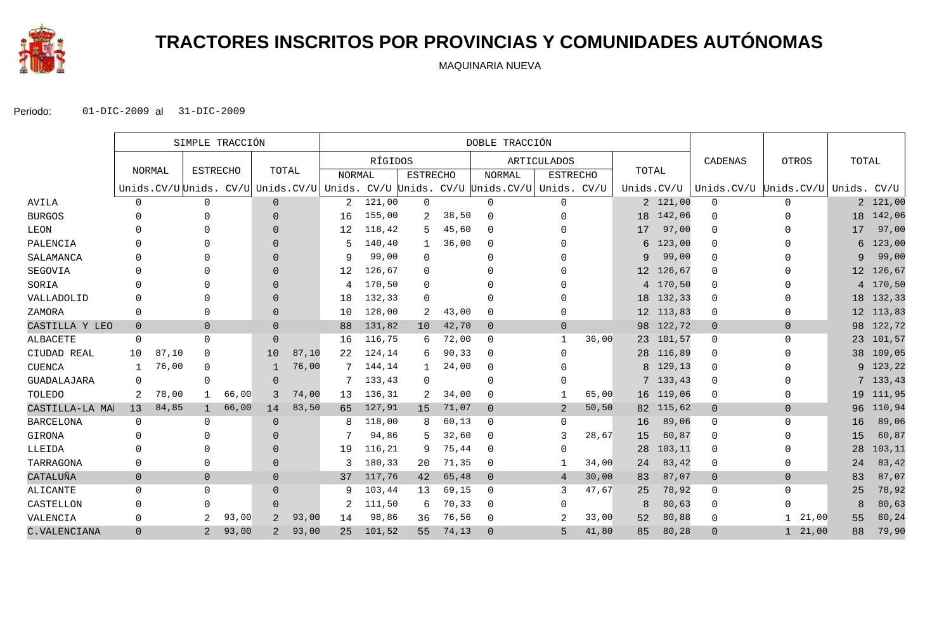

# **TRACTORES INSCRITOS POR PROVINCIAS Y COMUNIDADES AUTÓNOMAS**

MAQUINARIA NUEVA

|                  | SIMPLE TRACCIÓN |        |                 |       |                | DOBLE TRACCIÓN |        |         |                 |       |                                                                                  |                    |       |                 |           |                                   |                       |       |            |
|------------------|-----------------|--------|-----------------|-------|----------------|----------------|--------|---------|-----------------|-------|----------------------------------------------------------------------------------|--------------------|-------|-----------------|-----------|-----------------------------------|-----------------------|-------|------------|
|                  |                 |        |                 |       |                |                |        | RÍGIDOS |                 |       |                                                                                  | <b>ARTICULADOS</b> |       |                 |           | CADENAS                           | OTROS                 | TOTAL |            |
|                  |                 | NORMAL | <b>ESTRECHO</b> |       | TOTAL          |                | NORMAL |         | <b>ESTRECHO</b> |       | <b>NORMAL</b>                                                                    | <b>ESTRECHO</b>    |       | TOTAL           |           |                                   |                       |       |            |
|                  |                 |        |                 |       |                |                |        |         |                 |       | Unids.CV/U Unids. CV/U Unids.CV/U Unids. CV/U Unids. CV/U Unids.CV/U Unids. CV/U |                    |       | Unids.CV/U      |           | Unids.CV/U Unids.CV/U Unids. CV/U |                       |       |            |
| AVILA            | $\mathsf{O}$    |        | 0               |       | $\overline{0}$ |                | 2      | 121,00  | $\Omega$        |       | $\mathbf 0$                                                                      | $\mathbf 0$        |       |                 | 2 121,00  | $\mathbf 0$                       | $\Omega$              |       | 2 121,00   |
| <b>BURGOS</b>    | $\Omega$        |        | 0               |       | $\Omega$       |                | 16     | 155,00  |                 | 38,50 | $\mathbf 0$                                                                      | 0                  |       |                 | 18 142,06 | $\Omega$                          | 0                     | 18    | 142,06     |
| LEON             |                 |        |                 |       | $\Omega$       |                | 12     | 118,42  | 5               | 45,60 | $\Omega$                                                                         |                    |       | 17              | 97,00     | $\Omega$                          |                       | 17    | 97,00      |
| PALENCIA         | U               |        |                 |       | $\Omega$       |                | 5      | 140,40  |                 | 36,00 | $\mathbf 0$                                                                      | <sup>0</sup>       |       | 6               | 123,00    | $\Omega$                          |                       | 6     | 123,00     |
| SALAMANCA        |                 |        |                 |       | $\Omega$       |                | 9      | 99,00   | $\Omega$        |       | $\Omega$                                                                         |                    |       | 9               | 99,00     | 0                                 |                       | 9     | 99,00      |
| SEGOVIA          | 0               |        |                 |       | $\Omega$       |                | 12     | 126,67  | 0               |       | <sup>n</sup>                                                                     |                    |       |                 | 12 126,67 | $\Omega$                          |                       | 12    | 126,67     |
| SORIA            | 0               |        |                 |       | $\Omega$       |                | 4      | 170,50  | $\Omega$        |       | $\Omega$                                                                         |                    |       |                 | 4 170,50  | 0                                 |                       |       | 4 170,50   |
| VALLADOLID       | $\Omega$        |        |                 |       | $\Omega$       |                | 18     | 132,33  | $\Omega$        |       | $\Omega$                                                                         | O                  |       |                 | 18 132,33 | $\Omega$                          |                       | 18    | 132,33     |
| ZAMORA           | 0               |        | 0               |       | $\Omega$       |                | 10     | 128,00  | 2               | 43,00 | $\Omega$                                                                         | 0                  |       | 12 <sup>1</sup> | 113,83    | 0                                 | O                     | 12    | 113,83     |
| CASTILLA Y LEO   | $\overline{0}$  |        | $\overline{0}$  |       | $\Omega$       |                | 88     | 131,82  | 10              | 42,70 | $\overline{0}$                                                                   | $\overline{0}$     |       |                 | 98 122,72 | $\mathbf{0}$                      | $\overline{0}$        | 98    | 122,72     |
| <b>ALBACETE</b>  | 0               |        | 0               |       | $\Omega$       |                | 16     | 116,75  | 6               | 72,00 | $\mathbf 0$                                                                      | $\mathbf{1}$       | 36,00 |                 | 23 101,57 | 0                                 | $\mathbf 0$           | 23    | 101,57     |
| CIUDAD REAL      | 10              | 87,10  | $\Omega$        |       | 10             | 87,10          | 22     | 124,14  | 6               | 90,33 | $\mathbf 0$                                                                      | $\Omega$           |       | 28              | 116,89    | 0                                 |                       | 38    | 109,05     |
| <b>CUENCA</b>    | 1               | 76,00  | 0               |       |                | 76,00          | 7      | 144,14  |                 | 24,00 | 0                                                                                | O                  |       | 8               | 129,13    | 0                                 |                       |       | 9 123,22   |
| GUADALAJARA      | $\Omega$        |        | 0               |       | $\Omega$       |                | 7      | 133,43  | $\Omega$        |       | $\Omega$                                                                         | <sup>0</sup>       |       | 7               | 133,43    | $\Omega$                          |                       |       | 7, 133, 43 |
| TOLEDO           | 2               | 78,00  | $\mathbf{1}$    | 66,00 | 3              | 74,00          | 13     | 136,31  | 2               | 34,00 | $\mathbf 0$                                                                      |                    | 65,00 |                 | 16 119,06 | 0                                 | 0                     | 19    | 111,95     |
| CASTILLA-LA MAI  | 13              | 84,85  | $\mathbf{1}$    | 66,00 | 14             | 83,50          | 65     | 127,91  | 15              | 71,07 | $\Omega$                                                                         | 2                  | 50,50 | 82              | 115,62    | $\overline{0}$                    | $\Omega$              | 96    | 110,94     |
| <b>BARCELONA</b> | $\mathbf 0$     |        | 0               |       | $\Omega$       |                | 8      | 118,00  |                 | 60,13 | $\Omega$                                                                         | $\Omega$           |       | 16              | 89,06     | 0                                 | $\Omega$              | 16    | 89,06      |
| GIRONA           | $\Omega$        |        | <sup>n</sup>    |       | $\Omega$       |                |        | 94,86   |                 | 32,60 | $\mathbf 0$                                                                      | 3                  | 28,67 | 15              | 60,87     | 0                                 | ∩                     | 15    | 60,87      |
| LLEIDA           | $\Omega$        |        |                 |       | $\Omega$       |                | 19     | 116,21  | 9               | 75,44 | $\Omega$                                                                         | O                  |       | 28              | 103,11    | $\Omega$                          | ∩                     | 28    | 103,11     |
| TARRAGONA        | $\mathbf 0$     |        | 0               |       | $\Omega$       |                | 3      | 180,33  | 20              | 71,35 | $\mathbf 0$                                                                      | -1                 | 34,00 | 24              | 83,42     | 0                                 | $\Omega$              | 24    | 83,42      |
| CATALUÑA         | $\overline{0}$  |        | $\overline{0}$  |       | $\Omega$       |                | 37     | 117,76  | 42              | 65,48 | $\overline{0}$                                                                   | $\overline{4}$     | 30,00 | 83              | 87,07     | $\overline{0}$                    | $\overline{0}$        | 83    | 87,07      |
| ALICANTE         | $\mathbf 0$     |        | 0               |       | $\Omega$       |                | 9      | 103,44  | 13              | 69,15 | $\mathbf 0$                                                                      | 3                  | 47,67 | 25              | 78,92     | $\Omega$                          | $\mathbf 0$           | 25    | 78,92      |
| CASTELLON        | 0               |        | 0               |       | $\Omega$       |                | 2      | 111,50  | 6               | 70,33 | $\mathbf 0$                                                                      | O                  |       | 8               | 80,63     | $\Omega$                          | <sup>n</sup>          | 8     | 80,63      |
| VALENCIA         | $\mathbf 0$     |        | 2               | 93,00 | 2              | 93,00          | 14     | 98,86   | 36              | 76,56 | $\Omega$                                                                         | 2                  | 33,00 | 52              | 80,88     | 0                                 | 21,00<br>$\mathbf{1}$ | 55    | 80,24      |
| C.VALENCIANA     | $\Omega$        |        | $\overline{2}$  | 93,00 | 2              | 93,00          | 25     | 101,52  | 55              | 74,13 | $\Omega$                                                                         | 5                  | 41,80 | 85              | 80,28     | $\Omega$                          | 21,00<br>$\mathbf{1}$ | 88    | 79,90      |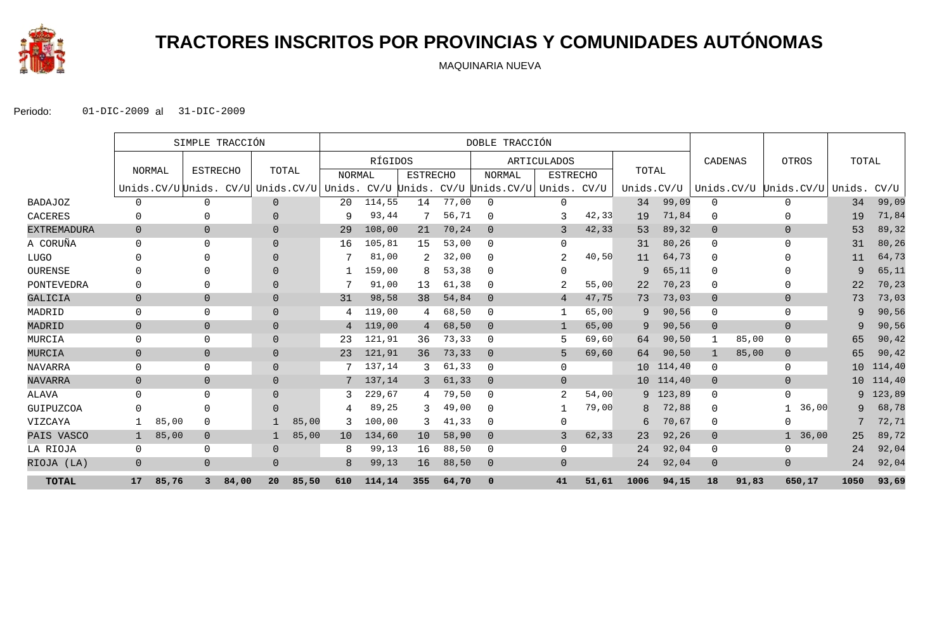

# **TRACTORES INSCRITOS POR PROVINCIAS Y COMUNIDADES AUTÓNOMAS**

MAQUINARIA NUEVA

|                    | SIMPLE TRACCIÓN |       |                 |       | DOBLE TRACCIÓN |       |                |         |                 |       |                                                                                     |                    |       |            |           |                |       |                              |       |        |
|--------------------|-----------------|-------|-----------------|-------|----------------|-------|----------------|---------|-----------------|-------|-------------------------------------------------------------------------------------|--------------------|-------|------------|-----------|----------------|-------|------------------------------|-------|--------|
|                    |                 |       |                 |       |                |       |                | RÍGIDOS |                 |       |                                                                                     | <b>ARTICULADOS</b> |       |            |           | CADENAS        |       | OTROS                        | TOTAL |        |
|                    | NORMAL          |       | <b>ESTRECHO</b> |       | TOTAL          |       | NORMAL         |         | <b>ESTRECHO</b> |       | NORMAL                                                                              | <b>ESTRECHO</b>    |       | TOTAL      |           |                |       |                              |       |        |
|                    |                 |       |                 |       |                |       |                |         |                 |       | Unids. CV/U Unids. CV/U Unids. CV/U Unids. CV/U Unids. CV/U Unids. CV/U Unids. CV/U |                    |       | Unids.CV/U |           |                |       | Unids.CV/U Unids.CV/U Unids. |       | CV/U   |
| <b>BADAJOZ</b>     | $\Omega$        |       | $\Omega$        |       | $\overline{0}$ |       | 20             | 114,55  | 14              | 77,00 | $\mathbf 0$                                                                         | $\Omega$           |       | 34         | 99,09     | $\mathbf 0$    |       | $\Omega$                     | 34    | 99,09  |
| CACERES            | $\Omega$        |       |                 |       | $\Omega$       |       | 9              | 93,44   |                 | 56,71 | $\Omega$                                                                            | 3                  | 42,33 | 19         | 71,84     | $\Omega$       |       | $\Omega$                     | 19    | 71,84  |
| <b>EXTREMADURA</b> | $\Omega$        |       | $\overline{0}$  |       | $\overline{0}$ |       | 29             | 108,00  | 21              | 70,24 | $\overline{0}$                                                                      | 3                  | 42,33 | 53         | 89,32     | $\overline{0}$ |       | $\Omega$                     | 53    | 89,32  |
| A CORUÑA           | $\Omega$        |       | $\Omega$        |       | $\Omega$       |       | 16             | 105,81  | 15              | 53,00 | $\mathbf 0$                                                                         | $\Omega$           |       | 31         | 80,26     | $\Omega$       |       | $\Omega$                     | 31    | 80,26  |
| LUGO               | $\Omega$        |       |                 |       | $\Omega$       |       |                | 81,00   |                 | 32,00 | $\mathbf 0$                                                                         | 2                  | 40,50 | 11         | 64,73     | $\mathbf{0}$   |       | <sup>n</sup>                 | 11    | 64,73  |
| OURENSE            | $\Omega$        |       |                 |       | $\Omega$       |       |                | 159,00  | 8               | 53,38 | $\Omega$                                                                            | $\Omega$           |       | 9          | 65,11     | $\Omega$       |       | <sup>0</sup>                 | 9     | 65,11  |
| PONTEVEDRA         | $\Omega$        |       |                 |       | $\Omega$       |       |                | 91,00   | 13              | 61,38 | $\Omega$                                                                            |                    | 55,00 | 22         | 70,23     | $\mathbf{0}$   |       | $\Omega$                     | 22    | 70,23  |
| GALICIA            | $\overline{0}$  |       | $\overline{0}$  |       | $\overline{0}$ |       | 31             | 98,58   | 38              | 54,84 | $\overline{0}$                                                                      | $\overline{4}$     | 47,75 | 73         | 73,03     | $\overline{0}$ |       | $\overline{0}$               | 73    | 73,03  |
| MADRID             | $\mathbf 0$     |       | $\mathbf 0$     |       | $\overline{0}$ |       | 4              | 119,00  | 4               | 68,50 | $\mathbf 0$                                                                         |                    | 65,00 | 9          | 90,56     | $\mathbf 0$    |       | $\mathbf 0$                  | 9     | 90,56  |
| MADRID             | $\overline{0}$  |       | $\mathbf 0$     |       | $\mathbf 0$    |       | $\overline{4}$ | 119,00  | 4               | 68,50 | $\overline{0}$                                                                      | 1                  | 65,00 | 9          | 90,56     | $\mathbf 0$    |       | $\overline{0}$               | 9     | 90,56  |
| MURCIA             | $\Omega$        |       | $\mathbf 0$     |       | $\mathbf{0}$   |       | 23             | 121,91  | 36              | 73,33 | 0                                                                                   | 5                  | 69,60 | 64         | 90,50     | 1              | 85,00 | $\mathbf 0$                  | 65    | 90,42  |
| MURCIA             | $\overline{0}$  |       | $\overline{0}$  |       | $\overline{0}$ |       | 23             | 121,91  | 36              | 73,33 | $\overline{0}$                                                                      | 5                  | 69,60 | 64         | 90,50     |                | 85,00 | $\overline{0}$               | 65    | 90,42  |
| NAVARRA            | 0               |       | $\mathbf 0$     |       | $\mathbf{0}$   |       |                | 137,14  | 3.              | 61,33 | $\Omega$                                                                            | $\Omega$           |       |            | 10 114,40 | 0              |       | $\mathbf 0$                  | 10    | 114,40 |
| <b>NAVARRA</b>     | $\overline{0}$  |       | $\mathbf 0$     |       | $\overline{0}$ |       | 7              | 137,14  | 3               | 61,33 | $\overline{0}$                                                                      | $\Omega$           |       |            | 10 114,40 | $\overline{0}$ |       | $\overline{0}$               | 10    | 114,40 |
| ALAVA              | $\Omega$        |       | $\Omega$        |       | $\Omega$       |       |                | 229,67  | 4               | 79,50 | $\Omega$                                                                            | 2                  | 54,00 |            | 9 123,89  | $\Omega$       |       | $\Omega$                     | 9     | 123,89 |
| GUIPUZCOA          | $\Omega$        |       |                 |       | $\Omega$       |       |                | 89,25   | 3               | 49,00 | $\Omega$                                                                            |                    | 79,00 | 8          | 72,88     | $\mathbf{0}$   |       | 36,00                        | 9     | 68,78  |
| VIZCAYA            |                 | 85,00 | $\Omega$        |       |                | 85,00 | 3              | 100,00  | 3               | 41,33 | $\Omega$                                                                            | $\Omega$           |       | 6          | 70,67     | $\mathbf 0$    |       | $\Omega$                     |       | 72,71  |
| PAIS VASCO         |                 | 85,00 | $\overline{0}$  |       |                | 85,00 | 10             | 134,60  | 10              | 58,90 | $\overline{0}$                                                                      | 3                  | 62,33 | 23         | 92,26     | $\mathbf 0$    |       | 36,00                        | 25    | 89,72  |
| LA RIOJA           | $\mathbf 0$     |       | $\mathbf 0$     |       | $\mathbf{0}$   |       | 8              | 99,13   | 16              | 88,50 | $\mathbf 0$                                                                         | $\Omega$           |       | 24         | 92,04     | 0              |       | $\Omega$                     | 24    | 92,04  |
| RIOJA (LA)         | $\Omega$        |       | $\overline{0}$  |       | $\overline{0}$ |       | 8              | 99,13   | 16              | 88,50 | $\overline{0}$                                                                      | $\Omega$           |       | 24         | 92,04     | $\mathbf 0$    |       | $\Omega$                     | 24    | 92,04  |
| <b>TOTAL</b>       | 17              | 85,76 | 3               | 84,00 | 20             | 85,50 | 610            | 114,14  | 355             | 64,70 | $\mathbf 0$                                                                         | 41                 | 51,61 | 1006       | 94,15     | 18             | 91,83 | 650,17                       | 1050  | 93,69  |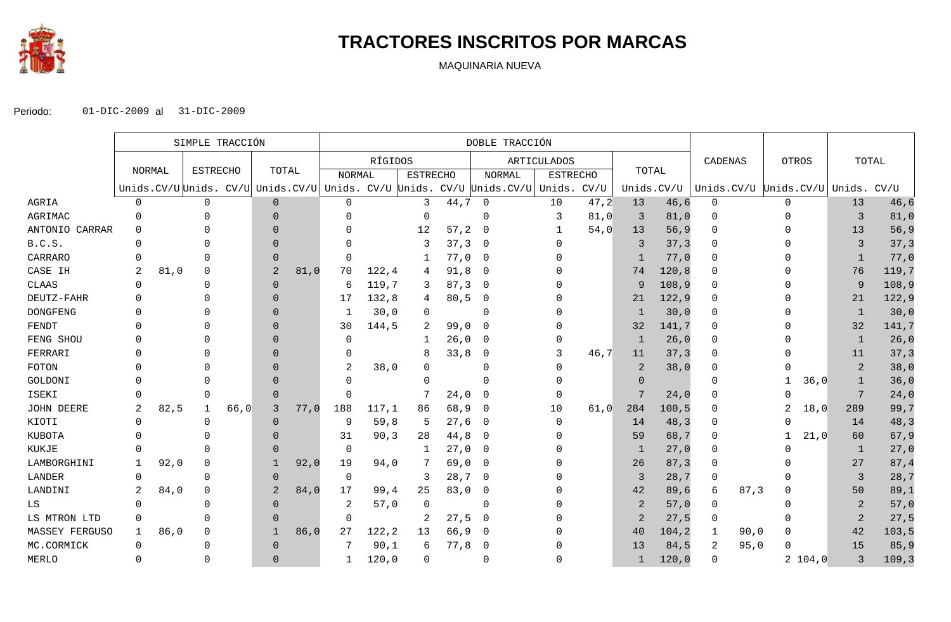

## **TRACTORES INSCRITOS POR MARCAS**

MAQUINARIA NUEVA

|                 | SIMPLE TRACCIÓN |      |                 |      |              | DOBLE TRACCIÓN |               |         |                 |       |                                                                                  |                 |      |                |        |            |                                   |                |        |
|-----------------|-----------------|------|-----------------|------|--------------|----------------|---------------|---------|-----------------|-------|----------------------------------------------------------------------------------|-----------------|------|----------------|--------|------------|-----------------------------------|----------------|--------|
|                 |                 |      |                 |      |              |                |               | RÍGIDOS |                 |       |                                                                                  | ARTICULADOS     |      |                |        | CADENAS    | OTROS                             |                | TOTAL  |
|                 | NORMAL          |      | <b>ESTRECHO</b> |      | TOTAL        |                | <b>NORMAL</b> |         | <b>ESTRECHO</b> |       | NORMAL                                                                           | <b>ESTRECHO</b> |      | TOTAL          |        |            |                                   |                |        |
|                 |                 |      |                 |      |              |                |               |         |                 |       | Unids.CV/U Unids. CV/U Unids.CV/U Unids. CV/U Unids. CV/U Unids.CV/U Unids. CV/U |                 |      | Unids.CV/U     |        |            | Unids.CV/U Unids.CV/U Unids. CV/U |                |        |
| AGRIA           | 0               |      | 0               |      | $\mathbf{0}$ |                | 0             |         | 3               | 44,7  | $\mathbf 0$                                                                      | 10              | 47,2 | 13             | 46, 6  | 0          | $\Omega$                          | 13             | 46,6   |
| AGRIMAC         | $\Omega$        |      |                 |      | $\Omega$     |                | ∩             |         | $\Omega$        |       | $\Omega$                                                                         | 3               | 81,0 | 3              | 81,0   | $\Omega$   | <sup>0</sup>                      | $\overline{3}$ | 81,0   |
| ANTONIO CARRAR  | $\Omega$        |      |                 |      | $\Omega$     |                |               |         | 12              | 57, 2 | - 0                                                                              |                 | 54,0 | 13             | 56, 9  | $\Omega$   | ∩                                 | 13             | 56, 9  |
| B.C.S.          | $\Omega$        |      |                 |      | $\Omega$     |                | O             |         | 3               | 37, 3 | - 0                                                                              |                 |      | 3              | 37, 3  | $\Omega$   |                                   | 3              | 37,3   |
| CARRARO         |                 |      |                 |      |              |                | $\Omega$      |         |                 | 77,0  | - 0                                                                              |                 |      |                | 77,0   |            |                                   | $\mathbf{1}$   | 77,0   |
| CASE IH         | 2               | 81,0 | $\Omega$        |      | 2            | 81,0           | 70            | 122, 4  | 4               | 91,8  | - 0                                                                              |                 |      | 74             | 120, 8 |            |                                   | 76             | 119,7  |
| CLAAS           | <sup>0</sup>    |      | $\Omega$        |      | $\Omega$     |                | 6             | 119,7   | 3               | 87,3  | 0                                                                                |                 |      | 9              | 108,9  | $\Omega$   |                                   | 9              | 108, 9 |
| DEUTZ-FAHR      |                 |      |                 |      | $\Omega$     |                | 17            | 132,8   | 4               | 80,5  | 0                                                                                |                 |      | 21             | 122, 9 | $\Omega$   |                                   | 21             | 122,9  |
| <b>DONGFENG</b> |                 |      |                 |      |              |                |               | 30,0    | $\Omega$        |       | $\Omega$                                                                         |                 |      | $\overline{1}$ | 30,0   | $\Omega$   |                                   | 1              | 30,0   |
| FENDT           |                 |      |                 |      | $\Omega$     |                | 30            | 144,5   | 2               | 99,0  | 0                                                                                |                 |      | 32             | 141,7  | $\Omega$   | <sup>0</sup>                      | 32             | 141,7  |
| FENG SHOU       |                 |      |                 |      | $\Omega$     |                | $\Omega$      |         | 1               | 26,0  | -0                                                                               |                 |      | 1              | 26,0   | $\Omega$   |                                   | 1              | 26,0   |
| FERRARI         |                 |      |                 |      |              |                | 0             |         | 8               | 33,8  | 0                                                                                | 3               | 46,7 | 11             | 37, 3  | $\Omega$   |                                   | 11             | 37,3   |
| FOTON           |                 |      |                 |      | $\Omega$     |                | 2             | 38,0    |                 |       | O                                                                                |                 |      | $\overline{2}$ | 38,0   | $\Omega$   |                                   | $\overline{2}$ | 38,0   |
| GOLDONI         |                 |      |                 |      | $\Omega$     |                | 0             |         |                 |       |                                                                                  |                 |      | $\Omega$       |        | $\Omega$   | 36,0                              | $\mathbf{1}$   | 36,0   |
| ISEKI           |                 |      |                 |      | $\Omega$     |                | $\Omega$      |         |                 | 24,0  | $\Omega$                                                                         |                 |      |                | 24,0   | $\Omega$   | <sup>0</sup>                      | 7              | 24,0   |
| JOHN DEERE      | 2               | 82,5 |                 | 66,0 | 3            | 77,0           | 188           | 117,1   | 86              | 68,9  | 0                                                                                | 10              | 61,0 | 284            | 100, 5 |            | 18,0                              | 289            | 99,7   |
| KIOTI           | $\Omega$        |      | $\Omega$        |      | $\Omega$     |                | 9             | 59,8    | -5              | 27,6  | $\overline{0}$                                                                   |                 |      | 14             | 48,3   | $\Omega$   | $\Omega$                          | 14             | 48,3   |
| KUBOTA          |                 |      |                 |      | $\Omega$     |                | 31            | 90, 3   | 28              | 44,8  | - 0                                                                              |                 |      | 59             | 68,7   | $\Omega$   | 21,0                              | 60             | 67, 9  |
| KUKJE           |                 |      |                 |      | $\Omega$     |                | $\mathbf 0$   |         | 1               | 27,0  | - 0                                                                              |                 |      | -1             | 27,0   | $\Omega$   |                                   | 1              | 27,0   |
| LAMBORGHINI     |                 | 92,0 | $\Omega$        |      |              | 92,0           | 19            | 94,0    |                 | 69,0  | $\overline{\phantom{0}}$                                                         |                 |      | 26             | 87, 3  | $\Omega$   |                                   | 27             | 87,4   |
| LANDER          | $\Omega$        |      | $\Omega$        |      | $\Omega$     |                | $\mathbf 0$   |         | 3               | 28,7  | 0                                                                                |                 |      | 3              | 28,7   | $\Omega$   |                                   | $\overline{3}$ | 28,7   |
| LANDINI         | 2               | 84,0 | $\Omega$        |      | 2            | 84,0           | 17            | 99,4    | 25              | 83,0  | 0                                                                                |                 |      | 42             | 89,6   | 87, 3<br>6 | O                                 | 50             | 89,1   |
| LS              | $\Omega$        |      |                 |      | $\Omega$     |                | 2             | 57,0    | $\Omega$        |       | $\Omega$                                                                         |                 |      | 2              | 57,0   | $\Omega$   |                                   | $\overline{2}$ | 57,0   |
| LS MTRON LTD    | $\Omega$        |      |                 |      | $\Omega$     |                | $\Omega$      |         | 2               | 27,5  | - 0                                                                              |                 |      | 2              | 27,5   |            |                                   | $\overline{a}$ | 27,5   |
| MASSEY FERGUSO  | 1               | 86,0 | $\Omega$        |      |              | 86,0           | 27            | 122, 2  | 13              | 66,9  | - 0                                                                              |                 |      | 40             | 104, 2 | 90,0<br>1  | $\Omega$                          | 42             | 103,5  |
| MC.CORMICK      | $\Omega$        |      |                 |      | $\Omega$     |                | 7             | 90,1    | 6               | 77,8  | - 0                                                                              |                 |      | 13             | 84,5   | 95,0<br>2  | $\Omega$                          | 15             | 85, 9  |
| MERLO           | $\Omega$        |      |                 |      | $\Omega$     |                | 1             | 120,0   | 0               |       | $\Omega$                                                                         |                 |      |                | 120,0  | $\Omega$   | 2 104, 0                          | 3              | 109, 3 |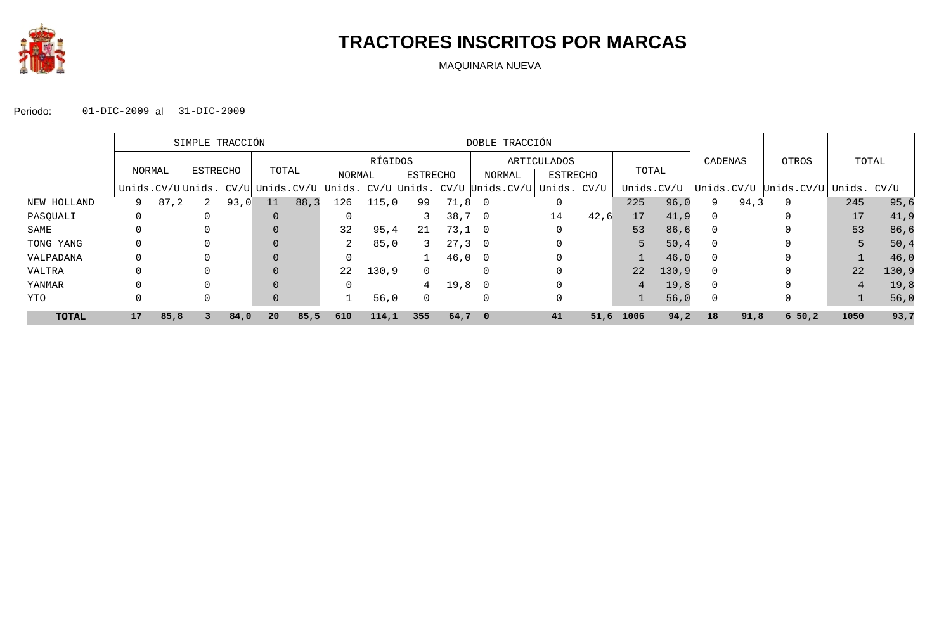

## **TRACTORES INSCRITOS POR MARCAS**

MAQUINARIA NUEVA

|              |        | SIMPLE TRACCIÓN |                |      |       |         | DOBLE TRACCIÓN                                                        |       |             |        |                          |                 |      |            |        |            |       |            |             |        |
|--------------|--------|-----------------|----------------|------|-------|---------|-----------------------------------------------------------------------|-------|-------------|--------|--------------------------|-----------------|------|------------|--------|------------|-------|------------|-------------|--------|
|              |        |                 |                |      |       | RÍGIDOS |                                                                       |       | ARTICULADOS |        |                          |                 |      | CADENAS    |        | OTROS      | TOTAL |            |             |        |
|              | NORMAL |                 | ESTRECHO       |      | TOTAL |         | NORMAL                                                                |       | ESTRECHO    |        | NORMAL                   | <b>ESTRECHO</b> |      | TOTAL      |        |            |       |            |             |        |
|              |        |                 |                |      |       |         | Unids. $CV/U$ Unids. $CV/U$ Unids. $CV/U$ Unids. $CV/U$ Unids. $CV/U$ |       |             |        | Unids.CV/U Unids. CV/U   |                 |      | Unids.CV/U |        | Unids.CV/U |       | Unids.CV/U | Unids. CV/U |        |
| NEW HOLLAND  | 9      | 87,2            | $\overline{a}$ | 93,0 | 11    | 88, 3   | 126                                                                   | 115,0 | 99          | 71,8   |                          |                 |      | 225        | 96,0   | 9          | 94,3  | 0          | 245         | 95,6   |
| PASQUALI     |        |                 |                |      |       |         |                                                                       |       |             | 38,7   | - 0                      | 14              | 42,6 | 17         | 41,9   | $\Omega$   |       | 0          | 17          | 41,9   |
| SAME         |        |                 |                |      |       |         | 32                                                                    | 95,4  | 21          | 73,1 0 |                          |                 |      | 53         | 86,6   | $\Omega$   |       |            | 53          | 86,6   |
| TONG YANG    |        |                 |                |      |       |         | 2                                                                     | 85,0  | 3           | 27, 3  | $\overline{\phantom{0}}$ |                 |      | 5          | 50, 4  | $\Omega$   |       |            | 5           | 50,4   |
| VALPADANA    |        |                 |                |      |       |         |                                                                       |       |             | 46,0   | $\overline{0}$           |                 |      |            | 46,0   | $\Omega$   |       |            |             | 46,0   |
| VALTRA       |        |                 |                |      |       |         | 22                                                                    | 130,9 | $\Omega$    |        |                          |                 |      | 22         | 130, 9 | $\Omega$   |       |            | 22          | 130, 9 |
| YANMAR       |        |                 |                |      |       |         |                                                                       |       | 4           | 19,8   | $\overline{\phantom{0}}$ |                 |      | 4          | 19,8   | 0          |       |            | 4           | 19,8   |
| YTO          |        |                 |                |      |       |         |                                                                       | 56,0  | $\Omega$    |        |                          |                 |      |            | 56,0   | 0          |       |            |             | 56,0   |
| <b>TOTAL</b> | 17     | 85,8            |                | 84,0 | 20    | 85,5    | 610                                                                   | 114,1 | 355         | 64,7   | - 0                      | 41              | 51,6 | 1006       | 94,2   | 18         | 91,8  | 650,2      | 1050        | 93,7   |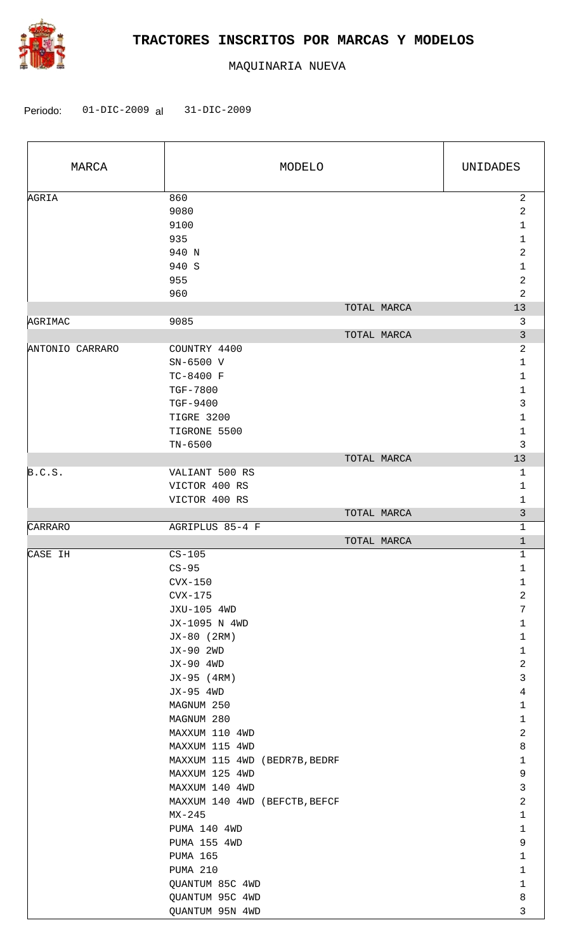

| MARCA           | MODELO                                                                                                                                                                                                                                                                                                                                                                                              | UNIDADES                                                                                                                                                                                                                                                                                            |
|-----------------|-----------------------------------------------------------------------------------------------------------------------------------------------------------------------------------------------------------------------------------------------------------------------------------------------------------------------------------------------------------------------------------------------------|-----------------------------------------------------------------------------------------------------------------------------------------------------------------------------------------------------------------------------------------------------------------------------------------------------|
| AGRIA           | 860<br>9080<br>9100<br>935<br>940 N<br>940 S<br>955<br>960                                                                                                                                                                                                                                                                                                                                          | $\mathbf{2}$<br>$\overline{a}$<br>$\mathbf 1$<br>$\mathbf 1$<br>2<br>$\mathbf{1}$<br>2<br>$\overline{a}$                                                                                                                                                                                            |
|                 | TOTAL MARCA<br>9085                                                                                                                                                                                                                                                                                                                                                                                 | 13<br>3                                                                                                                                                                                                                                                                                             |
| AGRIMAC         | TOTAL MARCA                                                                                                                                                                                                                                                                                                                                                                                         | $\mathfrak{Z}$                                                                                                                                                                                                                                                                                      |
| ANTONIO CARRARO | COUNTRY 4400<br>SN-6500 V<br>TC-8400 F<br>TGF-7800<br>TGF-9400<br>TIGRE 3200<br>TIGRONE 5500<br>$TN-6500$<br>TOTAL MARCA                                                                                                                                                                                                                                                                            | $\sqrt{2}$<br>1<br>1<br>1<br>3<br>1<br>1<br>3<br>13                                                                                                                                                                                                                                                 |
| B.C.S.          | VALIANT 500 RS<br>VICTOR 400 RS                                                                                                                                                                                                                                                                                                                                                                     | 1<br>1                                                                                                                                                                                                                                                                                              |
|                 | VICTOR 400 RS                                                                                                                                                                                                                                                                                                                                                                                       | 1                                                                                                                                                                                                                                                                                                   |
|                 | TOTAL MARCA                                                                                                                                                                                                                                                                                                                                                                                         | 3                                                                                                                                                                                                                                                                                                   |
| CARRARO         | AGRIPLUS 85-4 F<br>TOTAL MARCA                                                                                                                                                                                                                                                                                                                                                                      | 1<br>$\mathbf{1}$                                                                                                                                                                                                                                                                                   |
| CASE IH         | $CS-105$<br>$CS-95$<br>$Cvx-150$<br>$Cvx-175$<br>JXU-105 4WD<br>JX-1095 N 4WD<br>JX-80 (2RM)<br>JX-90 2WD<br>JX-90 4WD<br>JX-95 (4RM)<br>JX-95 4WD<br>MAGNUM 250<br>MAGNUM 280<br>MAXXUM 110 4WD<br>MAXXUM 115 4WD<br>MAXXUM 115 4WD (BEDR7B, BEDRF<br>MAXXUM 125 4WD<br>MAXXUM 140 4WD<br>MAXXUM 140 4WD (BEFCTB, BEFCF<br>MX-245<br><b>PUMA 140 4WD</b><br><b>PUMA 155 4WD</b><br><b>PUMA 165</b> | 1<br>$\mathbf 1$<br>1<br>2<br>7<br>$\mathbf 1$<br>$\mathbf{1}$<br>$\mathbf{1}$<br>$\overline{c}$<br>$\mathbf{3}$<br>$\overline{4}$<br>$\mathbf{1}$<br>$\mathbf 1$<br>$\sqrt{2}$<br>$\,8\,$<br>$\mathbf{1}$<br>9<br>$\mathbf{3}$<br>$\overline{2}$<br>$\mathbf 1$<br>$\mathbf 1$<br>9<br>$\mathbf 1$ |
|                 | PUMA 210<br>QUANTUM 85C 4WD<br>QUANTUM 95C 4WD                                                                                                                                                                                                                                                                                                                                                      | $\mathbf{1}$<br>$\mathbf 1$<br>$\,8\,$                                                                                                                                                                                                                                                              |
|                 | QUANTUM 95N 4WD                                                                                                                                                                                                                                                                                                                                                                                     | 3                                                                                                                                                                                                                                                                                                   |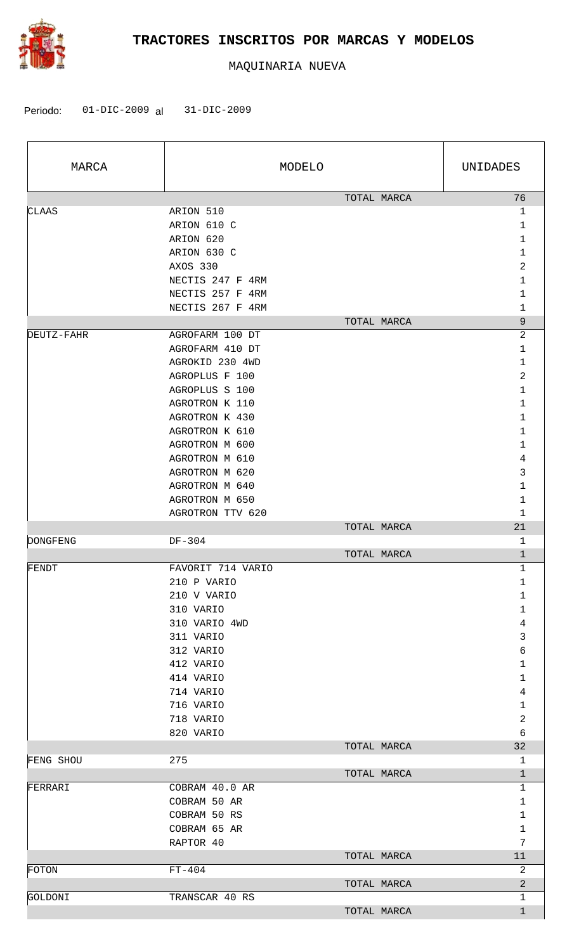

| MARCA      |                                                                                                                                                | MODELO      | UNIDADES                                                                                         |
|------------|------------------------------------------------------------------------------------------------------------------------------------------------|-------------|--------------------------------------------------------------------------------------------------|
| CLAAS      | ARION 510<br>ARION 610 C<br>ARION 620<br>ARION 630 C<br>AXOS 330<br>NECTIS 247 F 4RM<br>NECTIS 257 F 4RM<br>NECTIS 267 F 4RM                   | TOTAL MARCA | 76<br>$\mathbf 1$<br>$\mathbf{1}$<br>1<br>$\mathbf 1$<br>$\overline{2}$<br>$\mathbf 1$<br>1<br>1 |
| DEUTZ-FAHR | AGROFARM 100 DT                                                                                                                                | TOTAL MARCA | 9<br>$\overline{c}$                                                                              |
|            | AGROFARM 410 DT<br>AGROKID 230 4WD<br>AGROPLUS F 100<br>AGROPLUS S 100<br>AGROTRON K 110<br>AGROTRON K 430<br>AGROTRON K 610<br>AGROTRON M 600 |             | 1<br>1<br>$\overline{2}$<br>1<br>1<br>1<br>1<br>$\mathbf{1}$                                     |
|            | AGROTRON M 610<br>AGROTRON M 620<br>AGROTRON M 640<br>AGROTRON M 650                                                                           |             | 4<br>3<br>1<br>$\mathbf 1$                                                                       |
|            | AGROTRON TTV 620                                                                                                                               | TOTAL MARCA | 1<br>21                                                                                          |
| DONGFENG   | DF-304                                                                                                                                         |             | 1                                                                                                |
|            |                                                                                                                                                | TOTAL MARCA | $\mathbf{1}$                                                                                     |
| FENDT      | FAVORIT 714 VARIO<br>210 P VARIO<br>210 V VARIO<br>310 VARIO<br>310 VARIO 4WD<br>311 VARIO<br>312 VARIO<br>412 VARIO<br>414 VARIO<br>714 VARIO |             | 1<br>1<br>1<br>$\mathbf{1}$<br>$\overline{4}$<br>3<br>6<br>1<br>$\mathbf 1$<br>$\overline{4}$    |
|            | 716 VARIO<br>718 VARIO                                                                                                                         |             | $\mathbf{1}$<br>$\overline{2}$                                                                   |
|            | 820 VARIO                                                                                                                                      |             | 6                                                                                                |
| FENG SHOU  | 275                                                                                                                                            | TOTAL MARCA | 32<br>1                                                                                          |
|            |                                                                                                                                                | TOTAL MARCA | $\mathbf{1}$                                                                                     |
| FERRARI    | COBRAM 40.0 AR<br>COBRAM 50 AR<br>COBRAM 50 RS<br>COBRAM 65 AR<br>RAPTOR 40                                                                    | TOTAL MARCA | 1<br>1<br>1<br>$\mathbf 1$<br>7<br>11                                                            |
| FOTON      | $FT-404$                                                                                                                                       |             | 2                                                                                                |
|            |                                                                                                                                                | TOTAL MARCA | $\overline{a}$                                                                                   |
| GOLDONI    | TRANSCAR 40 RS                                                                                                                                 | TOTAL MARCA | 1<br>$\mathbf{1}$                                                                                |
|            |                                                                                                                                                |             |                                                                                                  |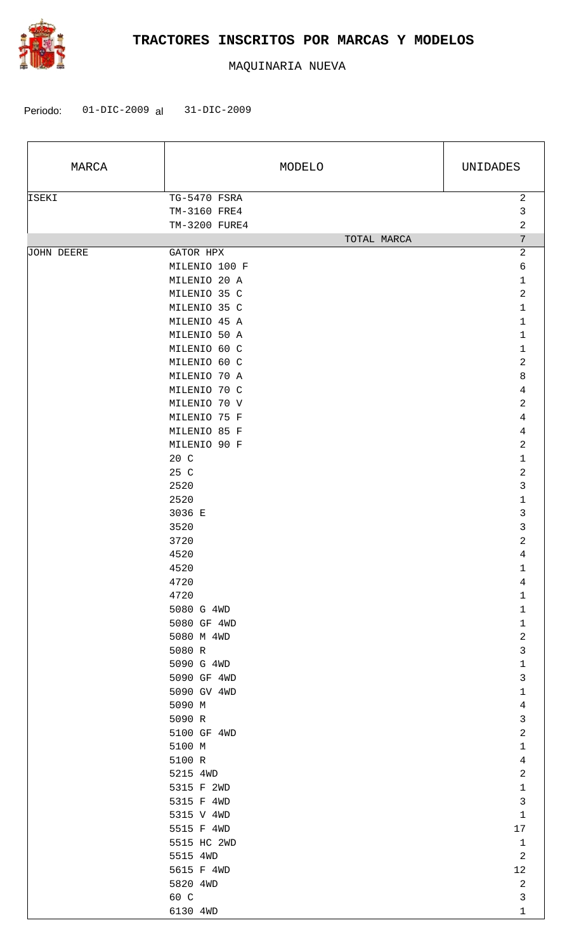

| MARCA             |                                               | MODELO      | UNIDADES                        |
|-------------------|-----------------------------------------------|-------------|---------------------------------|
| ISEKI             | TG-5470 FSRA<br>TM-3160 FRE4<br>TM-3200 FURE4 |             | $\sqrt{2}$<br>$\mathsf{3}$<br>2 |
|                   |                                               | TOTAL MARCA | $7\phantom{.}$                  |
| <b>JOHN DEERE</b> | GATOR HPX                                     |             | $\overline{a}$                  |
|                   | MILENIO 100 F                                 |             | 6                               |
|                   | MILENIO 20 A                                  |             | 1                               |
|                   | MILENIO 35 C                                  |             | $\overline{a}$                  |
|                   | MILENIO 35 C                                  |             | $\mathbf{1}$                    |
|                   | MILENIO 45 A                                  |             | 1                               |
|                   | MILENIO 50 A                                  |             | $\mathbf{1}$                    |
|                   | MILENIO 60 C                                  |             | $\mathbf{1}$<br>$\overline{a}$  |
|                   | MILENIO 60 C                                  |             |                                 |
|                   | MILENIO 70 A                                  |             | 8                               |
|                   | MILENIO 70 C                                  |             | 4                               |
|                   | MILENIO 70 V                                  |             | 2                               |
|                   | MILENIO 75 F                                  |             | $\overline{4}$                  |
|                   | MILENIO 85 F                                  |             | 4                               |
|                   | MILENIO 90 F                                  |             | $\overline{a}$<br>$1\,$         |
|                   | 20 C<br>25 C                                  |             | $\overline{a}$                  |
|                   | 2520                                          |             | 3                               |
|                   | 2520                                          |             | $1\,$                           |
|                   | 3036 E                                        |             | $\mathfrak{Z}$                  |
|                   | 3520                                          |             | 3                               |
|                   | 3720                                          |             | $\overline{a}$                  |
|                   | 4520                                          |             | 4                               |
|                   | 4520                                          |             | 1                               |
|                   | 4720                                          |             | 4                               |
|                   | 4720                                          |             | 1                               |
|                   | 5080 G 4WD                                    |             | $\mathbf{1}$                    |
|                   | 5080 GF 4WD                                   |             | $\mathbf{1}$                    |
|                   | 5080 M 4WD                                    |             | $\overline{a}$                  |
|                   | 5080 R                                        |             | $\mathsf{3}$                    |
|                   | 5090 G 4WD                                    |             | $\mathbf{1}$                    |
|                   | 5090 GF 4WD                                   |             | $\mathfrak{Z}$                  |
|                   | 5090 GV 4WD                                   |             | $\mathbf 1$                     |
|                   | 5090 M                                        |             | $\overline{4}$                  |
|                   | 5090 R                                        |             | $\mathfrak{Z}$                  |
|                   | 5100 GF 4WD                                   |             | $\overline{2}$                  |
|                   | 5100 M                                        |             | $\mathbf 1$                     |
|                   | 5100 R                                        |             | $\overline{4}$                  |
|                   | 5215 4WD                                      |             | $\overline{a}$                  |
|                   | 5315 F 2WD                                    |             | $\mathbf{1}$                    |
|                   | 5315 F 4WD                                    |             | $\mathsf{3}$                    |
|                   | 5315 V 4WD                                    |             | $\mathbf{1}$                    |
|                   | 5515 F 4WD                                    |             | 17                              |
|                   | 5515 HC 2WD                                   |             | $\mathbf{1}$                    |
|                   | 5515 4WD                                      |             | $\mathbf{2}$                    |
|                   | 5615 F 4WD                                    |             | 12                              |
|                   | 5820 4WD                                      |             | $\overline{a}$                  |
|                   | 60 C                                          |             | $\mathfrak{Z}$                  |
|                   | 6130 4WD                                      |             | $\mathbf{1}$                    |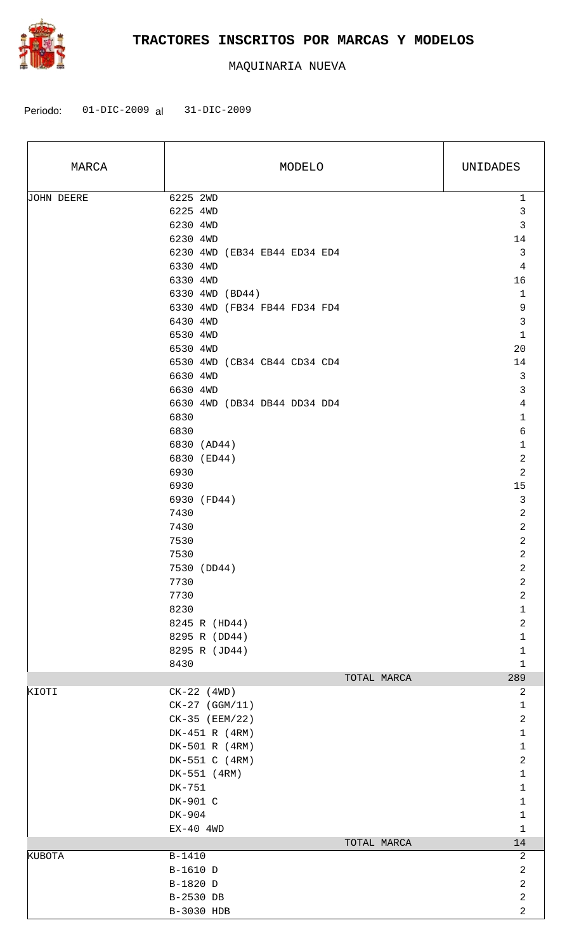

| MARCA      | MODELO                       | UNIDADES                     |
|------------|------------------------------|------------------------------|
| JOHN DEERE | 6225 2WD                     | $\mathbf 1$                  |
|            | 6225 4WD                     | $\mathfrak{Z}$               |
|            | 6230 4WD                     | $\mathsf{3}$                 |
|            | 6230 4WD                     | 14                           |
|            | 6230 4WD (EB34 EB44 ED34 ED4 | $\mathbf{3}$                 |
|            | 6330 4WD                     | $\overline{4}$               |
|            | 6330 4WD                     | 16                           |
|            | 6330 4WD (BD44)              | $\mathbf{1}$                 |
|            | 6330 4WD (FB34 FB44 FD34 FD4 | 9                            |
|            | 6430 4WD                     | $\mathfrak{Z}$               |
|            | 6530 4WD                     | $\mathbf 1$                  |
|            | 6530 4WD                     | 20                           |
|            | 6530 4WD (CB34 CB44 CD34 CD4 | 14                           |
|            | 6630 4WD<br>6630 4WD         | $\mathbf{3}$<br>$\mathsf{3}$ |
|            | 6630 4WD (DB34 DB44 DD34 DD4 | $\overline{4}$               |
|            | 6830                         | $\mathbf{1}$                 |
|            | 6830                         | $\epsilon$                   |
|            | 6830 (AD44)                  | $\mathbf 1$                  |
|            | 6830 (ED44)                  | $\sqrt{2}$                   |
|            | 6930                         | $\overline{c}$               |
|            | 6930                         | 15                           |
|            | 6930 (FD44)                  | $\mathbf{3}$                 |
|            | 7430                         | $\sqrt{2}$                   |
|            | 7430                         | $\overline{c}$               |
|            | 7530                         | $\overline{a}$               |
|            | 7530                         | $\overline{c}$               |
|            | 7530 (DD44)                  | $\overline{c}$               |
|            | 7730                         | $\overline{\mathbf{c}}$      |
|            | 7730                         | $\sqrt{2}$                   |
|            | 8230                         | $\mathbf 1$                  |
|            | 8245 R (HD44)                | $\sqrt{2}$                   |
|            | 8295 R (DD44)                | $\mathbf{1}$                 |
|            | 8295 R (JD44)<br>8430        | $\mathbf{1}$<br>$\mathbf{1}$ |
|            | TOTAL MARCA                  | 289                          |
| KIOTI      | $CK-22$ (4WD)                | 2                            |
|            | $CK-27$ (GGM/11)             | $\mathbf{1}$                 |
|            | CK-35 (EEM/22)               | $\overline{2}$               |
|            | DK-451 R (4RM)               | $\mathbf{1}$                 |
|            | DK-501 R (4RM)               | $\mathbf{1}$                 |
|            | DK-551 C (4RM)               | $\sqrt{2}$                   |
|            | DK-551 (4RM)                 | $\mathbf{1}$                 |
|            | DK-751                       | $\mathbf{1}$                 |
|            | DK-901 C                     | $\mathbf{1}$                 |
|            | DK-904                       | $\mathbf{1}$                 |
|            | $EX-40$ 4WD                  | $\mathbf{1}$                 |
|            | TOTAL MARCA                  | 14                           |
| KUBOTA     | $B-1410$                     | $\overline{a}$               |
|            | B-1610 D                     | $\overline{a}$               |
|            | B-1820 D<br>B-2530 DB        | $\overline{a}$<br>$\sqrt{2}$ |
|            | B-3030 HDB                   | $\overline{a}$               |
|            |                              |                              |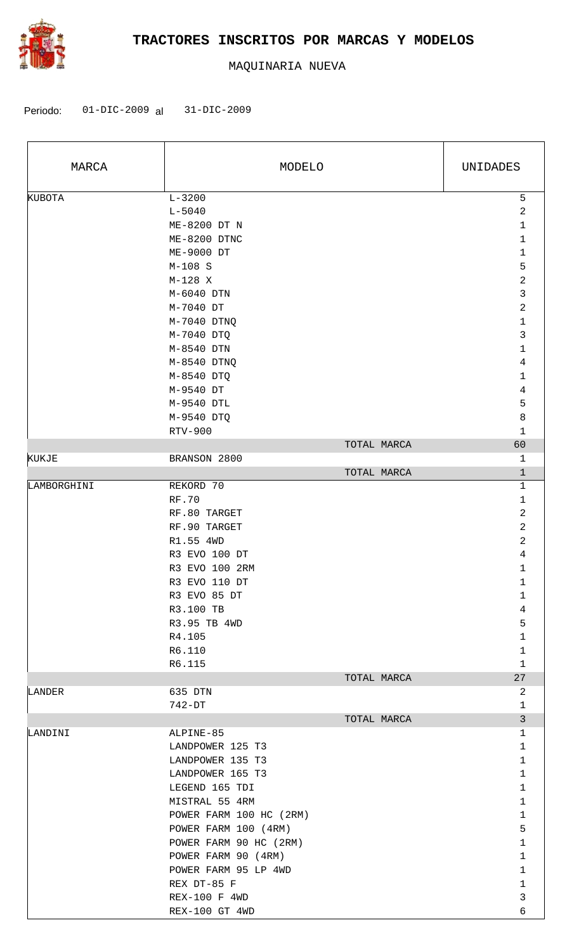

| MARCA         | MODELO                  |             | UNIDADES                      |
|---------------|-------------------------|-------------|-------------------------------|
| <b>KUBOTA</b> | $L - 3200$              |             | 5                             |
|               | $L - 5040$              |             | 2                             |
|               | ME-8200 DT N            |             | $\mathbf 1$                   |
|               | ME-8200 DTNC            |             | 1                             |
|               | ME-9000 DT              |             | $\mathbf 1$                   |
|               | $M-108$ S               |             | 5                             |
|               | $M-128$ X               |             | $\overline{\mathbf{c}}$       |
|               | M-6040 DTN              |             | 3                             |
|               | M-7040 DT               |             | $\overline{\mathbf{c}}$       |
|               | M-7040 DTNQ             |             | 1                             |
|               | M-7040 DTQ              |             | 3                             |
|               | M-8540 DTN              |             | $\mathbf 1$                   |
|               | M-8540 DTNQ             |             | 4                             |
|               | M-8540 DTQ              |             | $1\,$                         |
|               | M-9540 DT               |             | $\,4$                         |
|               | M-9540 DTL              |             | 5                             |
|               | M-9540 DTQ              |             | 8                             |
|               | RTV-900                 |             | $1\,$                         |
|               |                         | TOTAL MARCA | 60                            |
| KUKJE         | BRANSON 2800            |             | $\mathbf{1}$                  |
|               |                         | TOTAL MARCA | $\mathbf 1$                   |
| LAMBORGHINI   | REKORD 70               |             | 1                             |
|               | <b>RF.70</b>            |             | $\mathbf 1$                   |
|               | RF.80 TARGET            |             | $\overline{\mathbf{c}}$       |
|               | RF.90 TARGET            |             | $\overline{\mathbf{c}}$       |
|               | R1.55 4WD               |             | $\overline{\mathbf{c}}$       |
|               | R3 EVO 100 DT           |             | 4                             |
|               | R3 EVO 100 2RM          |             | 1                             |
|               | R3 EVO 110 DT           |             | 1                             |
|               | R3 EVO 85 DT            |             | 1                             |
|               | R3.100 TB               |             | 4                             |
|               | R3.95 TB 4WD            |             | 5                             |
|               | R4.105                  |             | $\mathbf 1$                   |
|               | R6.110                  |             | $\mathbf 1$                   |
|               | R6.115                  |             | $\mathbf{1}$                  |
|               |                         | TOTAL MARCA | 27                            |
| LANDER        | 635 DTN                 |             | 2                             |
|               | 742-DT                  |             | $\mathbf 1$<br>$\mathfrak{Z}$ |
| LANDINI       | ALPINE-85               | TOTAL MARCA | 1                             |
|               | LANDPOWER 125 T3        |             | $\mathbf 1$                   |
|               | LANDPOWER 135 T3        |             | $\mathbf 1$                   |
|               | LANDPOWER 165 T3        |             | $\mathbf{1}$                  |
|               | LEGEND 165 TDI          |             | $\mathbf 1$                   |
|               | MISTRAL 55 4RM          |             | $\mathbf 1$                   |
|               | POWER FARM 100 HC (2RM) |             | $\mathbf 1$                   |
|               | POWER FARM 100 (4RM)    |             | 5                             |
|               | POWER FARM 90 HC (2RM)  |             | $\mathbf 1$                   |
|               | POWER FARM 90 (4RM)     |             | $\mathbf 1$                   |
|               | POWER FARM 95 LP 4WD    |             | $\mathbf 1$                   |
|               | REX DT-85 F             |             | $\mathbf 1$                   |
|               | REX-100 F 4WD           |             | $\mathbf{3}$                  |
|               | REX-100 GT 4WD          |             | 6                             |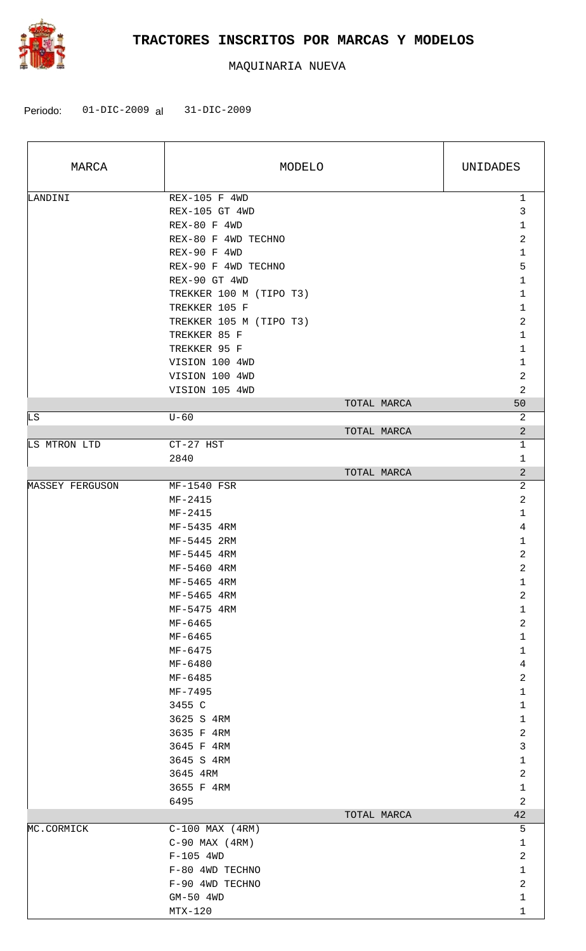

| MARCA           | MODELO                  |             | UNIDADES       |
|-----------------|-------------------------|-------------|----------------|
| LANDINI         | REX-105 F 4WD           |             | $\mathbf{1}$   |
|                 | REX-105 GT 4WD          |             | $\mathfrak{Z}$ |
|                 | REX-80 F 4WD            |             | $\mathbf 1$    |
|                 | REX-80 F 4WD TECHNO     |             | $\overline{c}$ |
|                 | REX-90 F 4WD            |             | $\mathbf{1}$   |
|                 | REX-90 F 4WD TECHNO     |             | 5              |
|                 | REX-90 GT 4WD           |             | $\mathbf{1}$   |
|                 | TREKKER 100 M (TIPO T3) |             | $\mathbf 1$    |
|                 | TREKKER 105 F           |             | $\mathbf{1}$   |
|                 | TREKKER 105 M (TIPO T3) |             | $\overline{c}$ |
|                 | TREKKER 85 F            |             | $\mathbf 1$    |
|                 | TREKKER 95 F            |             | $\mathbf{1}$   |
|                 | VISION 100 4WD          |             | $\mathbf{1}$   |
|                 | VISION 100 4WD          |             | $\overline{c}$ |
|                 | VISION 105 4WD          |             | $\overline{a}$ |
|                 |                         |             |                |
|                 |                         | TOTAL MARCA | 50             |
| LS.             | $U - 60$                | TOTAL MARCA | 2              |
|                 |                         |             | $\overline{a}$ |
| LS MTRON LTD    | CT-27 HST               |             | $\mathbf{1}$   |
|                 | 2840                    |             | 1              |
|                 |                         | TOTAL MARCA | $\overline{a}$ |
| MASSEY FERGUSON | MF-1540 FSR             |             | $\overline{c}$ |
|                 | $MF-2415$               |             | 2              |
|                 | $MF-2415$               |             | $\mathbf 1$    |
|                 | MF-5435 4RM             |             | $\overline{4}$ |
|                 | MF-5445 2RM             |             | 1              |
|                 | MF-5445 4RM             |             | $\overline{c}$ |
|                 | MF-5460 4RM             |             | $\overline{c}$ |
|                 | MF-5465 4RM             |             | $\mathbf{1}$   |
|                 | MF-5465 4RM             |             | $\sqrt{2}$     |
|                 | MF-5475 4RM             |             | $\mathbf 1$    |
|                 | MF-6465                 |             | $\overline{c}$ |
|                 | MF-6465                 |             | $\mathbf 1$    |
|                 | $MF-6475$               |             | $\mathbf{1}$   |
|                 | MF-6480                 |             | $\overline{4}$ |
|                 | MF-6485                 |             | $\sqrt{2}$     |
|                 | MF-7495                 |             | $\mathbf{1}$   |
|                 | 3455 C                  |             | $\mathbf 1$    |
|                 | 3625 S 4RM              |             | $\mathbf 1$    |
|                 | 3635 F 4RM              |             | $\sqrt{2}$     |
|                 | 3645 F 4RM              |             | 3              |
|                 | 3645 S 4RM              |             | $\mathbf 1$    |
|                 | 3645 4RM                |             | $\overline{a}$ |
|                 | 3655 F 4RM              |             | $\mathbf 1$    |
|                 | 6495                    |             | $\overline{a}$ |
|                 |                         | TOTAL MARCA | 42             |
| MC.CORMICK      | $C-100$ MAX $(4RM)$     |             | 5              |
|                 | $C-90$ MAX $(4RM)$      |             | $\mathbf 1$    |
|                 | $F-105$ 4WD             |             | $\overline{a}$ |
|                 | F-80 4WD TECHNO         |             | $\mathbf 1$    |
|                 | F-90 4WD TECHNO         |             | 2              |
|                 | GM-50 4WD               |             | $\mathbf 1$    |
|                 | $MTX-120$               |             | $\mathbf{1}$   |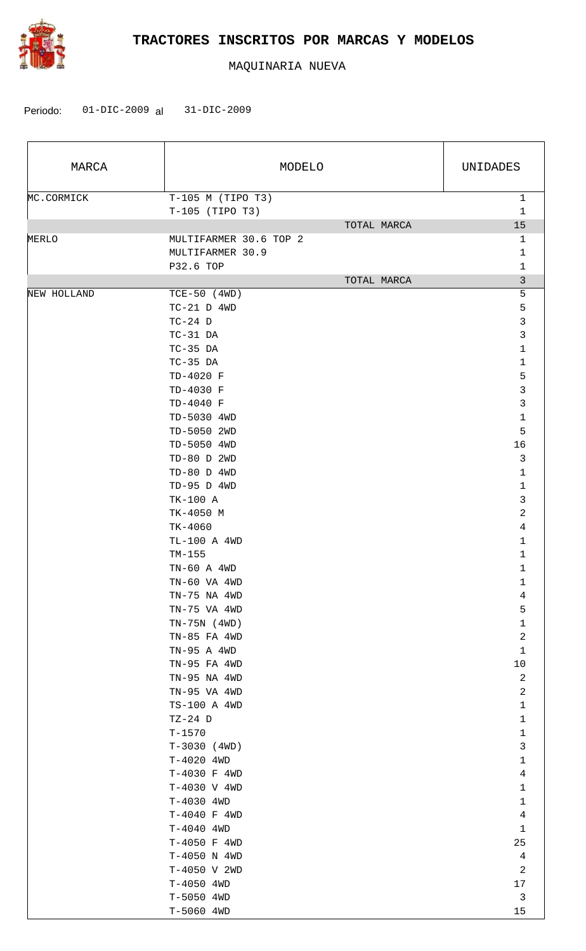

| MARCA       |                             | MODELO      | UNIDADES       |
|-------------|-----------------------------|-------------|----------------|
| MC.CORMICK  | $T-105$ M (TIPO T3)         |             | $\mathbf{1}$   |
|             | $T-105$ (TIPO T3)           |             | 1              |
|             |                             | TOTAL MARCA | 15             |
| MERLO       | MULTIFARMER 30.6 TOP 2      |             | 1              |
|             | MULTIFARMER 30.9            |             | 1              |
|             | P32.6 TOP                   |             | 1              |
|             |                             | TOTAL MARCA | $\mathfrak{Z}$ |
| NEW HOLLAND | $TCE-50$ (4WD)              |             | 5              |
|             | $TC-21$ D $4WD$             |             | 5              |
|             | $TC-24$ D                   |             | 3              |
|             | $TC-31$ DA                  |             | 3              |
|             | $TC-35$ DA                  |             | $\mathbf{1}$   |
|             | $TC-35$ DA                  |             | 1              |
|             | TD-4020 F                   |             | 5              |
|             | TD-4030 F                   |             | 3              |
|             | TD-4040 F                   |             | $\mathfrak{Z}$ |
|             | TD-5030 4WD                 |             | $\mathbf 1$    |
|             | TD-5050 2WD                 |             | 5              |
|             | TD-5050 4WD                 |             | 16             |
|             | TD-80 D 2WD                 |             | $\mathfrak{Z}$ |
|             | $TD-80$ D $4WD$             |             | $\mathbf{1}$   |
|             | TD-95 D 4WD                 |             | $\mathbf 1$    |
|             | TK-100 A                    |             | 3              |
|             | TK-4050 M                   |             | $\overline{2}$ |
|             | $TK-4060$                   |             | $\overline{4}$ |
|             | TL-100 A 4WD                |             | $\mathbf 1$    |
|             | $TM-155$<br>$TN-60$ A $4WD$ |             | 1              |
|             |                             |             | 1              |
|             | TN-60 VA 4WD                |             | 1<br>4         |
|             | TN-75 NA 4WD                |             |                |
|             | TN-75 VA 4WD                |             | 5<br>1         |
|             | $TN-75N$ (4WD)              |             | $\sqrt{2}$     |
|             | TN-85 FA 4WD                |             | $\mathbf{1}$   |
|             | TN-95 A 4WD<br>TN-95 FA 4WD |             | 10             |
|             | TN-95 NA 4WD                |             | 2              |
|             | TN-95 VA 4WD                |             | $\overline{a}$ |
|             | TS-100 A 4WD                |             | $\mathbf{1}$   |
|             | $TZ-24$ D                   |             | $\mathbf{1}$   |
|             | $T - 1570$                  |             | $\mathbf{1}$   |
|             | $T-3030$ (4WD)              |             | 3              |
|             | T-4020 4WD                  |             | $\mathbf{1}$   |
|             | T-4030 F 4WD                |             | 4              |
|             | T-4030 V 4WD                |             | $\mathbf 1$    |
|             | $T-4030$ 4WD                |             | $\mathbf{1}$   |
|             | T-4040 F 4WD                |             | 4              |
|             | T-4040 4WD                  |             | $\mathbf{1}$   |
|             | T-4050 F 4WD                |             | 25             |
|             | T-4050 N 4WD                |             | 4              |
|             | T-4050 V 2WD                |             | 2              |
|             | $T-4050$ 4WD                |             | 17             |
|             | T-5050 4WD                  |             | $\mathbf{3}$   |
|             | T-5060 4WD                  |             | 15             |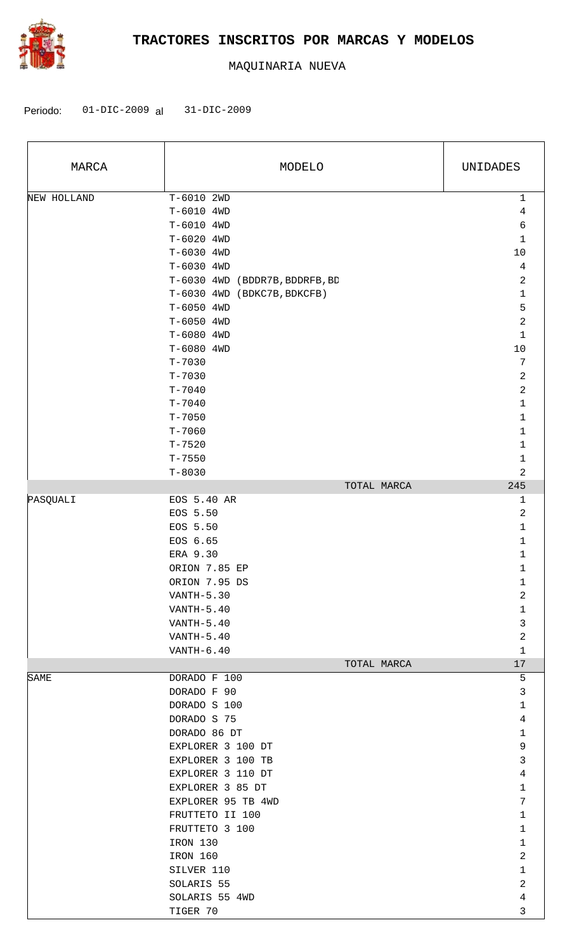

| MARCA       | MODELO                                | UNIDADES          |
|-------------|---------------------------------------|-------------------|
| NEW HOLLAND | T-6010 2WD<br>T-6010 4WD              | $\mathbf{1}$<br>4 |
|             | T-6010 4WD                            | 6                 |
|             | T-6020 4WD                            | $\mathbf 1$       |
|             | T-6030 4WD                            | $10$              |
|             | T-6030 4WD                            | $\overline{4}$    |
|             | T-6030 4WD (BDDR7B, BDDRFB, BD        | $\overline{c}$    |
|             | T-6030 4WD (BDKC7B, BDKCFB)           | $\mathbf 1$       |
|             | T-6050 4WD<br>T-6050 4WD              | 5<br>$\mathbf 2$  |
|             | T-6080 4WD                            | 1                 |
|             | T-6080 4WD                            | $10$              |
|             | $T - 7030$                            | 7                 |
|             | $T - 7030$                            | 2                 |
|             | $T - 7040$                            | $\overline{c}$    |
|             | $T - 7040$                            | $1\,$             |
|             | $T - 7050$                            | 1                 |
|             | $T - 7060$                            | 1                 |
|             | $T - 7520$                            | 1                 |
|             | $T - 7550$                            | 1                 |
|             | $T - 8030$                            | 2                 |
|             | TOTAL MARCA                           | 245               |
| PASQUALI    | EOS 5.40 AR                           | 1                 |
|             | EOS 5.50                              | $\overline{c}$    |
|             | EOS 5.50                              | 1                 |
|             | EOS 6.65                              | 1                 |
|             | ERA 9.30                              | 1                 |
|             | ORION 7.85 EP                         | 1                 |
|             | ORION 7.95 DS                         | 1                 |
|             | $VANTH-5.30$                          | $\overline{a}$    |
|             | VANTH-5.40                            | $\mathbf{1}$      |
|             | $VANTH-5.40$                          | 3                 |
|             | VANTH-5.40                            | 2                 |
|             | $VANTH-6.40$                          | $\mathbf{1}$      |
|             | TOTAL MARCA                           | 17                |
| SAME        | DORADO F 100                          | 5                 |
|             | DORADO F 90                           | 3                 |
|             | DORADO S 100                          | 1                 |
|             | DORADO S 75                           | 4                 |
|             | DORADO 86 DT                          | $\mathbf 1$       |
|             | EXPLORER 3 100 DT                     | 9                 |
|             | EXPLORER 3 100 TB                     | 3<br>4            |
|             | EXPLORER 3 110 DT<br>EXPLORER 3 85 DT | $\mathbf 1$       |
|             | EXPLORER 95 TB 4WD                    | 7                 |
|             | FRUTTETO II 100                       | 1                 |
|             | FRUTTETO 3 100                        | $\mathbf 1$       |
|             | IRON 130                              | 1                 |
|             | IRON 160                              | $\overline{a}$    |
|             | SILVER 110                            | 1                 |
|             | SOLARIS 55                            | $\overline{a}$    |
|             | SOLARIS 55 4WD                        | $\overline{4}$    |
|             | TIGER 70                              | 3                 |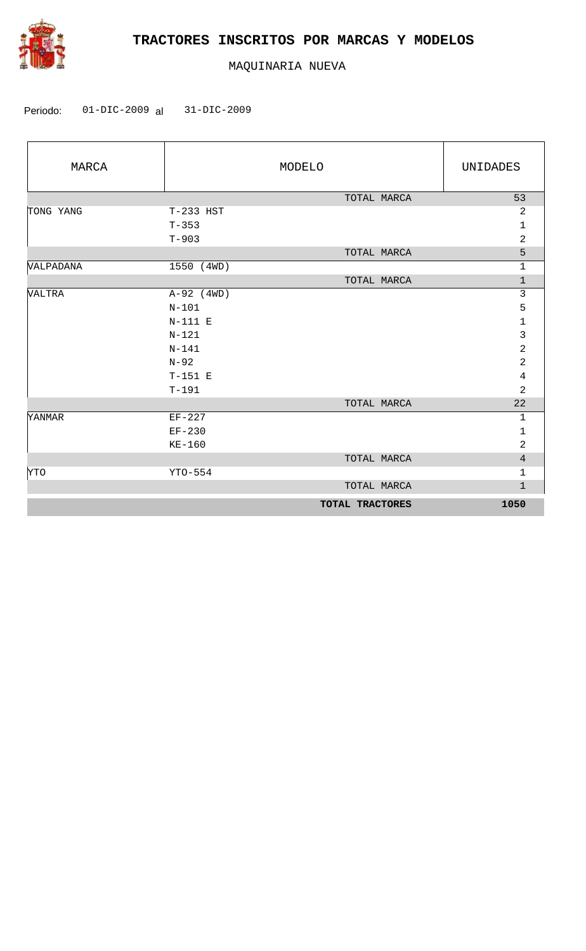

| MARCA            |              | MODELO          | UNIDADES       |
|------------------|--------------|-----------------|----------------|
|                  |              | TOTAL MARCA     | 53             |
| TONG YANG        | $T-233$ HST  |                 | $\overline{a}$ |
|                  | $T - 353$    |                 | $\mathbf{1}$   |
|                  | $T - 903$    |                 | $\overline{2}$ |
|                  |              | TOTAL MARCA     | 5              |
| <b>VALPADANA</b> | 1550 (4WD)   |                 | $\mathbf{1}$   |
|                  |              | TOTAL MARCA     | $\mathbf{1}$   |
| <b>VALTRA</b>    | $A-92$ (4WD) |                 | 3              |
|                  | $N-101$      |                 | 5              |
|                  | $N-111$ E    |                 | $\mathbf 1$    |
|                  | $N - 121$    |                 | 3              |
|                  | $N - 141$    |                 | $\overline{a}$ |
|                  | $N-92$       |                 | $\overline{a}$ |
|                  | $T-151$ E    |                 | $\overline{4}$ |
|                  | $T-191$      |                 | $\overline{2}$ |
|                  |              | TOTAL MARCA     | 22             |
| <b>YANMAR</b>    | $EF-227$     |                 | $\mathbf{1}$   |
|                  | $EF-230$     |                 | $\mathbf{1}$   |
|                  | $KE-160$     |                 | $\overline{2}$ |
|                  |              | TOTAL MARCA     | $\overline{4}$ |
| <b>YTO</b>       | $YTO-554$    |                 | $\mathbf{1}$   |
|                  |              | TOTAL MARCA     | $\mathbf{1}$   |
|                  |              | TOTAL TRACTORES | 1050           |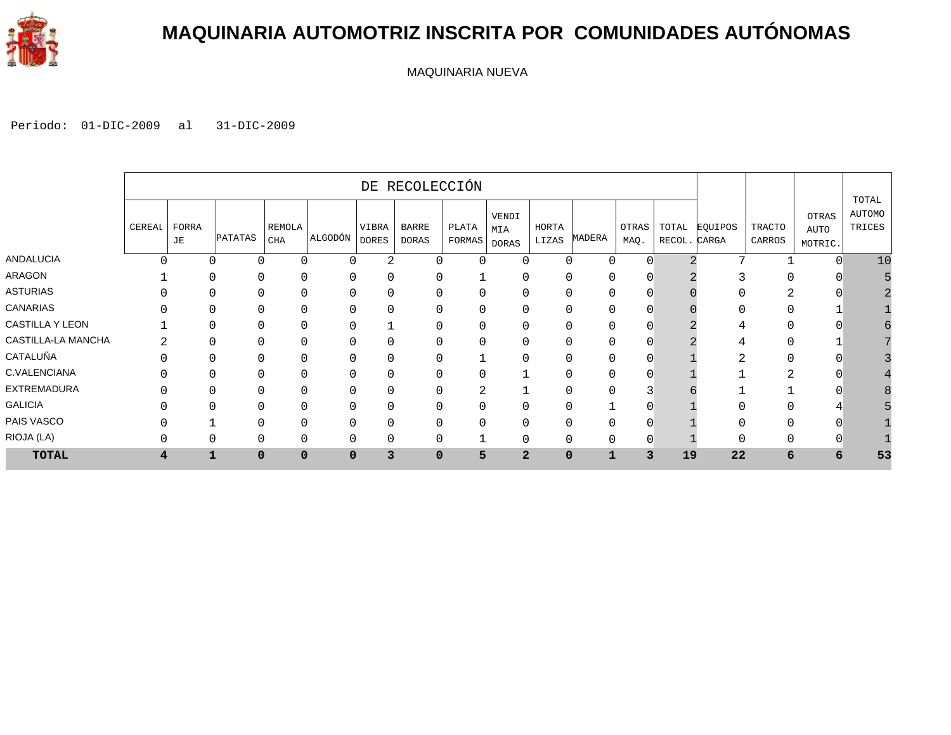

### **MAQUINARIA AUTOMOTRIZ INSCRITA POR COMUNIDADES AUTÓNOMAS**

MAQUINARIA NUEVA

|                    |                |       |               |             |          |              | DE RECOLECCIÓN |          |              |             |          |          |              |         |          |                      |                                  |
|--------------------|----------------|-------|---------------|-------------|----------|--------------|----------------|----------|--------------|-------------|----------|----------|--------------|---------|----------|----------------------|----------------------------------|
|                    | CEREAL         | FORRA |               | REMOLA      |          | VIBRA        | <b>BARRE</b>   | PLATA    | VENDI<br>MIA | HORTA       |          | OTRAS    | TOTAL        | EQUIPOS | TRACTO   | <b>OTRAS</b><br>AUTO | TOTAL<br><b>AUTOMO</b><br>TRICES |
|                    |                | JE    | PATATAS       | CHA         | ALGODÓN  | <b>DORES</b> | <b>DORAS</b>   | FORMAS   | DORAS        | LIZAS       | MADERA   | MAQ.     | RECOL. CARGA |         | CARROS   | MOTRIC.              |                                  |
| <b>ANDALUCIA</b>   | Λ              |       | O<br>$\Omega$ | $\Omega$    | $\Omega$ | 2            | $\Omega$       | $\Omega$ | $\Omega$     | 0           | $\Omega$ | $\Omega$ |              | 5       |          | $\Omega$             | 10                               |
| ARAGON             |                |       | O<br>$\Omega$ | $\Omega$    | O        | 0            | $\Omega$       |          | O            | 0           |          | 0        |              |         |          |                      |                                  |
| <b>ASTURIAS</b>    |                |       |               | $\Omega$    | ∩        | $\Omega$     | $\Omega$       | $\Omega$ |              | 0           |          | O        |              |         |          |                      |                                  |
| <b>CANARIAS</b>    |                |       |               | $\Omega$    | ∩        | 0            | $\Omega$       | 0        |              | ი           |          |          |              |         |          |                      |                                  |
| CASTILLA Y LEON    |                |       |               | $\Omega$    |          |              | $\Omega$       | 0        |              | ი           |          | 0        |              |         |          |                      |                                  |
| CASTILLA-LA MANCHA |                |       |               | C           |          | 0            | $\Omega$       | 0        |              |             |          | 0        |              |         |          |                      |                                  |
| CATALUÑA           |                |       |               |             |          | 0            | $\Omega$       |          |              |             |          | 0        |              |         |          |                      |                                  |
| C.VALENCIANA       |                |       |               |             |          | 0            | $\Omega$       | 0        |              | 0           |          |          |              |         |          |                      |                                  |
| <b>EXTREMADURA</b> |                |       |               |             |          | 0            | $\Omega$       | 2        |              | 0           |          |          |              |         |          |                      |                                  |
| <b>GALICIA</b>     |                |       |               | $\Omega$    |          | 0            | $\mathbf 0$    | 0        | 0            | 0           |          |          |              |         |          |                      |                                  |
| PAIS VASCO         |                |       |               | $\Omega$    | $\Omega$ | 0            | $\mathbf 0$    | 0        |              | 0           |          | 0        |              |         |          |                      |                                  |
| RIOJA (LA)         |                |       | O<br>$\Omega$ | $\Omega$    | $\Omega$ | 0            | $\Omega$       |          | $\Omega$     | 0           |          | $\Omega$ |              |         | $\Omega$ |                      |                                  |
| <b>TOTAL</b>       | $\overline{4}$ | 1     | $\Omega$      | $\mathbf 0$ | $\Omega$ | 3            | $\mathbf 0$    | 5        | $\mathbf{2}$ | $\mathbf 0$ |          | 3        | 19           | 22      | 6        | 6                    | 53                               |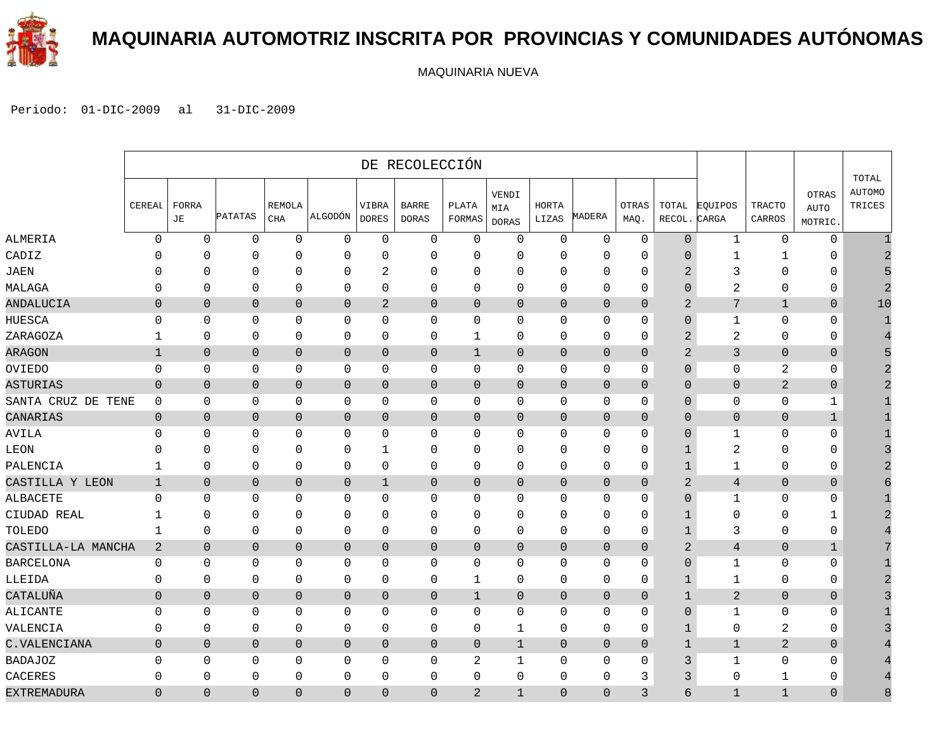

### **MAQUINARIA AUTOMOTRIZ INSCRITA POR PROVINCIAS Y COMUNIDADES AUTÓNOMAS**

MAQUINARIA NUEVA

|                    |                |                |                |                             |                |                       | DE RECOLECCIÓN               |                 |                              |                |                |                      |                 |                  |                  |                                        |                                  |
|--------------------|----------------|----------------|----------------|-----------------------------|----------------|-----------------------|------------------------------|-----------------|------------------------------|----------------|----------------|----------------------|-----------------|------------------|------------------|----------------------------------------|----------------------------------|
|                    | CEREAL         | FORRA<br>JE    | PATATAS        | <b>REMOLA</b><br><b>CHA</b> | ALGODÓN        | VIBRA<br><b>DORES</b> | <b>BARRE</b><br><b>DORAS</b> | PLATA<br>FORMAS | VENDI<br>MIA<br><b>DORAS</b> | HORTA<br>LIZAS | MADERA         | <b>OTRAS</b><br>MAQ. | TOTAL<br>RECOL. | EQUIPOS<br>CARGA | TRACTO<br>CARROS | <b>OTRAS</b><br><b>AUTO</b><br>MOTRIC. | TOTAL<br><b>AUTOMO</b><br>TRICES |
| ALMERIA            | $\mathbf 0$    | $\Omega$       | $\mathbf 0$    | $\mathbf 0$                 | $\mathbf 0$    | $\Omega$              | $\mathbf{0}$                 | $\mathbf 0$     | 0                            | $\mathbf 0$    | $\mathbf 0$    | $\mathbf 0$          | $\overline{0}$  | $\mathbf{1}$     | $\mathbf 0$      | $\mathbf 0$                            |                                  |
| CADIZ              | n              | 0              | $\mathbf 0$    | 0                           | $\mathbf 0$    | $\mathbf 0$           | 0                            | 0               | 0                            | 0              | $\mathbf 0$    | 0                    | 0               | 1                | 1                | 0                                      |                                  |
| JAEN               | C              | $\Omega$       | $\Omega$       | $\mathbf 0$                 | $\mathbf 0$    | 2                     | 0                            | $\mathbf 0$     | $\Omega$                     | $\mathbf{0}$   | $\mathbf 0$    | 0                    | $\overline{2}$  | 3                | $\Omega$         | 0                                      |                                  |
| MALAGA             | $\Omega$       | $\mathbf 0$    | 0              | 0                           | $\mathbf 0$    | $\mathbf 0$           | 0                            | 0               | 0                            | 0              | $\mathbf 0$    | 0                    | 0               | 2                | $\mathbf 0$      | 0                                      |                                  |
| ANDALUCIA          | $\Omega$       | $\Omega$       | $\mathbf 0$    | $\Omega$                    | $\overline{0}$ | 2                     | 0                            | $\Omega$        | $\Omega$                     | $\mathbf 0$    | $\Omega$       | $\Omega$             | $\overline{2}$  | 7                | $\mathbf{1}$     | $\mathbf 0$                            | 10                               |
| HUESCA             | $\Omega$       | 0              | $\Omega$       | $\mathbf 0$                 | $\mathbf 0$    | $\Omega$              | 0                            | $\mathbf 0$     | 0                            | $\Omega$       | $\mathbf 0$    | 0                    | $\Omega$        | 1                | $\mathbf 0$      | $\mathbf 0$                            |                                  |
| ZARAGOZA           | 1              | $\mathbf 0$    | 0              | $\mathbf 0$                 | $\mathbf 0$    | 0                     | 0                            | 1               | 0                            | $\mathbf 0$    | $\mathbf 0$    | 0                    | 2               | 2                | $\mathbf 0$      | $\mathbf 0$                            |                                  |
| ARAGON             | $\mathbf{1}$   | $\mathbf 0$    | $\mathbf{0}$   | $\mathbf 0$                 | $\mathbf 0$    | $\mathbf 0$           | 0                            | 1               | $\overline{0}$               | $\overline{0}$ | $\mathbf 0$    | $\mathbf{0}$         | $\overline{2}$  | 3                | $\overline{0}$   | $\mathbf 0$                            |                                  |
| OVIEDO             | $\mathbf 0$    | $\mathbf 0$    | 0              | $\mathbf 0$                 | 0              | $\mathbf 0$           | 0                            | $\mathbf 0$     | 0                            | 0              | $\mathbf 0$    | 0                    | $\overline{0}$  | 0                | 2                | 0                                      |                                  |
| ASTURIAS           | $\mathbf 0$    | $\mathbf{0}$   | $\mathbf{0}$   | $\mathbf{0}$                | $\overline{0}$ | $\mathbf 0$           | 0                            | $\overline{0}$  | $\overline{0}$               | $\overline{0}$ | $\mathbf{0}$   | $\overline{0}$       | $\Omega$        | $\overline{0}$   | $\overline{a}$   | $\mathbf 0$                            |                                  |
| SANTA CRUZ DE TENE | $\mathbf 0$    | $\Omega$       | 0              | $\mathbf 0$                 | $\mathbf 0$    | $\Omega$              | 0                            | $\mathbf 0$     | 0                            | 0              | $\mathbf 0$    | 0                    | 0               | 0                | $\mathbf 0$      | 1                                      |                                  |
| CANARIAS           | $\mathbf 0$    | $\mathbf{0}$   | $\overline{0}$ | $\mathbf{0}$                | $\mathbf{0}$   | $\mathbf{0}$          | 0                            | $\overline{0}$  | $\overline{0}$               | $\overline{0}$ | $\mathbf{0}$   | $\overline{0}$       | $\Omega$        | $\overline{0}$   | $\overline{0}$   | $\mathbf{1}$                           |                                  |
| AVILA              | 0              | $\Omega$       | 0              | $\mathbf 0$                 | 0              | $\Omega$              | 0                            | 0               | 0                            | $\mathbf{0}$   | $\mathbf 0$    | 0                    | 0               | 1                | $\mathbf 0$      | $\mathbf{0}$                           |                                  |
| LEON               | $\Omega$       | 0              | 0              | 0                           | $\mathbf 0$    | 1                     | 0                            | $\mathbf 0$     | 0                            | 0              | $\mathbf 0$    | 0                    | 1               | 2                | 0                | 0                                      |                                  |
| PALENCIA           | 1              | $\mathbf 0$    | $\mathbf 0$    | $\mathbf 0$                 | $\mathbf 0$    | $\mathbf 0$           | 0                            | $\mathbf 0$     | 0                            | $\mathbf 0$    | $\mathbf 0$    | 0                    | $\mathbf 1$     | $\mathbf{1}$     | $\mathbf{0}$     | $\mathbf 0$                            |                                  |
| CASTILLA Y LEON    | $\mathbf{1}$   | $\mathbf 0$    | $\mathbf 0$    | $\overline{0}$              | $\mathbf{0}$   | $\mathbf 1$           | 0                            | $\theta$        | 0                            | 0              | $\overline{0}$ | 0                    | $\overline{2}$  | $\overline{4}$   | $\theta$         | $\mathbf 0$                            |                                  |
| ALBACETE           | $\Omega$       | $\Omega$       | 0              | $\mathbf 0$                 | $\mathbf 0$    | $\Omega$              | $\mathbf{0}$                 | $\Omega$        | 0                            | 0              | $\mathbf 0$    | 0                    | $\Omega$        | $\mathbf{1}$     | $\mathbf 0$      | $\mathbf{0}$                           |                                  |
| CIUDAD REAL        | 1              | 0              | $\Omega$       | $\Omega$                    | $\mathbf 0$    | $\mathbf 0$           | 0                            | $\Omega$        | $\Omega$                     | $\Omega$       | $\Omega$       | 0                    | 1               | 0                | $\Omega$         | 1                                      |                                  |
| TOLEDO             | 1              | 0              | 0              | 0                           | $\mathbf 0$    | $\mathbf 0$           | 0                            | 0               | 0                            | 0              | 0              | 0                    | 1               | 3                | $\mathbf 0$      | 0                                      |                                  |
| CASTILLA-LA MANCHA | $\overline{a}$ | $\mathbf{0}$   | $\overline{0}$ | $\mathbf{0}$                | $\theta$       | $\mathbf{0}$          | 0                            | $\overline{0}$  | $\overline{0}$               | $\mathbf{0}$   | $\mathbf{0}$   | $\overline{0}$       | $\overline{2}$  | $\overline{4}$   | $\overline{0}$   | $\mathbf{1}$                           |                                  |
| BARCELONA          | $\mathbf 0$    | 0              | 0              | 0                           | $\mathbf 0$    | $\mathbf 0$           | 0                            | $\mathbf 0$     | 0                            | $\mathbf 0$    | $\mathbf 0$    | 0                    | 0               | $\mathbf{1}$     | $\mathbf 0$      | 0                                      |                                  |
| LLEIDA             | 0              | $\mathbf 0$    | $\mathbf 0$    | $\mathbf 0$                 | $\mathbf 0$    | 0                     | $\mathbf{0}$                 | 1               | 0                            | $\mathbf 0$    | $\mathbf 0$    | 0                    | $\mathbf{1}$    | 1                | $\mathbf 0$      | $\mathbf{0}$                           |                                  |
| CATALUÑA           | $\overline{0}$ | $\overline{0}$ | $\overline{0}$ | $\mathbf{0}$                | $\mathbf 0$    | $\overline{0}$        | 0                            | 1               | $\overline{0}$               | $\overline{0}$ | $\mathbf{0}$   | $\overline{0}$       | 1               | $\overline{2}$   | $\overline{0}$   | $\mathbf 0$                            |                                  |
| ALICANTE           | $\Omega$       | 0              | 0              | $\mathbf 0$                 | 0              | $\Omega$              | 0                            | 0               | 0                            | 0              | $\mathbf 0$    | 0                    | $\overline{0}$  | 1                | $\mathbf 0$      | 0                                      |                                  |
| VALENCIA           | 0              | 0              | $\mathbf 0$    | $\mathbf 0$                 | $\mathbf 0$    | $\mathbf 0$           | $\mathsf 0$                  | $\mathbf 0$     | 1                            | $\mathbf 0$    | $\mathbf 0$    | 0                    | $\mathbf 1$     | 0                | $\overline{2}$   | 0                                      |                                  |
| C.VALENCIANA       | $\mathbf 0$    | $\overline{0}$ | $\overline{0}$ | $\overline{0}$              | $\theta$       | $\mathbf 0$           | 0                            | $\theta$        | $\mathbf{1}$                 | 0              | $\overline{0}$ | $\overline{0}$       | $\mathbf{1}$    | $1\,$            | $\overline{a}$   | $\mathbf 0$                            |                                  |
| BADAJOZ            | 0              | 0              | 0              | $\mathbf 0$                 | $\mathbf 0$    | 0                     | 0                            | $\overline{2}$  | 1                            | 0              | $\mathbf 0$    | 0                    | 3               | $\mathbf{1}$     | $\mathbf 0$      | 0                                      |                                  |
| CACERES            | $\Omega$       | $\Omega$       | $\Omega$       | $\mathbf 0$                 | $\mathbf 0$    | $\mathbf 0$           | $\mathbf{0}$                 | $\Omega$        | $\Omega$                     | $\Omega$       | $\Omega$       | 3                    | 3               | 0                | 1                | $\mathbf{0}$                           |                                  |
| EXTREMADURA        | $\Omega$       | $\Omega$       | $\Omega$       | $\Omega$                    | $\overline{0}$ | $\Omega$              | 0                            | 2               | $\mathbf{1}$                 | $\Omega$       | $\Omega$       | 3                    | б               | $\mathbf{1}$     | $\mathbf{1}$     | $\Omega$                               | 8                                |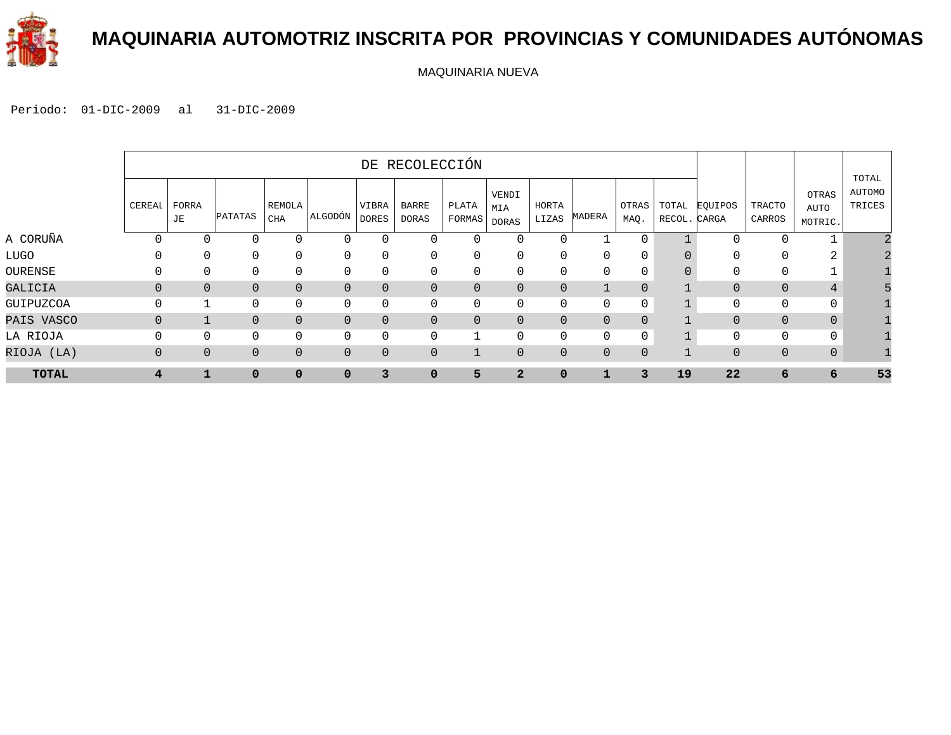

### **MAQUINARIA AUTOMOTRIZ INSCRITA POR PROVINCIAS Y COMUNIDADES AUTÓNOMAS**

MAQUINARIA NUEVA

|              |                |                |                |                |                |                       | DE RECOLECCIÓN |                 |                              |                |                |                |                       |                |                         |                          |                           |
|--------------|----------------|----------------|----------------|----------------|----------------|-----------------------|----------------|-----------------|------------------------------|----------------|----------------|----------------|-----------------------|----------------|-------------------------|--------------------------|---------------------------|
|              | CEREAI         | FORRA<br>JE    | <b>PATATAS</b> | REMOLA<br>CHA  | ALGODÓN        | VIBRA<br><b>DORES</b> | BARRE<br>DORAS | PLATA<br>FORMAS | VENDI<br>MIA<br><b>DORAS</b> | HORTA<br>LIZAS | MADERA         | OTRAS<br>MAQ.  | TOTAL<br>RECOL. CARGA | EQUIPOS        | <b>TRACTO</b><br>CARROS | OTRAS<br>AUTO<br>MOTRIC. | TOTAL<br>AUTOMO<br>TRICES |
| A CORUÑA     | $\Omega$       |                |                | $\mathbf{0}$   | 0              |                       |                | $\Omega$        | $\Omega$                     |                |                | $\mathbf{0}$   |                       | 0              | 0                       |                          |                           |
| LUGO         | $\Omega$       | $\Omega$       | $\mathbf{0}$   | $\mathbf{0}$   | $\mathbf{0}$   | $\Omega$              | 0              | $\Omega$        | $\Omega$                     |                | 0              | $\Omega$       |                       | 0              | $\mathbf{0}$            | 2                        |                           |
| OURENSE      | $\Omega$       | $\Omega$       | $\Omega$       | $\mathbf{0}$   | $\mathbf{0}$   | $\Omega$              | $\Omega$       | $\Omega$        | $\Omega$                     |                | $\Omega$       | $\Omega$       |                       | O              | $\Omega$                |                          |                           |
| GALICIA      | $\Omega$       | $\Omega$       | $\Omega$       | $\overline{0}$ | $\overline{0}$ | $\Omega$              | 0              | $\Omega$        | $\Omega$                     | $\Omega$       | $\mathbf{1}$   | $\Omega$       |                       | 0              | $\Omega$                | 4                        |                           |
| GUIPUZCOA    | $\Omega$       |                | 0              | $\mathbf 0$    | 0              | $\mathbf{0}$          | 0              | $\Omega$        | $\Omega$                     |                | 0              | $\mathbf 0$    |                       | 0              | $\mathbf{0}$            | 0                        |                           |
| PAIS VASCO   | $\overline{0}$ |                | 0              | $\mathbf{0}$   | $\overline{0}$ | $\overline{0}$        | 0              | $\mathbf{0}$    | $\Omega$                     | $\Omega$       | $\mathbf{0}$   | $\Omega$       |                       | $\overline{0}$ | $\overline{0}$          | $\mathbf{0}$             |                           |
| LA RIOJA     | $\Omega$       | $\Omega$       | $\Omega$       | 0              | $\mathbf 0$    | $\Omega$              | 0              |                 | $\Omega$                     |                | 0              | $\mathbf 0$    |                       | $\mathbf 0$    | $\mathbf 0$             | 0                        |                           |
| RIOJA (LA)   | $\mathbf 0$    | $\overline{0}$ | 0              | $\mathbf 0$    | $\mathbf{0}$   | $\overline{0}$        | 0              |                 | $\overline{0}$               | $\overline{0}$ | $\overline{0}$ | $\overline{0}$ |                       | 0              | $\mathbf 0$             | $\mathbf 0$              |                           |
| <b>TOTAL</b> | 4              |                | $\mathbf 0$    | $\mathbf 0$    | $\Omega$       | 3                     | 0              | 5               | $\overline{2}$               | $\mathbf 0$    |                | 3              | 19                    | 22             | 6                       | 6                        | 53                        |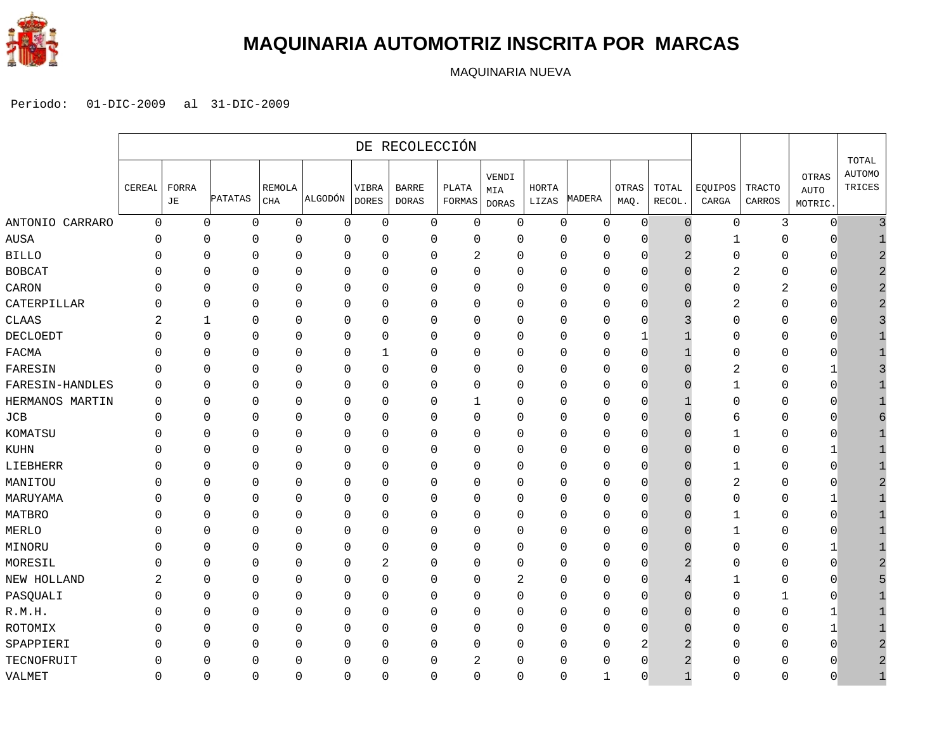

#### **MAQUINARIA AUTOMOTRIZ INSCRITA POR MARCAS**

MAQUINARIA NUEVA

|                 | DE RECOLECCIÓN |              |                |                             |             |                       |                              |                 |                       |                |          |                |                 |                  |                         |                                 |                                  |
|-----------------|----------------|--------------|----------------|-----------------------------|-------------|-----------------------|------------------------------|-----------------|-----------------------|----------------|----------|----------------|-----------------|------------------|-------------------------|---------------------------------|----------------------------------|
|                 | CEREAL         | FORRA<br>JE  | <b>PATATAS</b> | <b>REMOLA</b><br><b>CHA</b> | ALGODÓN     | VIBRA<br><b>DORES</b> | <b>BARRE</b><br><b>DORAS</b> | PLATA<br>FORMAS | VENDI<br>MIA<br>DORAS | HORTA<br>LIZAS | MADERA   | OTRAS<br>MAQ.  | TOTAL<br>RECOL. | EQUIPOS<br>CARGA | <b>TRACTO</b><br>CARROS | OTRAS<br><b>AUTO</b><br>MOTRIC. | TOTAL<br><b>AUTOMO</b><br>TRICES |
| ANTONIO CARRARO | $\mathbf 0$    | $\mathbf{0}$ | $\mathbf 0$    | $\mathbf 0$                 | 0           | $\mathbf 0$           | 0                            | $\mathbf 0$     | $\mathbf 0$           | 0              | 0        | $\mathbf 0$    | $\Omega$        | $\mathbf 0$      | 3                       | $\mathbf 0$                     |                                  |
| <b>AUSA</b>     | $\mathbf 0$    | $\mathbf 0$  | 0              | O                           | $\Omega$    | $\mathbf 0$           | 0                            | $\Omega$        | $\Omega$              | $\Omega$       | 0        | $\Omega$       |                 | -1               | 0                       | $\cap$                          |                                  |
| <b>BILLO</b>    | 0              | $\mathbf 0$  | $\mathbf 0$    | $\Omega$                    | 0           | 0                     | 0                            | 2               | $\mathbf 0$           | $\Omega$       | $\Omega$ | $\mathbf 0$    |                 | $\Omega$         | 0                       | $\Omega$                        | $\mathcal{D}$                    |
| <b>BOBCAT</b>   | O              | $\mathbf 0$  | $\mathbf{0}$   | $\Omega$                    | $\Omega$    | $\mathbf{0}$          | 0                            | $\mathbf 0$     | $\Omega$              | $\Omega$       | $\Omega$ | $\Omega$       |                 | 2                | 0                       | $\Omega$                        | $\mathcal{D}$                    |
| CARON           | O              | $\mathbf 0$  | $\mathbf{0}$   | O                           | $\Omega$    | $\mathbf{0}$          | 0                            | $\mathbf 0$     | $\mathbf 0$           | $\Omega$       | 0        | $\Omega$       |                 | $\Omega$         | $\overline{2}$          | $\Omega$                        | 2                                |
| CATERPILLAR     | 0              | $\mathbf{0}$ | $\mathbf 0$    | 0                           | 0           | 0                     | 0                            | $\mathbf 0$     | $\Omega$              | $\Omega$       | 0        | $\Omega$       |                 | 2                | 0                       | $\Omega$                        | 2                                |
| <b>CLAAS</b>    | 2              | 1            | $\mathbf 0$    | $\mathbf 0$                 | $\mathbf 0$ | $\mathbf 0$           | 0                            | $\mathbf 0$     | $\mathbf 0$           | $\Omega$       | 0        | $\Omega$       |                 | $\Omega$         | 0                       | 0                               |                                  |
| <b>DECLOEDT</b> | $\Omega$       | $\mathbf 0$  | $\mathbf 0$    | $\mathbf 0$                 | 0           | $\mathbf 0$           | 0                            | $\mathbf 0$     | $\mathbf 0$           | 0              | 0        | 1              |                 | $\Omega$         | 0                       | $\mathbf{0}$                    |                                  |
| <b>FACMA</b>    | $\mathbf 0$    | $\mathbf 0$  | $\mathbf 0$    | $\mathbf 0$                 | 0           | $\mathbf{1}$          | 0                            | $\mathbf 0$     | $\mathbf{0}$          | 0              | 0        | $\overline{0}$ |                 | $\mathbf{0}$     | 0                       | $\mathbf{0}$                    |                                  |
| FARESIN         | $\Omega$       | $\mathbf 0$  | $\mathbf 0$    | 0                           | $\mathbf 0$ | $\mathbf 0$           | 0                            | 0               | $\mathbf{0}$          | $\Omega$       | 0        | $\Omega$       |                 | $\overline{2}$   | 0                       | 1                               |                                  |
| FARESIN-HANDLES | $\mathbf{0}$   | $\mathbf 0$  | $\mathbf{0}$   | $\Omega$                    | $\Omega$    | $\mathbf 0$           | 0                            | $\mathbf 0$     | $\Omega$              | $\Omega$       | 0        | $\Omega$       |                 |                  | 0                       | $\Omega$                        |                                  |
| HERMANOS MARTIN | $\Omega$       | $\mathbf{0}$ | $\mathbf 0$    | $\Omega$                    | 0           | 0                     | 0                            | 1               | $\mathbf 0$           | $\Omega$       | $\Omega$ | $\Omega$       |                 | $\Omega$         | 0                       | $\Omega$                        |                                  |
| $_{\rm JCB}$    | $\mathbf{0}$   | $\mathbf{0}$ | $\mathbf 0$    | $\Omega$                    | 0           | 0                     | 0                            | 0               | $\mathbf 0$           | $\Omega$       | $\Omega$ | $\Omega$       | O               | 6                | 0                       | O                               |                                  |
| KOMATSU         | 0              | $\mathbf{0}$ | $\mathbf{0}$   | O                           | 0           | $\mathbf{0}$          | 0                            | $\mathbf 0$     | $\mathbf 0$           | $\Omega$       | $\Omega$ | $\Omega$       | $\cap$          | 1                | 0                       | $\Omega$                        |                                  |
| KUHN            |                | $\mathbf 0$  | $\mathbf 0$    | 0                           | $\mathbf 0$ | $\mathbf 0$           | 0                            | $\mathsf 0$     | $\Omega$              | $\Omega$       | 0        | $\Omega$       |                 | $\Omega$         | 0                       | 1                               |                                  |
| LIEBHERR        | O              | $\mathbf 0$  | $\mathbf 0$    | $\Omega$                    | 0           | $\mathbf 0$           | 0                            | $\mathbf 0$     | $\Omega$              | $\Omega$       | 0        | $\Omega$       |                 | 1                | 0                       | $\Omega$                        |                                  |
| MANITOU         | 0              | $\mathbf 0$  | $\mathbf 0$    | $\mathbf 0$                 | 0           | 0                     | 0                            | $\mathbf 0$     | $\mathbf 0$           | $\Omega$       | 0        | $\Omega$       |                 | 2                | 0                       | $\Omega$                        |                                  |
| MARUYAMA        | 0              | $\mathbf 0$  | $\mathbf 0$    | $\mathbf 0$                 | 0           | $\mathbf 0$           | 0                            | 0               | $\mathbf 0$           | $\Omega$       | 0        | $\mathbf{0}$   |                 | $\mathbf 0$      | 0                       | 1                               |                                  |
| <b>MATBRO</b>   | 0              | $\mathbf 0$  | $\mathbf 0$    | $\Omega$                    | 0           | $\mathbf{0}$          | 0                            | $\mathbf 0$     | $\Omega$              | $\Omega$       | $\Omega$ | $\Omega$       | U               | 1                | 0                       | $\Omega$                        |                                  |
| MERLO           | 0              | $\mathbf 0$  | $\mathbf 0$    | O                           | $\Omega$    | $\mathbf 0$           | 0                            | $\mathbf 0$     | $\mathbf{0}$          | $\Omega$       | 0        | $\Omega$       |                 | 1                | 0                       | $\Omega$                        |                                  |
| MINORU          | 0              | $\mathbf{0}$ | 0              | $\mathbf 0$                 | 0           | 0                     | 0                            | 0               | $\mathbf 0$           | $\Omega$       | 0        | $\Omega$       |                 | $\Omega$         | 0                       | 1                               |                                  |
| MORESIL         | 0              | $\mathbf{0}$ | $\mathbf 0$    | $\Omega$                    | 0           | $\boldsymbol{2}$      | 0                            | 0               | $\mathbf 0$           | O              | 0        | $\Omega$       |                 | O                | 0                       | $\Omega$                        |                                  |
| NEW HOLLAND     | 2              | $\mathbf{0}$ | $\mathbf 0$    | 0                           | 0           | $\mathsf 0$           | 0                            | 0               | 2                     | 0              | $\Omega$ | 0              |                 | 1                | 0                       | 0                               |                                  |
| PASQUALI        | $\Omega$       | $\mathbf 0$  | $\mathbf 0$    | $\mathbf 0$                 | 0           | $\mathbf 0$           | 0                            | $\mathsf 0$     | $\overline{0}$        | 0              | 0        | $\mathbf 0$    | $\Omega$        | $\mathbf{0}$     | $1\,$                   | $\mathbf 0$                     |                                  |
| R.M.H           | Ω              | $\mathbf 0$  | $\mathbf 0$    | $\Omega$                    | $\mathbf 0$ | $\mathbf 0$           | 0                            | $\mathbf 0$     | $\mathbf{0}$          | $\Omega$       | 0        | $\Omega$       |                 | $\Omega$         | 0                       | $\mathbf{1}$                    |                                  |
| ROTOMIX         | 0              | $\mathbf{0}$ | $\mathbf 0$    | $\mathbf 0$                 | 0           | 0                     | 0                            | $\mathbf 0$     | $\mathbf 0$           | $\Omega$       | 0        | $\Omega$       | $\Omega$        | $\Omega$         | 0                       | 1                               |                                  |
| SPAPPIERI       | U              | $\Omega$     | $\Omega$       | $\Omega$                    | 0           | $\mathbf 0$           | 0                            | $\mathbf 0$     | $\Omega$              | $\Omega$       | $\Omega$ | 2              |                 | $\Omega$         | 0                       | $\Omega$                        | $\mathcal{D}$                    |
| TECNOFRUIT      | 0              | $\Omega$     | $\mathbf{0}$   | O                           | $\Omega$    | $\mathbf{0}$          | 0                            | $\overline{2}$  | $\Omega$              | $\Omega$       | 0        | $\mathbf{0}$   | 2               | $\Omega$         | 0                       | O                               | $\overline{2}$                   |
| VALMET          | $\mathbf{0}$   | $\mathbf{0}$ | $\mathbf{0}$   | $\Omega$                    | 0           | $\mathbf{0}$          | 0                            | $\mathbf 0$     | $\mathbf 0$           | 0              | 1        | $\Omega$       | $\mathbf{1}$    | $\Omega$         | 0                       | $\Omega$                        |                                  |